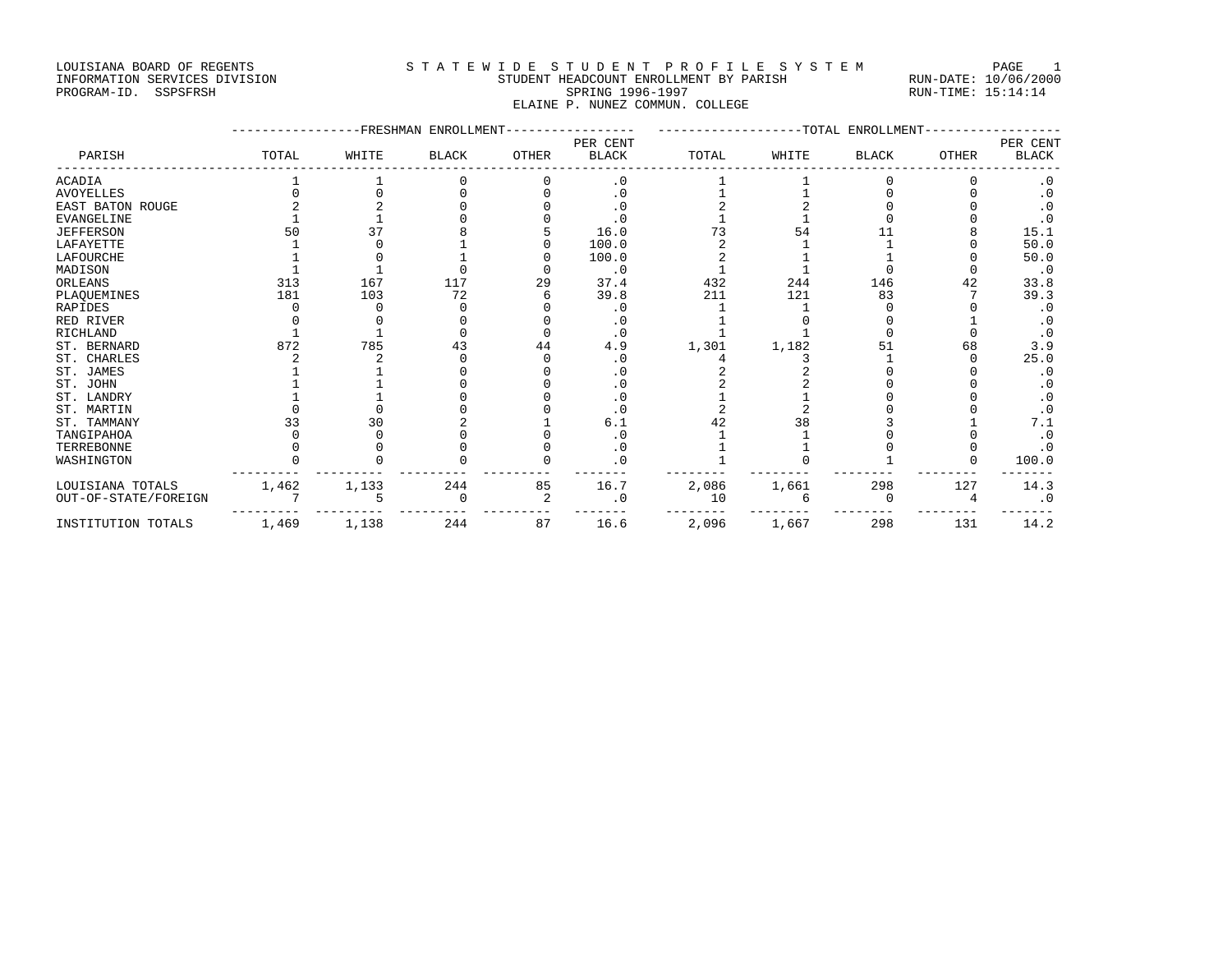#### LOUISIANA BOARD OF REGENTS STATEWIDE STUDENT PROFILE SYSTEM PAGE 1 INFORMATION SERVICES DIVISION STUDENT HEADCOUNT ENROLLMENT BY PARISH RUN-DATE: 10/06/2000 PROGRAM-ID. SSPSFRSH SPRING 1996-1997 SPRING 1996-1997 RUN-TIME: 15:14:14

ELAINE P. NUNEZ COMMUN. COLLEGE

|                      |       |       | -FRESHMAN ENROLLMENT |              | ------------TOTAL<br>ENROLLMENT |       |       |              |              |                          |
|----------------------|-------|-------|----------------------|--------------|---------------------------------|-------|-------|--------------|--------------|--------------------------|
| PARISH               | TOTAL | WHITE | <b>BLACK</b>         | <b>OTHER</b> | PER CENT<br><b>BLACK</b>        | TOTAL | WHITE | <b>BLACK</b> | <b>OTHER</b> | PER CENT<br><b>BLACK</b> |
| ACADIA               |       |       |                      |              | $\cdot$ 0                       |       |       |              |              | $\cdot$ 0                |
| AVOYELLES            |       |       |                      |              | . 0                             |       |       |              |              | $\cdot$ 0                |
| EAST BATON ROUGE     |       |       |                      |              |                                 |       |       |              |              | $\cdot$ 0                |
| EVANGELINE           |       |       |                      |              | . 0                             |       |       |              |              | $\cdot$ 0                |
| <b>JEFFERSON</b>     |       | 37    |                      |              | 16.0                            | 73    | 54    |              |              | 15.1                     |
| LAFAYETTE            |       |       |                      |              | 100.0                           |       |       |              |              | 50.0                     |
| LAFOURCHE            |       |       |                      |              | 100.0                           |       |       |              |              | 50.0                     |
| MADISON              |       |       |                      |              | $\cdot$ 0                       |       |       |              |              | $\cdot$ 0                |
| ORLEANS              | 313   | 167   | 117                  | 29           | 37.4                            | 432   | 244   | 146          | 42           | 33.8                     |
| PLAQUEMINES          | 181   | 103   | 72                   |              | 39.8                            | 211   | 121   | 83           |              | 39.3                     |
| RAPIDES              |       |       |                      |              | . 0                             |       |       |              |              | . 0                      |
| RED RIVER            |       |       |                      |              | . 0                             |       |       |              |              |                          |
| RICHLAND             |       |       |                      |              | $\cdot$ 0                       |       |       |              |              | $\cdot$ 0                |
| ST. BERNARD          | 872   | 785   | 43                   | 44           | 4.9                             | 1,301 | 1,182 | 51           | 68           | 3.9                      |
| ST. CHARLES          |       |       |                      |              | . 0                             |       |       |              |              | 25.0                     |
| ST. JAMES            |       |       |                      |              | . 0                             |       |       |              |              | $\cdot$ 0                |
| ST. JOHN             |       |       |                      |              | . 0                             |       |       |              |              | . 0                      |
| ST. LANDRY           |       |       |                      |              | $\cdot$ 0                       |       |       |              |              | $\cdot$ 0                |
| ST. MARTIN           |       |       |                      |              | . 0                             |       |       |              |              | $\cdot$ 0                |
| ST. TAMMANY          |       | 30    |                      |              | 6.1                             |       | 38    |              |              | 7.1                      |
| TANGIPAHOA           |       |       |                      |              | . 0                             |       |       |              |              | $\cdot$ 0                |
| TERREBONNE           |       |       |                      |              | $\cdot$ 0                       |       |       |              |              | $\cdot$ 0                |
| WASHINGTON           |       |       |                      |              | $\cdot$ 0                       |       |       |              |              | 100.0                    |
| LOUISIANA TOTALS     | 1,462 | 1,133 | 244                  | 85           | 16.7                            | 2,086 | 1,661 | 298          | 127          | 14.3                     |
| OUT-OF-STATE/FOREIGN |       |       |                      |              | $\cdot$ 0                       | 10    |       |              |              | $\cdot$ 0                |
| INSTITUTION TOTALS   | 1,469 | 1,138 | 244                  | 87           | 16.6                            | 2,096 | 1,667 | 298          | 131          | 14.2                     |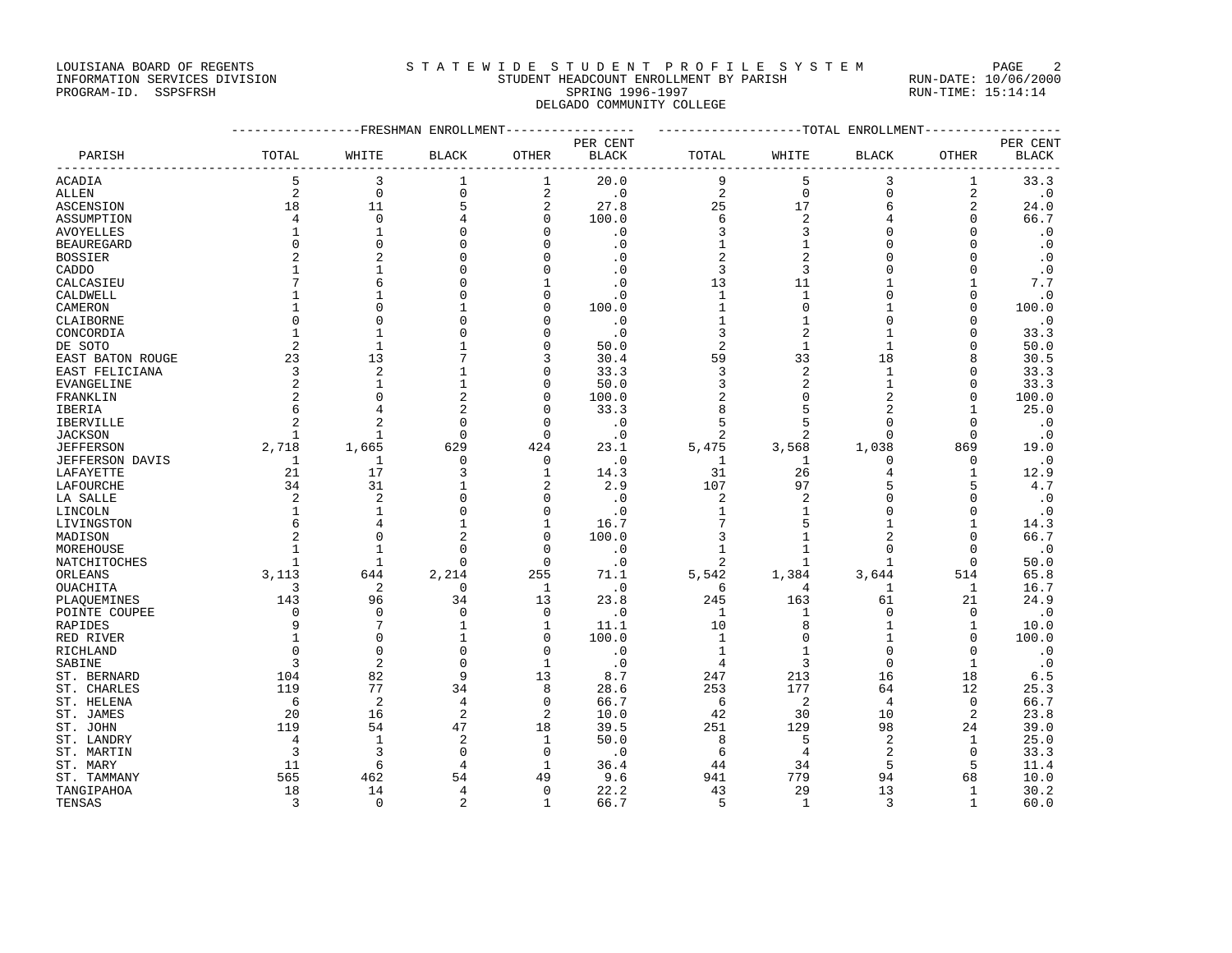#### LOUISIANA BOARD OF REGENTS STATEWIDE STUDENT PROFILE SYSTEM PAGE 2 INFORMATION SERVICES DIVISION STUDENT HEADCOUNT ENROLLMENT BY PARISH RUN-DATE: 10/06/2000

## PROGRAM-ID. SSPSFRSH SPRING 1996-1997 SPRING 1996-1997 RUN-TIME: 15:14:14 DELGADO COMMUNITY COLLEGE

|                   | ------------FRESHMAN ENROLLMENT<br>---------------- |                |                |                |              | -------------------TOTAL ENROLLMENT<br>-------------- |                |                |                |              |  |
|-------------------|-----------------------------------------------------|----------------|----------------|----------------|--------------|-------------------------------------------------------|----------------|----------------|----------------|--------------|--|
|                   |                                                     |                |                |                | PER CENT     |                                                       |                |                |                | PER CENT     |  |
| PARISH            | TOTAL                                               | WHITE          | <b>BLACK</b>   | OTHER          | <b>BLACK</b> | TOTAL                                                 | WHITE          | BLACK          | OTHER          | <b>BLACK</b> |  |
| ACADIA            | 5                                                   | 3              | 1              | 1              | 20.0         | 9                                                     | 5              | 3              | 1              | 33.3         |  |
| <b>ALLEN</b>      | $\overline{2}$                                      | $\mathbf 0$    | $\mathbf 0$    | $\sqrt{2}$     | $\cdot$ 0    | $\overline{c}$                                        | $\mathbf 0$    | $\Omega$       | $\overline{2}$ | $\cdot$ 0    |  |
| ASCENSION         | 18                                                  | 11             | 5              | 2              | 27.8         | 25                                                    | 17             | 6              | $\overline{2}$ | 24.0         |  |
| ASSUMPTION        | 4                                                   | $\mathbf 0$    |                | $\mathbf 0$    | 100.0        | 6                                                     | $\overline{2}$ | 4              | $\mathbf 0$    | 66.7         |  |
| AVOYELLES         | 1                                                   | $\mathbf{1}$   | O              | $\Omega$       | $\cdot$ 0    | 3                                                     | 3              | $\Omega$       | $\mathbf 0$    | $\cdot$ 0    |  |
| <b>BEAUREGARD</b> | $\mathbf 0$                                         | $\Omega$       | $\Omega$       | U              | $\cdot$ 0    | 1                                                     | $\mathbf{1}$   | $\Omega$       | $\Omega$       | $\cdot$ 0    |  |
| <b>BOSSIER</b>    | $\overline{2}$                                      | $\overline{c}$ |                | O              | $\cdot$ 0    | 2                                                     | $\overline{2}$ |                | $\Omega$       | $\cdot$ 0    |  |
| CADDO             | 1                                                   | $\mathbf{1}$   | U              | $\Omega$       | $\cdot$ 0    | 3                                                     | 3              |                | $\Omega$       | $\cdot$ 0    |  |
| CALCASIEU         |                                                     | 6              |                | 1              | $\cdot$ 0    | 13                                                    | 11             |                | $\mathbf{1}$   | 7.7          |  |
| CALDWELL          |                                                     | -1             |                | $\Omega$       | $\cdot$ 0    | 1                                                     | 1              | $\Omega$       | $\Omega$       | $\cdot$ 0    |  |
| CAMERON           | 1                                                   | $\cap$         | 1              | $\mathbf 0$    | 100.0        | $\mathbf{1}$                                          | $\mathbf 0$    |                | $\Omega$       | 100.0        |  |
| CLAIBORNE         | $\Omega$                                            | $\Omega$       | U              | $\Omega$       | $\cdot$ 0    | $\mathbf{1}$                                          | $\mathbf{1}$   |                | $\Omega$       | $\cdot$ 0    |  |
| CONCORDIA         | 1                                                   | $\mathbf{1}$   | $\Omega$       | 0              | $\cdot$ 0    | 3                                                     | $\overline{c}$ |                | $\mathbf 0$    | 33.3         |  |
| DE SOTO           | 2                                                   | $\mathbf{1}$   |                | 0              | 50.0         | 2                                                     | $\mathbf{1}$   |                | $\Omega$       | 50.0         |  |
| EAST BATON ROUGE  | 23                                                  | 13             |                | 3              | 30.4         | 59                                                    | 33             | 18             | 8              | 30.5         |  |
|                   | 3                                                   | $\overline{2}$ | 1              | 0              | 33.3         | 3                                                     | $\overline{2}$ | $\mathbf{1}$   | $\Omega$       |              |  |
| EAST FELICIANA    | 2                                                   | $\mathbf{1}$   | $\mathbf{1}$   | $\Omega$       | 50.0         | 3                                                     | $\overline{2}$ | 1              | $\Omega$       | 33.3<br>33.3 |  |
| <b>EVANGELINE</b> |                                                     | $\Omega$       |                |                |              |                                                       |                | $\overline{2}$ |                |              |  |
| FRANKLIN          | $\overline{c}$                                      |                | $\overline{2}$ | $\mathbf 0$    | 100.0        | 2                                                     | $\mathbf 0$    |                | $\mathbf 0$    | 100.0        |  |
| IBERIA            | 6                                                   | $\overline{4}$ | 2              | $\Omega$       | 33.3         | 8                                                     | 5              | 2              | 1              | 25.0         |  |
| IBERVILLE         | $\overline{a}$                                      | $\overline{c}$ | $\Omega$       | $\Omega$       | $\cdot$ 0    | 5                                                     | 5              | $\Omega$       | $\Omega$       | $\cdot$ 0    |  |
| <b>JACKSON</b>    | $\mathbf{1}$                                        | $\mathbf{1}$   | $\Omega$       | $\mathbf 0$    | $\cdot$ 0    | 2                                                     | 2              | $\Omega$       | $\mathbf{0}$   | $\cdot$ 0    |  |
| <b>JEFFERSON</b>  | 2,718                                               | 1,665          | 629            | 424            | 23.1         | 5,475                                                 | 3,568          | 1,038          | 869            | 19.0         |  |
| JEFFERSON DAVIS   | 1                                                   | 1              | 0              | 0              | $\cdot$ 0    | 1                                                     | 1              | 0              | $\mathbf 0$    | $\cdot$ 0    |  |
| LAFAYETTE         | 21                                                  | 17             | 3              | $\mathbf{1}$   | 14.3         | 31                                                    | 26             | $\overline{4}$ | $\mathbf{1}$   | 12.9         |  |
| LAFOURCHE         | 34                                                  | 31             |                | 2              | 2.9          | 107                                                   | 97             | 5              | 5              | 4.7          |  |
| LA SALLE          | 2                                                   | $\overline{2}$ | $\Omega$       | 0              | $\cdot$ 0    | 2                                                     | $\overline{2}$ | $\Omega$       | 0              | $\cdot$ 0    |  |
| LINCOLN           | 1                                                   | $\mathbf{1}$   | $\Omega$       | $\mathbf 0$    | $\cdot$ 0    | 1                                                     | $\mathbf{1}$   |                | $\mathbf{0}$   | $\cdot$ 0    |  |
| LIVINGSTON        | 6                                                   |                | 1              | 1              | 16.7         | 7                                                     | 5              |                | $\mathbf{1}$   | 14.3         |  |
| MADISON           | $\overline{2}$                                      | $\Omega$       |                | $\mathbf 0$    | 100.0        | 3                                                     | $\mathbf{1}$   | $\overline{c}$ | $\Omega$       | 66.7         |  |
| MOREHOUSE         | 1                                                   | 1              | 0              | 0              | $\cdot$ 0    | 1                                                     | $\mathbf{1}$   |                | 0              | $\cdot$ 0    |  |
| NATCHITOCHES      | 1                                                   | $\mathbf{1}$   | $\Omega$       | $\mathbf 0$    | $\cdot$ 0    | 2                                                     | $\mathbf{1}$   | -1             | $\Omega$       | 50.0         |  |
| ORLEANS           | 3,113                                               | 644            | 2,214          | 255            | 71.1         | 5,542                                                 | 1,384          | 3,644          | 514            | 65.8         |  |
| <b>OUACHITA</b>   | 3                                                   | $\overline{2}$ | $\mathbf 0$    | $\mathbf{1}$   | $\cdot$ 0    | 6                                                     | $\overline{4}$ | 1              | $\mathbf{1}$   | 16.7         |  |
| PLAQUEMINES       | 143                                                 | 96             | 34             | 13             | 23.8         | 245                                                   | 163            | 61             | 21             | 24.9         |  |
| POINTE COUPEE     | 0                                                   | 0              | $\Omega$       | 0              | $\cdot$ 0    | 1                                                     | 1              | $\Omega$       | 0              | $\cdot$ 0    |  |
| RAPIDES           | 9                                                   | 7              | 1              | 1              | 11.1         | 10                                                    | 8              |                | $\mathbf 1$    | 10.0         |  |
| RED RIVER         |                                                     | $\Omega$       | 1              | 0              | 100.0        | 1                                                     | $\Omega$       |                | $\Omega$       | 100.0        |  |
| RICHLAND          | $\Omega$                                            | $\Omega$       | $\Omega$       | $\Omega$       | $\cdot$ 0    | 1                                                     | $\mathbf{1}$   |                | $\Omega$       | $\cdot$ 0    |  |
| SABINE            | 3                                                   | $\overline{2}$ | 0              | 1              | $\cdot$ 0    | 4                                                     | 3              | $\mathbf 0$    | $\mathbf{1}$   | $\cdot$ 0    |  |
| ST. BERNARD       | 104                                                 | 82             | 9              | 13             | 8.7          | 247                                                   | 213            | 16             | 18             | 6.5          |  |
| ST. CHARLES       | 119                                                 | 77             | 34             | 8              | 28.6         | 253                                                   | 177            | 64             | 12             | 25.3         |  |
| ST. HELENA        | 6                                                   | $\overline{2}$ | 4              | $\mathbf 0$    | 66.7         | 6                                                     | $\overline{2}$ | $\overline{4}$ | $\mathbf{0}$   | 66.7         |  |
| ST. JAMES         | 20                                                  | 16             | 2              | $\overline{a}$ | 10.0         | 42                                                    | 30             | 10             | $\overline{2}$ | 23.8         |  |
| ST. JOHN          | 119                                                 | 54             | 47             | 18             | 39.5         | 251                                                   | 129            | 98             | 24             | 39.0         |  |
| ST. LANDRY        | $\overline{4}$                                      | 1              | 2              | $\mathbf{1}$   | 50.0         | 8                                                     | 5              | 2              | 1              | 25.0         |  |
| ST. MARTIN        | 3                                                   | 3              | $\Omega$       | $\Omega$       | $\cdot$ 0    | 6                                                     | $\overline{4}$ | 2              | $\Omega$       | 33.3         |  |
| ST. MARY          | 11                                                  | 6              | 4              | 1              | 36.4         | 44                                                    | 34             | 5              | 5              | 11.4         |  |
| ST. TAMMANY       | 565                                                 | 462            | 54             | 49             | 9.6          | 941                                                   | 779            | 94             | 68             | 10.0         |  |
| TANGIPAHOA        | 18                                                  | 14             | 4              | $\mathbf 0$    | 22.2         | 43                                                    | 29             | 13             | 1              | 30.2         |  |
| TENSAS            | 3                                                   | $\mathbf 0$    | $\overline{a}$ | $\mathbf{1}$   | 66.7         | 5                                                     | 1              | 3              | $\mathbf{1}$   | 60.0         |  |
|                   |                                                     |                |                |                |              |                                                       |                |                |                |              |  |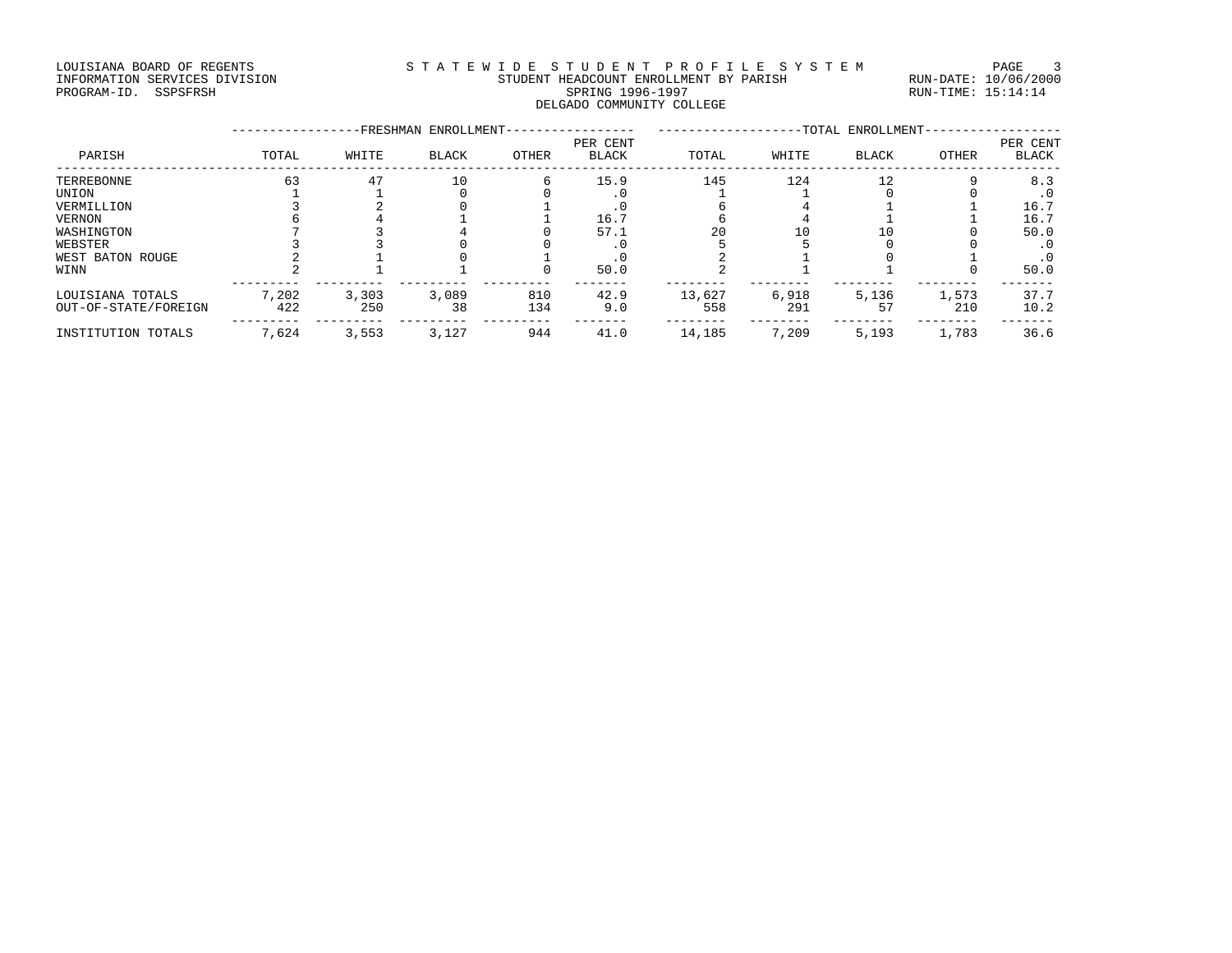#### LOUISIANA BOARD OF REGENTS STATEWIDE STUDENT PROFILE SYSTEM PAGE 3 INFORMATION SERVICES DIVISION STUDENT HEADCOUNT ENROLLMENT BY PARISH RUN-DATE: 10/06/2000 PROGRAM-ID. SSPSFRSH SPRING 1996-1997 SPRING 1996-1997 RUN-TIME: 15:14:14 DELGADO COMMUNITY COLLEGE

|                      |       |       | -FRESHMAN ENROLLMENT- |       |                          |        |       | -TOTAL ENROLLMENT- |       |                          |
|----------------------|-------|-------|-----------------------|-------|--------------------------|--------|-------|--------------------|-------|--------------------------|
| PARISH               | TOTAL | WHITE | <b>BLACK</b>          | OTHER | PER CENT<br><b>BLACK</b> | TOTAL  | WHITE | <b>BLACK</b>       | OTHER | PER CENT<br><b>BLACK</b> |
| TERREBONNE           | 63    | 47    | 10                    | 6     | 15.9                     | 145    | 124   | 12                 |       | 8.3                      |
| UNION                |       |       |                       |       |                          |        |       |                    |       | . 0                      |
| VERMILLION           |       |       |                       |       |                          |        |       |                    |       | 16.7                     |
| <b>VERNON</b>        |       |       |                       |       | 16.7                     |        |       |                    |       | 16.7                     |
| WASHINGTON           |       |       |                       |       | 57.1                     | 20     | 10    | 10                 |       | 50.0                     |
| WEBSTER              |       |       |                       |       |                          |        |       |                    |       | . 0                      |
| WEST BATON ROUGE     |       |       |                       |       |                          |        |       |                    |       | . 0                      |
| WINN                 |       |       |                       |       | 50.0                     |        |       |                    |       | 50.0                     |
| LOUISIANA TOTALS     | 7,202 | 3,303 | 3,089                 | 810   | 42.9                     | 13,627 | 6,918 | 5,136              | 1,573 | 37.7                     |
| OUT-OF-STATE/FOREIGN | 422   | 250   | 38                    | 134   | 9.0                      | 558    | 291   | 57                 | 210   | 10.2                     |
| INSTITUTION TOTALS   | 7,624 | 3,553 | 3,127                 | 944   | 41.0                     | 14,185 | 7,209 | 5,193              | 1,783 | 36.6                     |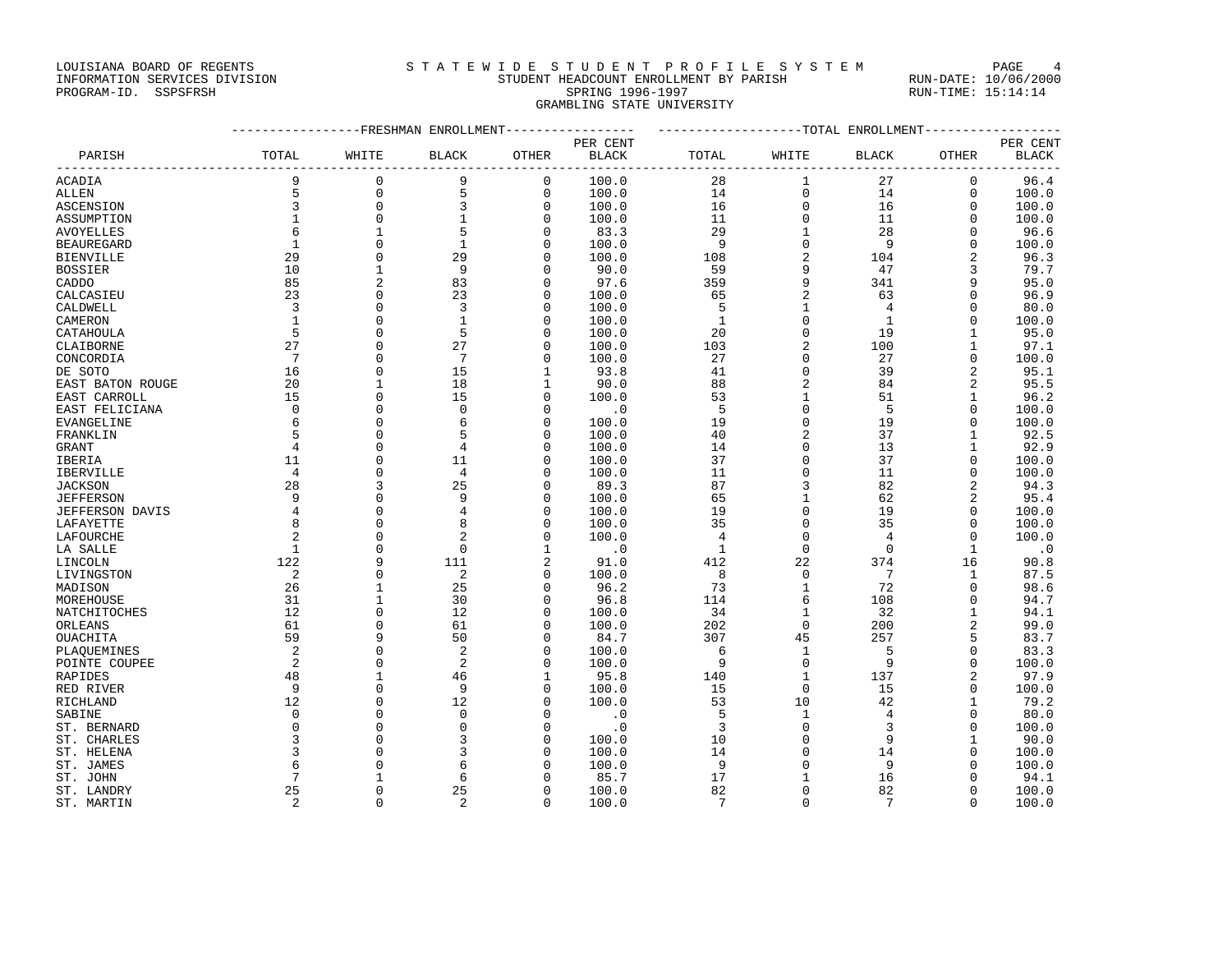#### LOUISIANA BOARD OF REGENTS STA TEWIDE STUDENT PROFILE SYSTEM PAGE 4 INFORMATION SERVICES DIVISION STUDENT HEADCOUNT ENROLLMENT BY PARISH RUN-DATE: 10/06/2000

## PROGRAM-ID. SSPSFRSH SPRING 1996-1997 SPRING 1996-1997 RUN-TIME: 15:14:14 GRAMBLING STATE UNIVERSITY

|                   |                      | ------------FRESHMAN ENROLLMENT----------------- |                |             |              | -------------------TOTAL ENROLLMENT- |                |                |                |           |  |
|-------------------|----------------------|--------------------------------------------------|----------------|-------------|--------------|--------------------------------------|----------------|----------------|----------------|-----------|--|
|                   |                      |                                                  |                |             | PER CENT     |                                      |                |                |                | PER CENT  |  |
| PARISH            | TOTAL                | WHITE                                            | <b>BLACK</b>   | OTHER       | <b>BLACK</b> | TOTAL                                | WHITE          | <b>BLACK</b>   | OTHER          | BLACK     |  |
| ACADIA            | 9                    | $\mathbf{0}$                                     | 9              | $\mathbf 0$ | 100.0        | 28                                   | 1              | 27             | 0              | 96.4      |  |
| <b>ALLEN</b>      | 5                    | $\mathbf{0}$                                     | 5              | $\mathbf 0$ | 100.0        | 14                                   | $\mathsf 0$    | 14             | $\Omega$       | 100.0     |  |
| ASCENSION         | $\overline{3}$       | $\mathbf{0}$                                     | 3              | $\mathbf 0$ | 100.0        | 16                                   | $\mathbf{0}$   | 16             | $\mathbf 0$    | 100.0     |  |
| ASSUMPTION        | $\mathbf{1}$         | $\mathbf{0}$                                     | $\mathbf{1}$   | $\mathbf 0$ | 100.0        | 11                                   | $\mathbf{0}$   | 11             | $\Omega$       | 100.0     |  |
| <b>AVOYELLES</b>  | 6                    | $\mathbf{1}$                                     | 5              | $\Omega$    | 83.3         | 29                                   | $\mathbf 1$    | 28             | $\mathbf 0$    | 96.6      |  |
| <b>BEAUREGARD</b> | $\mathbf{1}$         | $\Omega$                                         | $\mathbf{1}$   | $\Omega$    | 100.0        | 9                                    | $\mathbf 0$    | 9              | $\Omega$       | 100.0     |  |
| <b>BIENVILLE</b>  | 29                   | $\Omega$                                         | 29             | $\Omega$    | 100.0        | 108                                  | $\overline{a}$ | 104            | $\overline{2}$ | 96.3      |  |
| <b>BOSSIER</b>    | 10                   | $\mathbf{1}$                                     | 9              | $\Omega$    | 90.0         | 59                                   | 9              | 47             | 3              | 79.7      |  |
| CADDO             | 85                   | $\overline{2}$                                   | 83             | 0           | 97.6         | 359                                  | 9              | 341            | 9              | 95.0      |  |
| CALCASIEU         | 23                   | $\Omega$                                         | 23             | $\Omega$    | 100.0        | 65                                   | $\overline{a}$ | 63             | $\Omega$       | 96.9      |  |
| CALDWELL          | 3                    | $\Omega$                                         | $\overline{3}$ | 0           | 100.0        | 5                                    | $\mathbf 1$    | $\overline{4}$ | $\Omega$       | 80.0      |  |
| CAMERON           | $\mathbf{1}$         | $\Omega$                                         | $\mathbf{1}$   | 0           | 100.0        | $\mathbf{1}$                         | $\mathbf{0}$   | $\mathbf{1}$   | $\Omega$       | 100.0     |  |
| CATAHOULA         | 5                    | $\Omega$                                         | 5              | $\mathbf 0$ | 100.0        | 20                                   | $\mathbf 0$    | 19             | $\mathbf{1}$   | 95.0      |  |
| CLAIBORNE         | 27                   | $\Omega$                                         | 27             | 0           | 100.0        | 103                                  | $\overline{2}$ | 100            | 1              | 97.1      |  |
| CONCORDIA         | 7                    | $\Omega$                                         | 7              | $\Omega$    | 100.0        | 27                                   | $\Omega$       | 27             | $\Omega$       | 100.0     |  |
| DE SOTO           | 16                   | $\Omega$                                         | 15             | 1           | 93.8         | 41                                   | $\mathbf{0}$   | 39             | $\overline{2}$ | 95.1      |  |
| EAST BATON ROUGE  | 20                   | 1                                                | 18             | 1           | 90.0         | 88                                   | $\overline{2}$ | 84             | 2              | 95.5      |  |
| EAST CARROLL      | 15                   | $\Omega$                                         | 15             | $\Omega$    | 100.0        | 53                                   | $\mathbf{1}$   | 51             | $\mathbf{1}$   | 96.2      |  |
| EAST FELICIANA    | $\mathbf 0$          | $\Omega$                                         | $\Omega$       | $\Omega$    | $\cdot$ 0    | 5                                    | $\mathbf{0}$   | 5              | $\Omega$       | 100.0     |  |
|                   | 6                    | $\Omega$                                         | 6              | $\Omega$    | 100.0        | 19                                   | $\Omega$       | 19             | $\Omega$       | 100.0     |  |
| EVANGELINE        | 5                    | $\Omega$                                         | 5              | $\mathbf 0$ | 100.0        | 40                                   | $\overline{2}$ | 37             | $\mathbf{1}$   | 92.5      |  |
| FRANKLIN          | $\overline{4}$       | $\Omega$                                         | 4              | $\Omega$    |              | 14                                   | $\mathbf{0}$   | 13             | 1              | 92.9      |  |
| <b>GRANT</b>      |                      | $\Omega$                                         | 11             | $\Omega$    | 100.0        | 37                                   | $\mathbf{0}$   | 37             | $\mathbf 0$    |           |  |
| IBERIA            | 11<br>$\overline{4}$ | $\Omega$                                         | $\overline{4}$ |             | 100.0        |                                      | $\mathbf{0}$   | 11             | $\Omega$       | 100.0     |  |
| IBERVILLE         |                      | ζ                                                |                | $\Omega$    | 100.0        | 11                                   |                |                |                | 100.0     |  |
| <b>JACKSON</b>    | 28                   | $\cap$                                           | 25             | $\Omega$    | 89.3         | 87                                   | 3              | 82             | 2              | 94.3      |  |
| <b>JEFFERSON</b>  | 9                    |                                                  | 9              | 0           | 100.0        | 65                                   | $\mathbf{1}$   | 62             | 2              | 95.4      |  |
| JEFFERSON DAVIS   | $\overline{4}$       | $\Omega$                                         |                | $\Omega$    | 100.0        | 19                                   | $\Omega$       | 19             | $\Omega$       | 100.0     |  |
| LAFAYETTE         | 8                    | $\Omega$                                         |                | $\Omega$    | 100.0        | 35                                   | $\Omega$       | 35             | $\Omega$       | 100.0     |  |
| LAFOURCHE         | 2                    | $\Omega$                                         | $\overline{2}$ | 0           | 100.0        | 4                                    | $\Omega$       | $\overline{4}$ | $\Omega$       | 100.0     |  |
| LA SALLE          | 1                    | $\Omega$                                         | $\mathbf 0$    | 1           | $\cdot$ 0    | $\mathbf{1}$                         | $\mathbf 0$    | $\mathbf 0$    | 1              | $\cdot$ 0 |  |
| LINCOLN           | 122                  | 9                                                | 111            | 2           | 91.0         | 412                                  | 22             | 374            | 16             | 90.8      |  |
| LIVINGSTON        | 2                    | $\Omega$                                         | $\overline{a}$ | 0           | 100.0        | 8                                    | $\mathbf 0$    | 7              | 1              | 87.5      |  |
| MADISON           | 26                   | $\mathbf{1}$                                     | 25             | $\Omega$    | 96.2         | 73                                   | $\mathbf{1}$   | 72             | $\Omega$       | 98.6      |  |
| MOREHOUSE         | 31                   | $\mathbf{1}$                                     | 30             | $\Omega$    | 96.8         | 114                                  | 6              | 108            | $\Omega$       | 94.7      |  |
| NATCHITOCHES      | 12                   | $\Omega$                                         | 12             | 0           | 100.0        | 34                                   | 1              | 32             | 1              | 94.1      |  |
| ORLEANS           | 61                   | $\Omega$                                         | 61             | $\Omega$    | 100.0        | 202                                  | $\mathbf{0}$   | 200            | $\overline{a}$ | 99.0      |  |
| OUACHITA          | 59                   | 9                                                | 50             | $\Omega$    | 84.7         | 307                                  | 45             | 257            | 5              | 83.7      |  |
| PLAQUEMINES       | 2                    | $\Omega$                                         | $\overline{2}$ | $\Omega$    | 100.0        | 6                                    | $\mathbf{1}$   | 5              | $\Omega$       | 83.3      |  |
| POINTE COUPEE     | 2                    | $\Omega$                                         | $\overline{2}$ | 0           | 100.0        | 9                                    | $\mathbf 0$    | 9              | $\mathbf 0$    | 100.0     |  |
| RAPIDES           | 48                   |                                                  | 46             | 1           | 95.8         | 140                                  | $\mathbf{1}$   | 137            | $\overline{2}$ | 97.9      |  |
| RED RIVER         | 9                    | $\Omega$                                         | 9              | $\mathbf 0$ | 100.0        | 15                                   | $\mathbf{0}$   | 15             | $\mathbf 0$    | 100.0     |  |
| RICHLAND          | 12                   | $\Omega$                                         | 12             | $\Omega$    | 100.0        | 53                                   | 10             | 42             | $\mathbf{1}$   | 79.2      |  |
| SABINE            | $\Omega$             | $\Omega$                                         | $\Omega$       | U           | $\cdot$ 0    | 5                                    | 1              | 4              | $\Omega$       | 80.0      |  |
| ST. BERNARD       | $\mathbf 0$          | $\cap$                                           | $\cap$         | 0           | $\cdot$ 0    | 3                                    | $\mathbf{0}$   | 3              | $\Omega$       | 100.0     |  |
| ST. CHARLES       | 3                    |                                                  |                | 0           | 100.0        | 10                                   | $\mathbf{0}$   | 9              | 1              | 90.0      |  |
| ST. HELENA        | ζ                    |                                                  |                | U           | 100.0        | 14                                   | $\Omega$       | 14             | $\Omega$       | 100.0     |  |
| ST. JAMES         | 6                    |                                                  | 6              | O           | 100.0        | 9                                    | $\Omega$       | 9              | $\Omega$       | 100.0     |  |
| ST. JOHN          |                      |                                                  | 6              | 0           | 85.7         | 17                                   |                | 16             | 0              | 94.1      |  |
| ST. LANDRY        | 25                   | $\Omega$                                         | 25             | $\mathbf 0$ | 100.0        | 82                                   | $\Omega$       | 82             | $\mathbf 0$    | 100.0     |  |
| ST. MARTIN        | 2                    | $\Omega$                                         | $\overline{2}$ | $\Omega$    | 100.0        | 7                                    | $\Omega$       | 7              | $\Omega$       | 100.0     |  |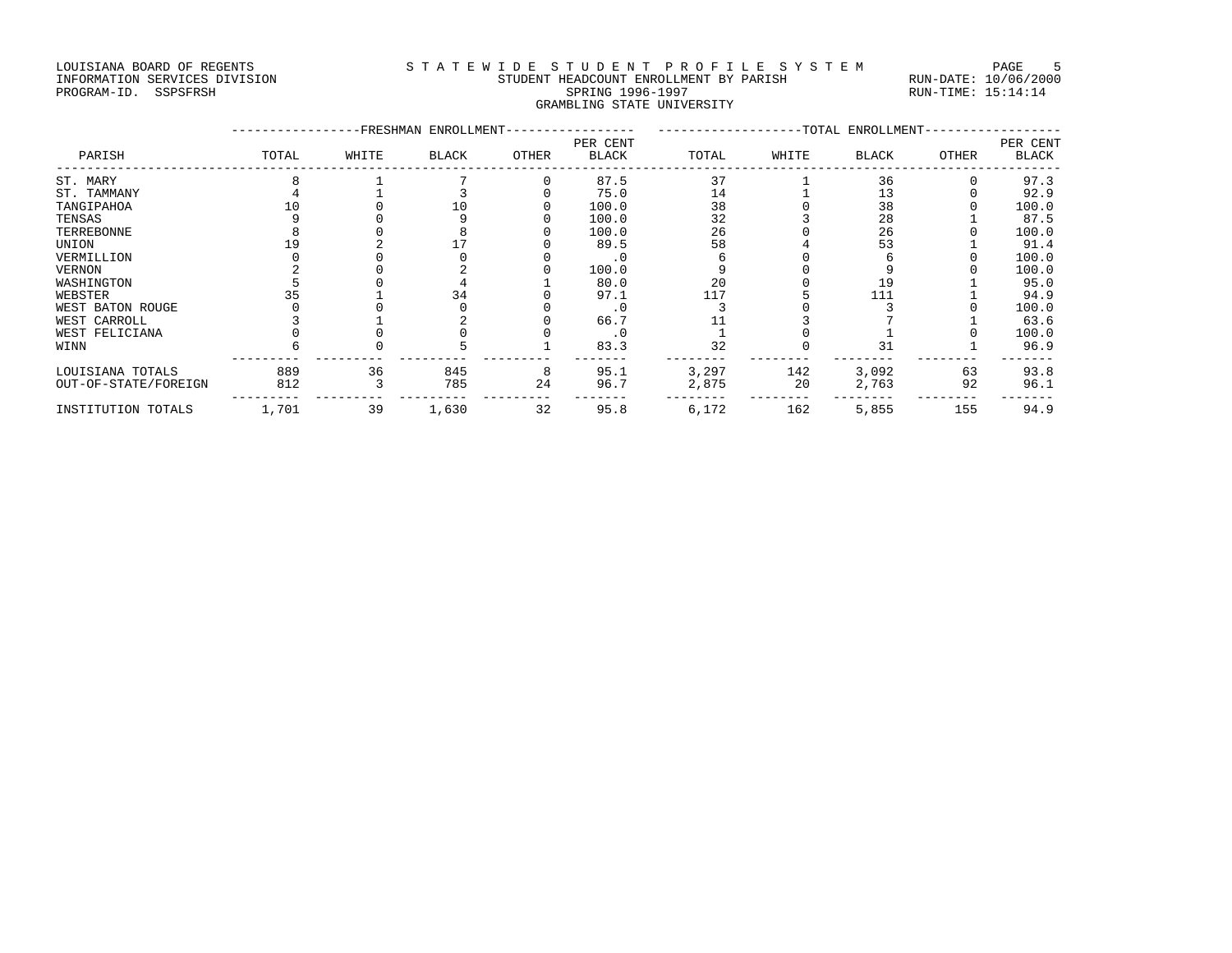## LOUISIANA BOARD OF REGENTS STATEWIDE STUDENT PROFILE SYSTEM PAGE 5 INFORMATION SERVICES DIVISION STUDENT HEADCOUNT ENROLLMENT BY PARISH RUN-DATE: 10/06/2000

## PROGRAM-ID. SSPSFRSH SPRING 1996-1997 SPRING 1996-1997 RUN-TIME: 15:14:14 GRAMBLING STATE UNIVERSITY

|                      | -FRESHMAN ENROLLMENT- |       |              |       |                          | -TOTAL ENROLLMENT- |       |       |       |                          |
|----------------------|-----------------------|-------|--------------|-------|--------------------------|--------------------|-------|-------|-------|--------------------------|
| PARISH               | TOTAL                 | WHITE | <b>BLACK</b> | OTHER | PER CENT<br><b>BLACK</b> | TOTAL              | WHITE | BLACK | OTHER | PER CENT<br><b>BLACK</b> |
| ST. MARY             |                       |       |              |       | 87.5                     | 37                 |       | 36    |       | 97.3                     |
| ST. TAMMANY          |                       |       |              |       | 75.0                     | 14                 |       | 13    |       | 92.9                     |
| TANGIPAHOA           |                       |       | 10           |       | 100.0                    | 38                 |       | 38    |       | 100.0                    |
| TENSAS               |                       |       |              |       | 100.0                    | 32                 |       | 28    |       | 87.5                     |
| TERREBONNE           |                       |       |              |       | 100.0                    | 26                 |       | 26    |       | 100.0                    |
| UNION                |                       |       |              |       | 89.5                     | 58                 |       | 53    |       | 91.4                     |
| VERMILLION           |                       |       |              |       |                          |                    |       |       |       | 100.0                    |
| VERNON               |                       |       |              |       | 100.0                    |                    |       |       |       | 100.0                    |
| WASHINGTON           |                       |       |              |       | 80.0                     | 20                 |       | 19    |       | 95.0                     |
| WEBSTER              |                       |       | 34           |       | 97.1                     | 117                |       | 111   |       | 94.9                     |
| WEST BATON ROUGE     |                       |       |              |       | $\cdot$ 0                |                    |       |       |       | 100.0                    |
| WEST CARROLL         |                       |       |              |       | 66.7                     |                    |       |       |       | 63.6                     |
| WEST FELICIANA       |                       |       |              |       | . 0                      |                    |       |       |       | 100.0                    |
| WINN                 |                       |       |              |       | 83.3                     | 32                 |       | 31    |       | 96.9                     |
| LOUISIANA TOTALS     | 889                   | 36    | 845          | 8     | 95.1                     | 3,297              | 142   | 3,092 | 63    | 93.8                     |
| OUT-OF-STATE/FOREIGN | 812                   |       | 785          | 24    | 96.7                     | 2,875              | 20    | 2,763 | 92    | 96.1                     |
| INSTITUTION TOTALS   | 1,701                 | 39    | 1,630        | 32    | 95.8                     | 6,172              | 162   | 5,855 | 155   | 94.9                     |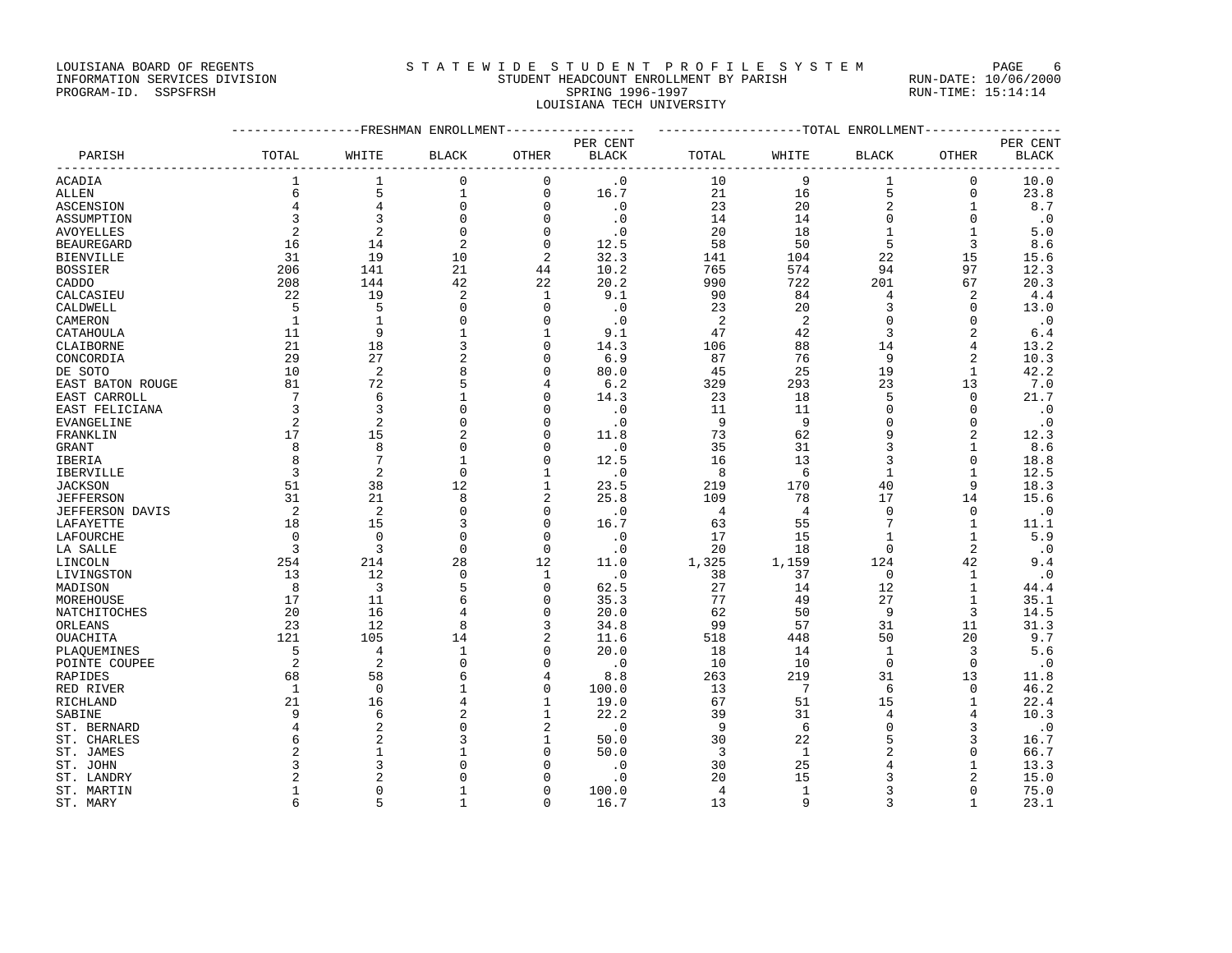#### LOUISIANA BOARD OF REGENTS STATEWIDE STUDENT PROFILE SYSTEM PAGE 6 INFORMATION SERVICES DIVISION STUDENT HEADCOUNT ENROLLMENT BY PARISH RUN-DATE: 10/06/2000 PROGRAM-ID. SSPSFRSH SPRING 1996-1997 SPRING 1996-1997 RUN-TIME: 15:14:14 LOUISIANA TECH UNIVERSITY

| PARISH            | TOTAL          | WHITE          | <b>BLACK</b>   | OTHER          | PER CENT<br>BLACK           | TOTAL          | WHITE           | <b>BLACK</b>   | OTHER          | PER CENT<br><b>BLACK</b> |
|-------------------|----------------|----------------|----------------|----------------|-----------------------------|----------------|-----------------|----------------|----------------|--------------------------|
| ACADIA            | $\mathbf{1}$   | $\mathbf{1}$   | $\mathbf 0$    | $\mathbf 0$    | $\cdot$ 0                   | 10             | 9               | $\mathbf{1}$   | $\mathbf 0$    | 10.0                     |
| ALLEN             | 6              | 5              | $\mathbf{1}$   | 0              | 16.7                        | 21             | 16              | 5              | $\mathbf 0$    | 23.8                     |
| ASCENSION         | $\overline{4}$ | 4              | $\mathbf 0$    | $\Omega$       | $\cdot$ 0                   | 23             | 20              | $\overline{c}$ | 1              | 8.7                      |
| ASSUMPTION        | 3              | $\overline{3}$ | $\Omega$       | $\Omega$       | $\cdot$ 0                   | 14             | 14              | $\mathbf 0$    | $\Omega$       | $\cdot$ 0                |
| AVOYELLES         | $\overline{2}$ | 2              | $\mathbf 0$    | $\mathbf 0$    | $\cdot$ 0                   | 20             | 18              | $\mathbf{1}$   | 1              | 5.0                      |
| <b>BEAUREGARD</b> | 16             | 14             | $\overline{2}$ | $\mathbf 0$    | 12.5                        | 58             | 50              | 5              | 3              | 8.6                      |
| BIENVILLE         | 31             | 19             | 10             | 2              | 32.3                        | 141            | 104             | 22             | 15             | 15.6                     |
| BOSSIER           | 206            | 141            | 21             | 44             | 10.2                        | 765            | 574             | 94             | 97             | 12.3                     |
| CADDO             | 208            | 144            | 42             | 22             | 20.2                        | 990            | 722             | 201            | 67             | 20.3                     |
| CALCASIEU         | 22             | 19             | 2              | 1              | 9.1                         | 90             | 84              | 4              | 2              | 4.4                      |
| CALDWELL          | 5              | 5              | $\Omega$       | $\Omega$       | $\cdot$ . 0                 | 23             | 20              | 3              | $\Omega$       | 13.0                     |
| CAMERON           | 1              | $\mathbf{1}$   | $\Omega$       | $\Omega$       | $\cdot$ 0                   | 2              | 2               | $\mathbf 0$    | $\Omega$       | $\cdot$ 0                |
| CATAHOULA         | 11             | 9              | $\mathbf{1}$   | 1              | 9.1                         | 47             | 42              | 3              | 2              | 6.4                      |
| CLAIBORNE         | 21             | 18             | 3              | $\Omega$       | 14.3                        | 106            | 88              | 14             | 4              | 13.2                     |
| CONCORDIA         | 29             | 27             | $\overline{2}$ | $\Omega$       | 6.9                         | 87             | 76              | 9              | 2              | 10.3                     |
| DE SOTO           | 10             | 2              | 8              | $\Omega$       | 80.0                        | 45             | 25              | 19             | 1              | 42.2                     |
| EAST BATON ROUGE  | 81             | 72             | 5              |                | 6.2                         | 329            | 293             | 23             | 13             | 7.0                      |
| EAST CARROLL      | 7              | 6              | $\mathbf{1}$   | $\Omega$       | 14.3                        | 23             | 18              | 5              | $\Omega$       | 21.7                     |
| EAST FELICIANA    | 3              | 3              | $\Omega$       | $\Omega$       | $\cdot$ 0                   | 11             | 11              | $\mathbf 0$    | $\Omega$       | $\cdot$ 0                |
| EVANGELINE        | $\overline{2}$ | 2              | $\Omega$       | $\Omega$       | $\cdot$ 0                   | 9              | 9               | $\Omega$       | $\Omega$       | $\cdot$ 0                |
| FRANKLIN          | 17             | 15             | $\overline{2}$ | 0              | 11.8                        | 73             | 62              | 9              | $\overline{2}$ | 12.3                     |
| GRANT             | 8              | 8              | $\mathbf 0$    | $\Omega$       | $\cdot$ 0                   | 35             | 31              | 3              | 1              | 8.6                      |
| IBERIA            | 8              | 7              | 1              | $\Omega$       | 12.5                        | 16             | 13              | 3              | $\Omega$       | 18.8                     |
| IBERVILLE         | 3              | 2              | $\mathbf 0$    | -1             | $\cdot$ 0                   | 8              | 6               | 1              | 1              | 12.5                     |
| JACKSON           | 51             | 38             | 12             | $\mathbf{1}$   | 23.5                        | 219            | 170             | 40             | 9              | 18.3                     |
| JEFFERSON         | 31             | 21             | 8              | $\overline{a}$ | 25.8                        | 109            | 78              | 17             | 14             | 15.6                     |
| JEFFERSON DAVIS   | 2              | 2              | $\mathbf 0$    | $\Omega$       | $\cdot$ 0                   | 4              | $\overline{4}$  | $\overline{0}$ | $\Omega$       | $\cdot$ 0                |
| LAFAYETTE         | 18             | 15             | 3              | $\Omega$       | 16.7                        | 63             | 55              | 7              | 1              | 11.1                     |
| LAFOURCHE         | $\mathbf 0$    | $\Omega$       | $\mathbf 0$    | $\mathbf 0$    | $\cdot$ 0                   | 17             | 15              | 1              | 1              | 5.9                      |
| LA SALLE          | $\overline{3}$ | 3              | $\Omega$       | $\Omega$       | $\cdot$ 0                   | 20             | 18              | $\Omega$       | 2              | $\cdot$ 0                |
| LINCOLN           | 254            | 214            | 28             | 12             | 11.0                        | 1,325          | 1,159           | 124            | 42             | 9.4                      |
| LIVINGSTON        | 13             | 12             | $\mathbf 0$    | 1              | $\cdot$ 0                   | 38             | 37              | $\overline{0}$ | 1              | $\cdot$ 0                |
| MADISON           | - 8            | $\overline{3}$ | 5              | $\mathbf 0$    | 62.5                        | 27             | 14              | 12             | $\mathbf{1}$   | 44.4                     |
| MOREHOUSE         | 17             | 11             | 6              | $\Omega$       | 35.3                        | 77             | 49              | 27             | $\mathbf{1}$   | 35.1                     |
| NATCHITOCHES      | 20             | 16             | 4              | $\Omega$       | 20.0                        | 62             | 50              | -9             | 3              | 14.5                     |
| ORLEANS           | 23             | 12             | 8              | 3              | 34.8                        | 99             | 57              | 31             | 11             | 31.3                     |
| OUACHITA          | 121            | 105            | 14             | 2              | 11.6                        | 518            | 448             | 50             | 20             | 9.7                      |
| PLAQUEMINES       | 5              | 4              | $\mathbf{1}$   | $\mathbf 0$    | 20.0                        | 18             | 14              | $\mathbf{1}$   | 3              | 5.6                      |
| POINTE COUPEE     | $\overline{2}$ | 2              | $\Omega$       | $\Omega$       | $\cdot$ 0                   | 10             | 10              | $\mathbf 0$    | 0              | $\cdot$ 0                |
| RAPIDES           | 68             | 58             | 6              | 4              | 8.8                         | 263            | 219             | 31             | 13             | 11.8                     |
| RED RIVER         | 1              | $\mathbf 0$    | $\mathbf{1}$   | 0              | 100.0                       | 13             | $7\phantom{.0}$ | 6              | $\Omega$       | 46.2                     |
| RICHLAND          | 21             | 16             | 4              | $\mathbf{1}$   | 19.0                        | 67             | 51              | 15             | $\mathbf{1}$   | 22.4                     |
| SABINE            | 9              | 6              | $\overline{2}$ | -1             | 22.2                        | 39             | 31              | 4              | 4              | 10.3                     |
| ST. BERNARD       | $\overline{4}$ | $\overline{a}$ | $\Omega$       | 2              | $\overline{\phantom{0}}$ .0 | 9              | 6               | $\mathbf 0$    | 3              | $\cdot$ 0                |
| ST. CHARLES       | 6              | $\overline{2}$ | 3              | $\mathbf{1}$   | 50.0                        | 30             | 22              | 5              | 3              | 16.7                     |
| ST. JAMES         | $\overline{2}$ |                | 1              | $\Omega$       | 50.0                        | 3              | 1               | $\overline{2}$ | $\Omega$       | 66.7                     |
| ST. JOHN          | 3              | 3              | $\Omega$       |                | . 0                         | 30             | 25              | 4              |                | 13.3                     |
| ST. LANDRY        | 2              |                | $\Omega$       | $\Omega$       | $\cdot$ 0                   | 20             | 15              | 3              | $\overline{2}$ | 15.0                     |
| ST. MARTIN        | $\mathbf{1}$   | $\Omega$       | $\mathbf{1}$   | $\Omega$       | 100.0                       | $\overline{4}$ | $\mathbf{1}$    | 3              | $\Omega$       | 75.0                     |

ST. MARY 6 5 1 0 16.7 13 9 3 1 23.1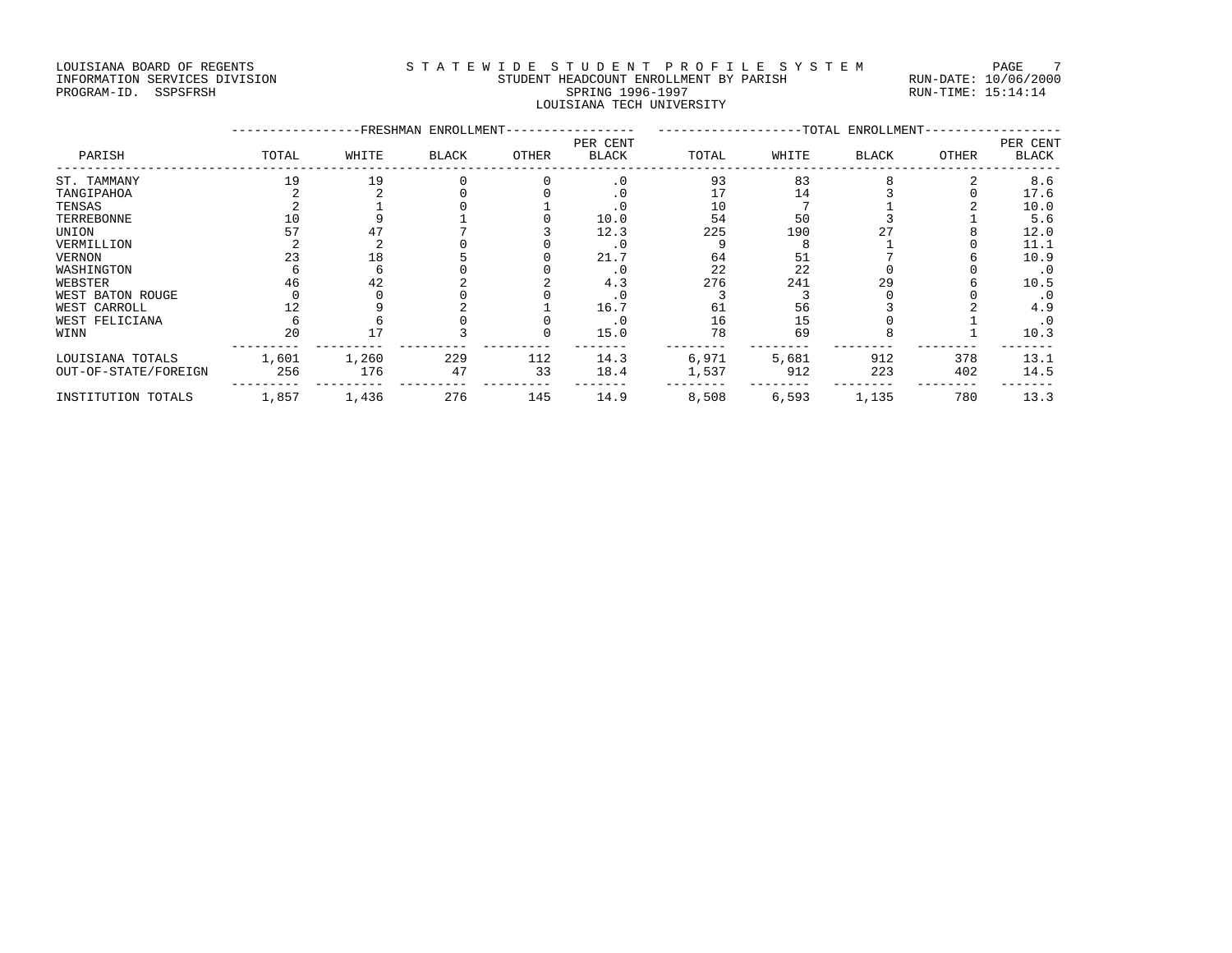#### LOUISIANA BOARD OF REGENTS STA TEWIDE STUDENT PROFILE SYSTEM PAGE 7 INFORMATION SERVICES DIVISION STUDENT HEADCOUNT ENROLLMENT BY PARISH RUN-DATE: 10/06/2000 PROGRAM-ID. SSPSFRSH SPRING 1996-1997 SPRING 1996-1997 RUN-TIME: 15:14:14 LOUISIANA TECH UNIVERSITY

|                      |       | <b>FRESHMAN</b> | ENROLLMENT-  |       | -TOTAL ENROLLMENT        |       |       |              | PER CENT |              |
|----------------------|-------|-----------------|--------------|-------|--------------------------|-------|-------|--------------|----------|--------------|
| PARISH               | TOTAL | WHITE           | <b>BLACK</b> | OTHER | PER CENT<br><b>BLACK</b> | TOTAL | WHITE | <b>BLACK</b> | OTHER    | <b>BLACK</b> |
| ST. TAMMANY          | 19    | 19              |              |       | $\cdot$ 0                | 93    | 83    |              |          | 8.6          |
| TANGIPAHOA           |       |                 |              |       |                          |       | 14    |              |          | 17.6         |
| TENSAS               |       |                 |              |       | . 0                      | 10    |       |              |          | 10.0         |
| TERREBONNE           | 10    |                 |              |       | 10.0                     | 54    | 50    |              |          | 5.6          |
| UNION                | 57    |                 |              |       | 12.3                     | 225   | 190   |              |          | 12.0         |
| VERMILLION           |       |                 |              |       | . 0                      |       |       |              |          | 11.1         |
| <b>VERNON</b>        | 23    | 18              |              |       | 21.7                     | 64    | 51    |              |          | 10.9         |
| WASHINGTON           |       |                 |              |       |                          | 22    | 22    |              |          | $\cdot$ 0    |
| WEBSTER              | 46    | 42              |              |       | 4.3                      | 276   | 241   | 29           |          | 10.5         |
| WEST BATON ROUGE     |       |                 |              |       | . 0                      |       |       |              |          | . 0          |
| WEST CARROLL         |       |                 |              |       | 16.7                     | 61    | 56    |              |          | 4.9          |
| WEST FELICIANA       |       |                 |              |       | $\cdot$ 0                | 16    | 15    |              |          | $\cdot$ 0    |
| WINN                 | 20    | 17              |              |       | 15.0                     | 78    | 69    |              |          | 10.3         |
| LOUISIANA TOTALS     | 1,601 | 1,260           | 229          | 112   | 14.3                     | 6,971 | 5,681 | 912          | 378      | 13.1         |
| OUT-OF-STATE/FOREIGN | 256   | 176             | 47           | 33    | 18.4                     | 1,537 | 912   | 223          | 402      | 14.5         |
| INSTITUTION TOTALS   | 1,857 | 1,436           | 276          | 145   | 14.9                     | 8,508 | 6,593 | 1,135        | 780      | 13.3         |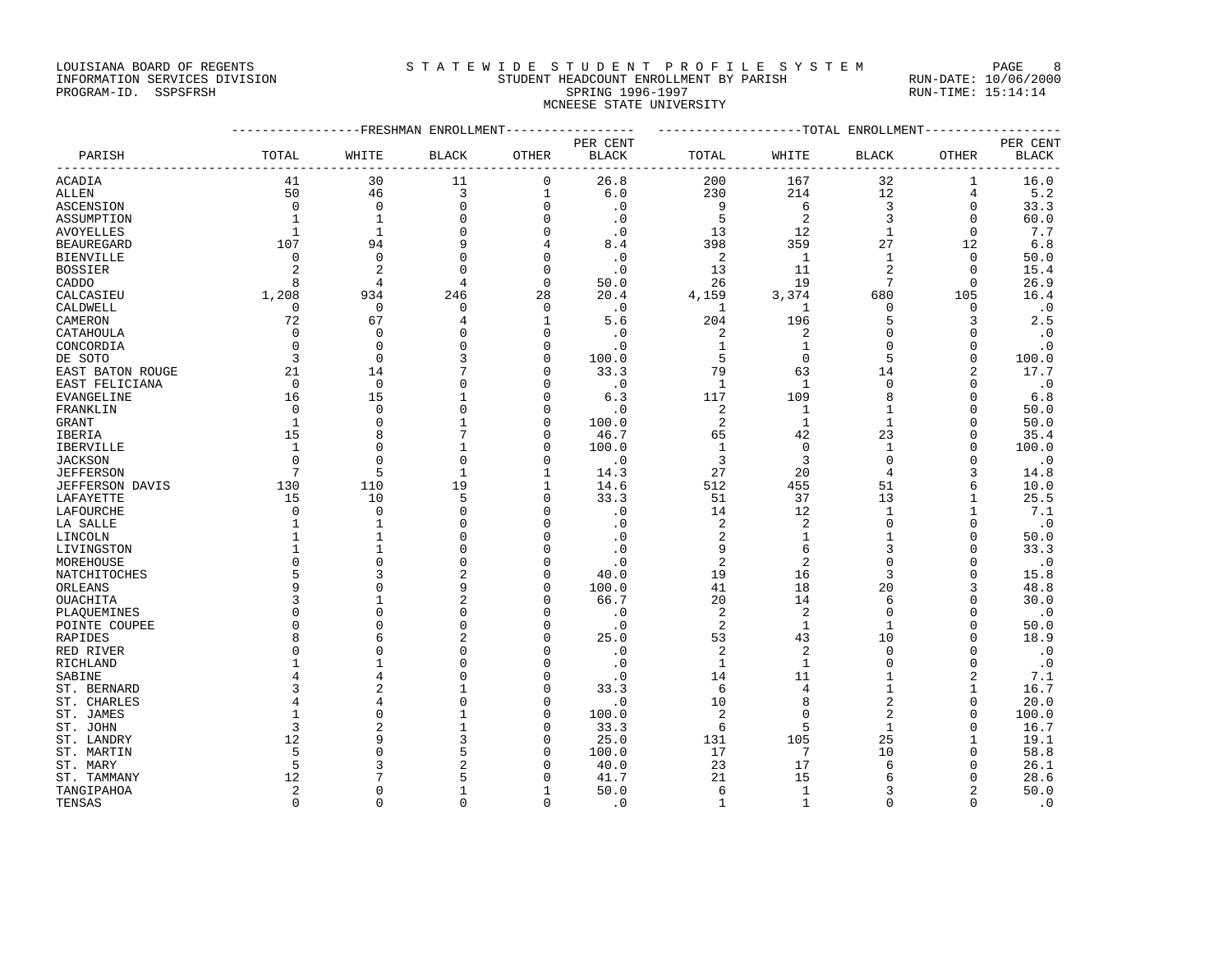### LOUISIANA BOARD OF REGENTS STATEWIDE STUDENT PROFILE SYSTEM PAGE 8 INFORMATION SERVICES DIVISION STUDENT HEADCOUNT ENROLLMENT BY PARISH RUN-DATE: 10/06/2000

PROGRAM-ID. SSPSFRSH SPRING 1996-1997 SPRING 1996-1997 RUN-TIME: 15:14:14 MCNEESE STATE UNIVERSITY

|                       |                      |                      | ------------FRESHMAN ENROLLMENT- |               |                                       | -------------------TOTAL ENROLLMENT-------------- |                      |                   |                      |                                 |  |
|-----------------------|----------------------|----------------------|----------------------------------|---------------|---------------------------------------|---------------------------------------------------|----------------------|-------------------|----------------------|---------------------------------|--|
|                       |                      |                      |                                  |               | PER CENT                              |                                                   |                      |                   |                      | PER CENT                        |  |
| PARISH                | TOTAL                | WHITE                | <b>BLACK</b>                     | OTHER         | <b>BLACK</b><br>--------------------- | TOTAL                                             | WHITE                | BLACK             | OTHER                | <b>BLACK</b><br>--------------- |  |
| ACADIA                | 41                   | 30                   | 11                               | $\mathbf 0$   | 26.8                                  | 200                                               | 167                  | 32                | 1                    | 16.0                            |  |
| ALLEN                 | 50                   | 46                   | $\overline{3}$                   | $\mathbf{1}$  | 6.0                                   | 230                                               | 214                  | 12                | $\overline{4}$       | 5.2                             |  |
| <b>ASCENSION</b>      | $\mathbf 0$          | $\Omega$             | $\Omega$                         | $\Omega$      | $\cdot$ 0                             | 9                                                 | 6                    | 3                 | $\Omega$             | 33.3                            |  |
| ASSUMPTION            | $\mathbf{1}$         | $\mathbf{1}$         | $\mathbf 0$                      | $\Omega$      | $\cdot$ 0                             | 5                                                 | 2                    | 3                 | $\Omega$             | 60.0                            |  |
| AVOYELLES             | 1                    | $\mathbf{1}$         | $\mathbf 0$                      | $\mathbf 0$   | $\cdot$ 0                             | 13                                                | 12                   | $\mathbf{1}$      | $\mathbf 0$          | 7.7                             |  |
| <b>BEAUREGARD</b>     | 107                  | 94                   | 9                                | 4             | 8.4                                   | 398                                               | 359                  | 27                | 12                   | 6.8                             |  |
| <b>BIENVILLE</b>      | 0                    | $\Omega$             | $\mathbf 0$                      | 0             | $\cdot$ 0                             | 2                                                 | 1                    | $\mathbf{1}$      | 0                    | 50.0                            |  |
| <b>BOSSIER</b>        | 2                    | $\overline{2}$       | $\Omega$                         | $\Omega$      | $\cdot$ 0                             | 13                                                | 11                   | $\overline{2}$    | $\Omega$             | 15.4                            |  |
| CADDO                 | 8                    | $\overline{4}$       | 4                                | $\mathbf 0$   | 50.0                                  | 26                                                | 19                   | $7\phantom{.0}$   | 0                    | 26.9                            |  |
| CALCASIEU             | 1,208                | 934                  | 246                              | 28            | 20.4                                  | 4,159                                             | 3,374                | 680               | 105                  | 16.4                            |  |
| CALDWELL              | $\mathbf 0$          | $\mathbf{0}$         | $\mathbf 0$                      | $\mathbf 0$   | $\cdot$ 0                             | 1                                                 | 1                    | $\mathbf 0$       | $\mathbf 0$          | $\cdot$ 0                       |  |
| CAMERON               | 72                   | 67                   | 4                                | $\mathbf{1}$  | 5.6                                   | 204                                               | 196                  | 5                 | 3                    | 2.5                             |  |
| CATAHOULA             | $\mathbf 0$          | $\Omega$             | $\mathbf 0$                      | $\Omega$      | $\cdot$ 0                             | 2                                                 | 2                    | $\mathbf 0$       | $\Omega$             | $\cdot$ 0                       |  |
| CONCORDIA             | $\mathbf 0$          | $\Omega$             | $\mathbf 0$                      | 0             | $\cdot$ 0                             | 1                                                 | 1                    | $\mathbf 0$       | $\Omega$             | . 0                             |  |
| DE SOTO               | 3                    | $\Omega$             | 3                                | $\Omega$      | 100.0                                 | 5                                                 | $\Omega$             | 5                 | $\Omega$             | 100.0                           |  |
| EAST BATON ROUGE      | 21                   | 14                   | 7                                | $\mathbf 0$   | 33.3                                  | 79                                                | 63                   | 14                | 2                    | 17.7                            |  |
| EAST FELICIANA        | $\Omega$             | $\Omega$             | $\Omega$                         | $\Omega$      | $\cdot$ 0                             | $\mathbf{1}$                                      | $\mathbf{1}$         | $\mathbf 0$       | $\Omega$             | $\cdot$ 0                       |  |
| EVANGELINE            | 16                   | 15                   | $\mathbf{1}$                     | $\mathbf 0$   | 6.3                                   | 117                                               | 109                  | 8                 | $\Omega$             | 6.8                             |  |
| FRANKLIN              | $\Omega$             | $\Omega$             | $\Omega$                         | O             | $\cdot$ 0                             | 2                                                 | 1                    | $\mathbf{1}$      | $\Omega$             | 50.0                            |  |
| GRANT                 | $\mathbf{1}$         | $\Omega$             | $\mathbf{1}$                     | O             | 100.0                                 | 2                                                 | $\mathbf{1}$         | $\mathbf{1}$      | $\Omega$             | 50.0                            |  |
| IBERIA                | 15                   | 8                    | 7                                | 0             | 46.7                                  | 65                                                | 42                   | 23                | $\Omega$             | 35.4                            |  |
| <b>IBERVILLE</b>      | $\mathbf{1}$         | $\mathbf{0}$         | $\mathbf{1}$                     | O             | 100.0                                 | $\mathbf{1}$                                      | $\mathbf 0$          | $\mathbf{1}$      | $\Omega$             | 100.0                           |  |
| <b>JACKSON</b>        | $\mathbf 0$          | $\Omega$             | $\mathbf 0$                      | O             | $\cdot$ 0                             | 3                                                 | 3                    | $\mathbf 0$       | $\Omega$             | $\cdot$ 0                       |  |
| <b>JEFFERSON</b>      | 7                    | 5                    | $\mathbf{1}$                     | $\mathbf{1}$  | 14.3                                  | 27                                                | 20                   | $\overline{4}$    | 3                    | 14.8                            |  |
| JEFFERSON DAVIS       | 130                  | 110                  | 19                               | 1             | 14.6                                  | 512                                               | 455                  | 51                | 6                    | 10.0                            |  |
| LAFAYETTE             | 15                   | 10                   | 5                                | $\Omega$      | 33.3                                  | 51                                                | 37                   | 13                | $\mathbf{1}$         | 25.5                            |  |
| LAFOURCHE             | $\mathbf 0$          | $\Omega$             | $\mathbf 0$                      | 0             | $\cdot$ 0                             | 14                                                | 12                   | $\mathbf{1}$      | 1                    | 7.1                             |  |
| LA SALLE              | 1                    |                      | $\Omega$                         | $\Omega$      | $\cdot$ 0                             | 2                                                 | 2                    | $\mathbf 0$       | $\Omega$             | $\cdot$ 0                       |  |
| LINCOLN               | $\mathbf{1}$         |                      | $\mathbf 0$                      | O             | $\cdot$ 0                             | $\overline{c}$                                    | $1\,$                | $\mathbf 1$       | $\Omega$             | 50.0                            |  |
| LIVINGSTON            | 1                    | 1                    | $\mathbf 0$                      | $\mathbf 0$   | $\cdot$ 0                             | 9                                                 | 6                    | 3                 | $\Omega$             | 33.3                            |  |
| MOREHOUSE             | $\mathbf 0$          | $\mathbf{0}$         | $\mathbf 0$                      | $\mathbf 0$   | $\cdot$ 0                             | $\overline{2}$                                    | $\overline{2}$       | $\mathbf 0$       | $\Omega$             | $\cdot$ 0                       |  |
| NATCHITOCHES          | 5                    | 3                    | $\sqrt{2}$                       | 0             | 40.0                                  | 19                                                | 16                   | 3                 | $\Omega$             | 15.8                            |  |
| ORLEANS               | 9                    | $\Omega$             | 9                                | $\Omega$      | 100.0                                 | 41                                                | 18                   | 20                | 3                    | 48.8                            |  |
| OUACHITA              | 3                    |                      | $\overline{2}$                   | 0             | 66.7                                  | 20                                                | 14                   | 6                 | $\Omega$             | 30.0                            |  |
| PLAQUEMINES           | $\Omega$<br>$\Omega$ | $\Omega$<br>$\Omega$ | $\Omega$                         | $\Omega$      | $\cdot$ 0                             | 2                                                 | 2                    | $\mathbf 0$       | $\Omega$             | $\cdot$ 0                       |  |
| POINTE COUPEE         | 8                    | 6                    | $\mathbf 0$                      | $\mathbf 0$   | $\cdot$ 0                             | 2                                                 | $\mathbf{1}$         | $\mathbf 1$       | $\Omega$<br>$\Omega$ | 50.0                            |  |
| RAPIDES               | $\Omega$             | $\Omega$             | 2<br>$\mathbf 0$                 | $\Omega$<br>O | 25.0<br>$\cdot$ 0                     | 53<br>2                                           | 43<br>$\overline{2}$ | 10<br>$\mathbf 0$ | $\Omega$             | 18.9                            |  |
| RED RIVER<br>RICHLAND | 1                    | 1                    | $\mathbf 0$                      | $\mathbf 0$   | $\cdot$ 0                             | $\mathbf{1}$                                      | 1                    | $\mathbf 0$       | $\Omega$             | $\cdot$ 0<br>$\cdot$ 0          |  |
| SABINE                | 4                    | $\overline{4}$       | $\mathbf 0$                      | $\mathbf 0$   | $\cdot$ 0                             | 14                                                | 11                   | $\mathbf{1}$      | $\overline{c}$       | 7.1                             |  |
| ST. BERNARD           | 3                    | 2                    | $\mathbf{1}$                     | $\Omega$      | 33.3                                  | 6                                                 | 4                    | 1                 | $\mathbf{1}$         | 16.7                            |  |
| ST. CHARLES           |                      | $\overline{4}$       | $\mathbf 0$                      | $\Omega$      | $\cdot$ 0                             | 10                                                | 8                    | $\overline{2}$    | $\Omega$             | 20.0                            |  |
| ST. JAMES             | $\mathbf{1}$         | $\Omega$             | $\mathbf{1}$                     | $\Omega$      | 100.0                                 | 2                                                 | $\mathbf{0}$         | $\overline{2}$    | $\Omega$             | 100.0                           |  |
| ST. JOHN              | 3                    | $\overline{a}$       | $\mathbf{1}$                     | O             | 33.3                                  | 6                                                 | 5                    | $\mathbf{1}$      | $\Omega$             | 16.7                            |  |
| ST. LANDRY            | 12                   | 9                    | 3                                | 0             | 25.0                                  | 131                                               | 105                  | 25                | $\mathbf{1}$         | 19.1                            |  |
| ST. MARTIN            | 5                    | $\Omega$             | 5                                | O             | 100.0                                 | 17                                                | 7                    | 10                | $\Omega$             | 58.8                            |  |
| ST. MARY              | 5                    | 3                    | $\overline{2}$                   | O             | 40.0                                  | 23                                                | 17                   | 6                 | $\Omega$             | 26.1                            |  |
| ST. TAMMANY           | 12                   | 7                    | 5                                |               | 41.7                                  | 21                                                | 15                   | 6                 | $\Omega$             | 28.6                            |  |
| TANGIPAHOA            | $\overline{2}$       | $\Omega$             | $\mathbf{1}$                     |               | 50.0                                  | 6                                                 | $\mathbf{1}$         | 3                 | $\overline{c}$       | 50.0                            |  |
| TENSAS                | $\Omega$             | $\Omega$             | $\Omega$                         | $\Omega$      | $\cdot$ 0                             | $\mathbf{1}$                                      | $\mathbf{1}$         | $\Omega$          | $\Omega$             | $\cdot$ 0                       |  |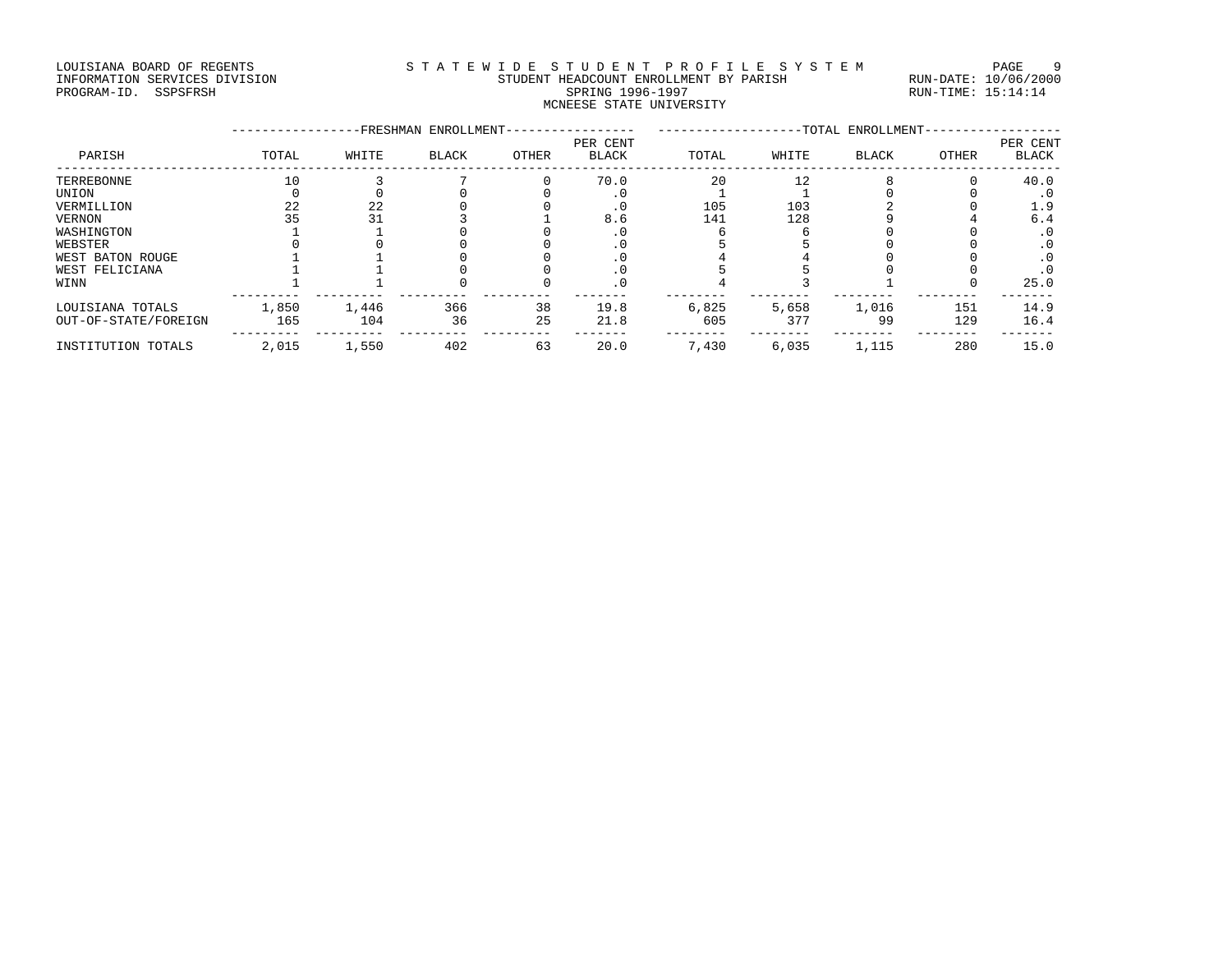#### LOUISIANA BOARD OF REGENTS STA TEWIDE STUDENT PROFILE SYSTEM PAGE 9 INFORMATION SERVICES DIVISION STUDENT HEADCOUNT ENROLLMENT BY PARISH RUN-DATE: 10/06/2000 PROGRAM-ID. SSPSFRSH SPRING 1996-1997 SPRING 1996-1997 RUN-TIME: 15:14:14 MCNEESE STATE UNIVERSITY

|                      |       | -FRESHMAN | ENROLLMENT-  |       | -TOTAL ENROLLMENT-       |       |       |              |       |                          |
|----------------------|-------|-----------|--------------|-------|--------------------------|-------|-------|--------------|-------|--------------------------|
| PARISH               | TOTAL | WHITE     | <b>BLACK</b> | OTHER | PER CENT<br><b>BLACK</b> | TOTAL | WHITE | <b>BLACK</b> | OTHER | PER CENT<br><b>BLACK</b> |
| TERREBONNE           | 10    |           |              |       | 70.0                     | 20    | 12    |              |       | 40.0                     |
| UNION                |       |           |              |       | . 0                      |       |       |              |       | . 0                      |
| VERMILLION           | 22    | 22        |              |       | . 0                      | 105   | 103   |              |       | 1.9                      |
| <b>VERNON</b>        | 35    |           |              |       | 8.6                      | 141   | 128   |              |       | 6.4                      |
| WASHINGTON           |       |           |              |       | . 0                      |       |       |              |       | $\cdot$ 0                |
| WEBSTER              |       |           |              |       |                          |       |       |              |       | . 0                      |
| WEST BATON ROUGE     |       |           |              |       |                          |       |       |              |       | . 0                      |
| WEST FELICIANA       |       |           |              |       | $\cdot$ 0                |       |       |              |       | $\cdot$ 0                |
| WINN                 |       |           |              |       | $\cdot$ 0                |       |       |              |       | 25.0                     |
| LOUISIANA TOTALS     | 1,850 | 1,446     | 366          | 38    | 19.8                     | 6,825 | 5,658 | 1,016        | 151   | 14.9                     |
| OUT-OF-STATE/FOREIGN | 165   | 104       | 36           | 25    | 21.8                     | 605   | 377   | 99           | 129   | 16.4                     |
| INSTITUTION TOTALS   | 2,015 | 1,550     | 402          | 63    | 20.0                     | 7,430 | 6,035 | 1,115        | 280   | 15.0                     |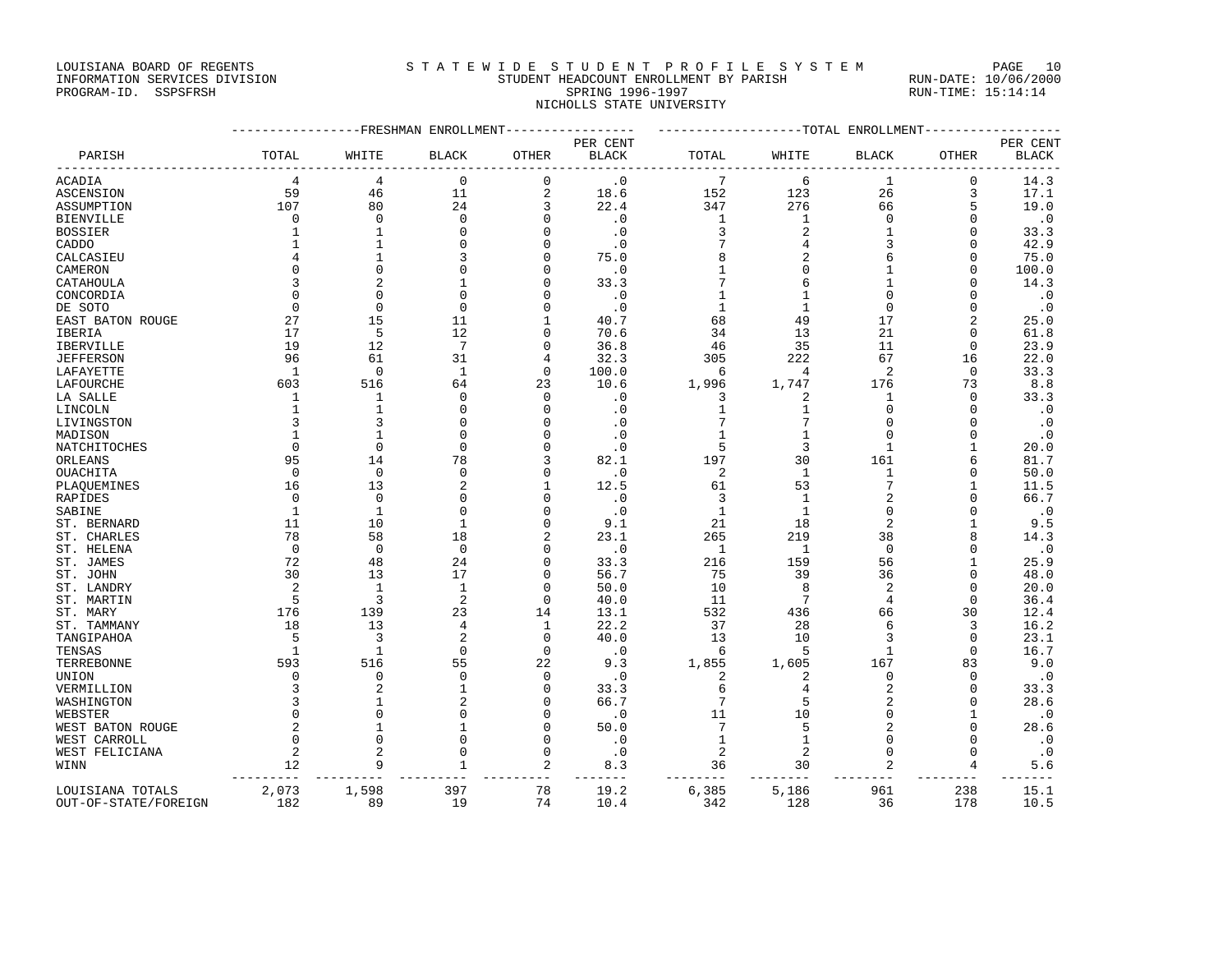LOUISIANA BOARD OF REGENTS STATEWIDE STUDENT PROFILE SYSTEM PAGE 10 INFORMATION SERVICES DIVISION STUDENT HEADCOUNT ENROLLMENT BY PARISH RUN-DATE: 10/06/2000

## PROGRAM-ID. SSPSFRSH SPRING 1996-1997 SPRING 1996-1997 RUN-TIME: 15:14:14 NICHOLLS STATE UNIVERSITY

|                      |              | ------------FRESHMAN ENROLLMENT |                   |                   |                        | ------------------TOTAL ENROLLMENT- |              |                |                |              |  |
|----------------------|--------------|---------------------------------|-------------------|-------------------|------------------------|-------------------------------------|--------------|----------------|----------------|--------------|--|
|                      |              |                                 |                   |                   | PER CENT               |                                     |              |                |                | PER CENT     |  |
| PARISH               | TOTAL        | WHITE                           | <b>BLACK</b>      | <b>OTHER</b>      | <b>BLACK</b>           | TOTAL                               | WHITE        | <b>BLACK</b>   | <b>OTHER</b>   | <b>BLACK</b> |  |
| ACADIA               | 4            | 4                               | $\Omega$          | $\mathbf 0$       | $\cdot$ 0              | 7                                   | 6            | 1              | 0              | 14.3         |  |
| ASCENSION            | 59           | 46                              | 11                | $\mathbf{2}$      | 18.6                   | 152                                 | 123          | 26             | 3              | 17.1         |  |
| ASSUMPTION           | 107          | 80                              | 24                | 3                 | 22.4                   | 347                                 | 276          | 66             | 5              | 19.0         |  |
| <b>BIENVILLE</b>     | 0            | $\Omega$                        | $\mathbf 0$       | $\Omega$          | $\cdot$ 0              | 1                                   | 1            | $\mathbf 0$    | $\Omega$       | $\cdot$ 0    |  |
| BOSSIER              | 1            | 1                               | $\mathbf 0$       | $\mathbf 0$       | $\cdot$ 0              | 3                                   | 2            | 1              | $\Omega$       | 33.3         |  |
| CADDO                | $\mathbf{1}$ | $\mathbf{1}$                    | $\mathbf 0$       | $\Omega$          | $\cdot$ 0              | 7                                   | 4            | 3              | $\Omega$       | 42.9         |  |
| CALCASIEU            |              | 1                               | 3                 | $\mathbf 0$       | 75.0                   | 8                                   | 2            | 6              | $\Omega$       | 75.0         |  |
| CAMERON              | $\Omega$     | $\Omega$                        | $\Omega$          | $\Omega$          | $\cdot$ 0              | 1                                   |              | 1              | $\Omega$       | 100.0        |  |
| CATAHOULA            | 3            | 2                               | $\mathbf{1}$      | $\Omega$          | 33.3                   | 7                                   | 6            | 1              | n              | 14.3         |  |
| CONCORDIA            | $\Omega$     | $\Omega$                        | $\Omega$          | $\Omega$          | $\boldsymbol{\cdot}$ 0 | 1                                   |              | O              |                | $\cdot$ 0    |  |
| DE SOTO              | $\mathbf 0$  | $\mathbf 0$                     | $\mathbf 0$       | $\Omega$          | $\cdot$ 0              | $\mathbf{1}$                        | 1            | 0              | $\Omega$       | $\cdot$ 0    |  |
| EAST BATON ROUGE     | 27           | 15                              | 11                | 1                 | 40.7                   | 68                                  | 49           | 17             | $\overline{c}$ | 25.0         |  |
| IBERIA               | 17           | 5                               | 12                | $\Omega$          | 70.6                   | 34                                  | 13           | 21             | $\Omega$       | 61.8         |  |
| IBERVILLE            | 19           | 12                              | 7                 | $\Omega$          | 36.8                   | 46                                  | 35           | 11             | 0              | 23.9         |  |
| <b>JEFFERSON</b>     | 96           | 61                              | 31                | 4                 | 32.3                   | 305                                 | 222          | 67             | 16             | 22.0         |  |
| LAFAYETTE            | -1           | $\mathbf 0$                     | 1                 | $\mathbf 0$       | 100.0                  | 6                                   | 4            | 2              | 0              | 33.3         |  |
| LAFOURCHE            | 603          | 516                             | 64                | 23                | 10.6                   | 1,996                               | 1,747        | 176            | 73             | 8.8          |  |
| LA SALLE             | 1            | 1                               | 0                 | $\mathbf 0$       | $\cdot$ 0              | 3                                   | 2            | 1              | $\Omega$       | 33.3         |  |
| LINCOLN              | $\mathbf{1}$ | $\mathbf{1}$                    | $\Omega$          | $\Omega$          | $\cdot$ 0              | 1                                   |              | $\Omega$       | $\Omega$       | $\cdot$ 0    |  |
| LIVINGSTON           | 3            |                                 | $\mathbf 0$       | $\Omega$          | $\cdot$ 0              |                                     |              | O              | $\Omega$       | $\cdot$ 0    |  |
| MADISON              | 1            | $\mathbf{1}$                    | $\Omega$          | $\Omega$          | $\cdot$ 0              | 1                                   | $\mathbf{1}$ | O              | 0              | $\cdot$ 0    |  |
| NATCHITOCHES         | $\Omega$     | $\mathbf 0$                     | $\mathbf 0$       | $\Omega$          | $\cdot$ 0              | 5                                   | 3            | $\mathbf{1}$   |                | 20.0         |  |
| ORLEANS              | 95           | 14                              | 78                | 3                 | 82.1                   | 197                                 | 30           | 161            | 6              | 81.7         |  |
| OUACHITA             | $\Omega$     | $\Omega$                        | $\mathbf 0$       | $\Omega$          | $\cdot$ 0              | 2                                   | $\mathbf{1}$ | $\mathbf{1}$   | $\Omega$       | 50.0         |  |
| PLAQUEMINES          | 16           | 13                              | $\overline{2}$    | 1                 | 12.5                   | 61                                  | 53           | 7              | 1              | 11.5         |  |
| RAPIDES              | $\Omega$     | $\Omega$                        | $\Omega$          | $\Omega$          | $\cdot$ 0              | 3                                   | 1            | 2              | n              | 66.7         |  |
| SABINE               | 1            | 1                               | $\mathbf 0$       | $\Omega$          | $\cdot$ 0              | 1                                   | 1            | 0              | $\Omega$       | $\cdot$ 0    |  |
| ST. BERNARD          | 11           | 10                              | $\mathbf{1}$      | $\Omega$          | 9.1                    | 21                                  | 18           | 2              |                | 9.5          |  |
| ST. CHARLES          | 78           | 58                              | 18                | 2                 | 23.1                   | 265                                 | 219          | 38             | 8              | 14.3         |  |
| ST. HELENA           | 0            | 0                               | $\mathbf 0$       | 0                 | $\cdot$ 0              | 1                                   | 1            | $\mathbf 0$    | $\Omega$       | $\cdot$ 0    |  |
| ST. JAMES            | 72           | 48                              | 24                | $\mathbf 0$       | 33.3                   | 216                                 | 159          | 56             | $\mathbf{1}$   | 25.9         |  |
| ST. JOHN             | 30           | 13                              | 17                | $\Omega$          | 56.7                   | 75                                  | 39           | 36             | $\Omega$       | 48.0         |  |
| ST. LANDRY           | 2            | $\mathbf{1}$                    | $\mathbf{1}$      | $\Omega$          | 50.0                   | 10                                  | 8            | $\overline{2}$ | $\Omega$       | 20.0         |  |
| ST. MARTIN           | 5            | 3                               | $\overline{c}$    | $\mathbf 0$       | 40.0                   | 11                                  | 7            | 4              | $\Omega$       | 36.4         |  |
| ST. MARY             | 176          | 139                             | 23                | 14                | 13.1                   | 532                                 | 436          | 66             | 30             | 12.4         |  |
| ST. TAMMANY          | 18           | 13                              | 4                 | $\mathbf{1}$      | 22.2                   | 37                                  | 28           | 6              | 3              | 16.2         |  |
| TANGIPAHOA           | 5            | 3<br>$\mathbf{1}$               | 2                 | $\Omega$          | 40.0                   | 13                                  | 10           | 3              | $\Omega$       | 23.1         |  |
| TENSAS<br>TERREBONNE | -1<br>593    | 516                             | $\mathbf 0$<br>55 | $\mathbf 0$<br>22 | $\cdot$ 0<br>9.3       | 6<br>1,855                          | 5<br>1,605   | 1<br>167       | $\Omega$<br>83 | 16.7<br>9.0  |  |
| UNION                | 0            | 0                               | $\mathbf 0$       | $\mathbf 0$       | $\cdot$ 0              | $\overline{2}$                      | 2            | 0              | $\Omega$       | $\cdot$ 0    |  |
| VERMILLION           | 3            |                                 | 1                 | $\mathbf 0$       | 33.3                   | 6                                   |              | 2              | $\Omega$       | 33.3         |  |
| WASHINGTON           | 3            | $\mathbf{1}$                    | $\overline{a}$    | $\Omega$          | 66.7                   | 7                                   | 5            | 2              | $\Omega$       | 28.6         |  |
| WEBSTER              | $\Omega$     | $\Omega$                        | $\Omega$          | $\Omega$          | $\cdot$ 0              | 11                                  | 10           | 0              | -1             | $\cdot$ 0    |  |
| WEST BATON ROUGE     | 2            | $\mathbf{1}$                    | $\mathbf{1}$      | $\Omega$          | 50.0                   | 7                                   | 5            | $\overline{2}$ | $\Omega$       | 28.6         |  |
| WEST CARROLL         | $\mathbf 0$  | $\Omega$                        | 0                 | $\Omega$          | $\cdot$ 0              | $\mathbf{1}$                        | 1            | 0              | $\Omega$       | $\cdot$ 0    |  |
| WEST FELICIANA       | 2            |                                 | $\Omega$          | $\Omega$          | $\cdot$ 0              | $\overline{2}$                      | 2            | $\Omega$       | $\Omega$       | $\cdot$ 0    |  |
| WINN                 | 12           | 9                               | $\mathbf{1}$      | $\overline{2}$    | 8.3                    | 36                                  | 30           | $\overline{c}$ | 4              | 5.6          |  |
|                      |              |                                 |                   |                   |                        |                                     |              |                |                |              |  |
| LOUISIANA TOTALS     | 2,073        | 1,598                           | 397               | 78                | 19.2                   | 6,385                               | 5,186        | 961            | 238            | 15.1         |  |
| OUT-OF-STATE/FOREIGN | 182          | 89                              | 19                | 74                | 10.4                   | 342                                 | 128          | 36             | 178            | 10.5         |  |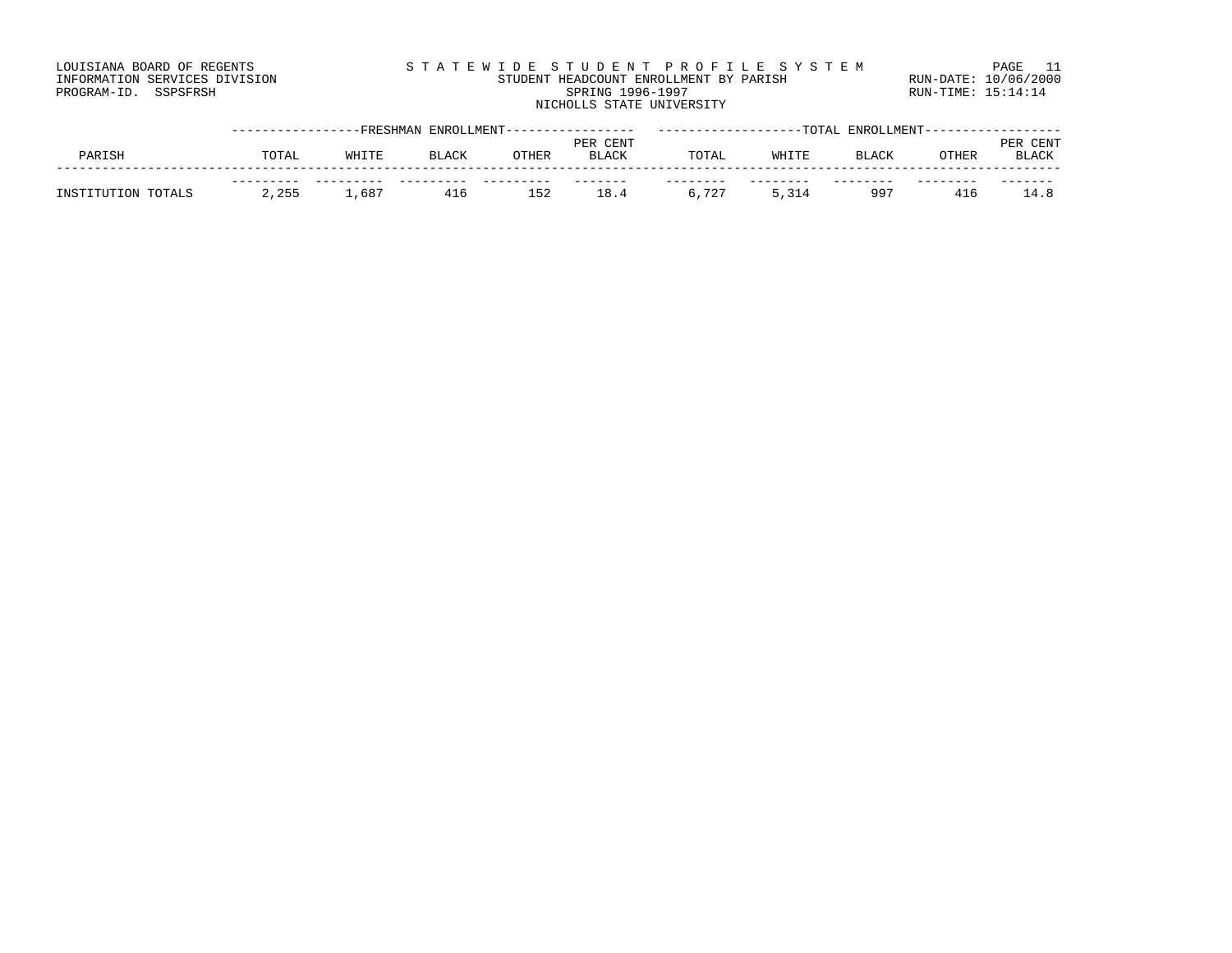| LOUISIANA BOARD OF REGENTS    | STATEWIDE STUDENT PROFILE SYSTEM       | PAGE 11              |
|-------------------------------|----------------------------------------|----------------------|
| INFORMATION SERVICES DIVISION | STUDENT HEADCOUNT ENROLLMENT BY PARISH | RUN-DATE: 10/06/2000 |
| PROGRAM-ID. SSPSFRSH          | SPRING 1996-1997                       | $RUN-TIME: 15:14:14$ |
|                               | NICHOLLS STATE UNIVERSITY              |                      |

|                    |       | -FRESHMAN | ENROLLMENT--- |       |              |       |       | -TOTAL ENROLLMENT- |       |              |
|--------------------|-------|-----------|---------------|-------|--------------|-------|-------|--------------------|-------|--------------|
|                    |       |           |               |       | PER CENT     |       |       |                    |       | CENT<br>PER  |
| PARISH             | TOTAL | WHITE     | BLACK         | OTHER | <b>BLACK</b> | TOTAI | WHITE | <b>BLACK</b>       | OTHER | <b>BLACK</b> |
|                    |       |           |               |       |              |       |       |                    |       |              |
| INSTITUTION TOTALS | 2,255 | ⊥,687     | 416           | 152   | 18.          | 6,727 |       | 997                | 416   | 14 R         |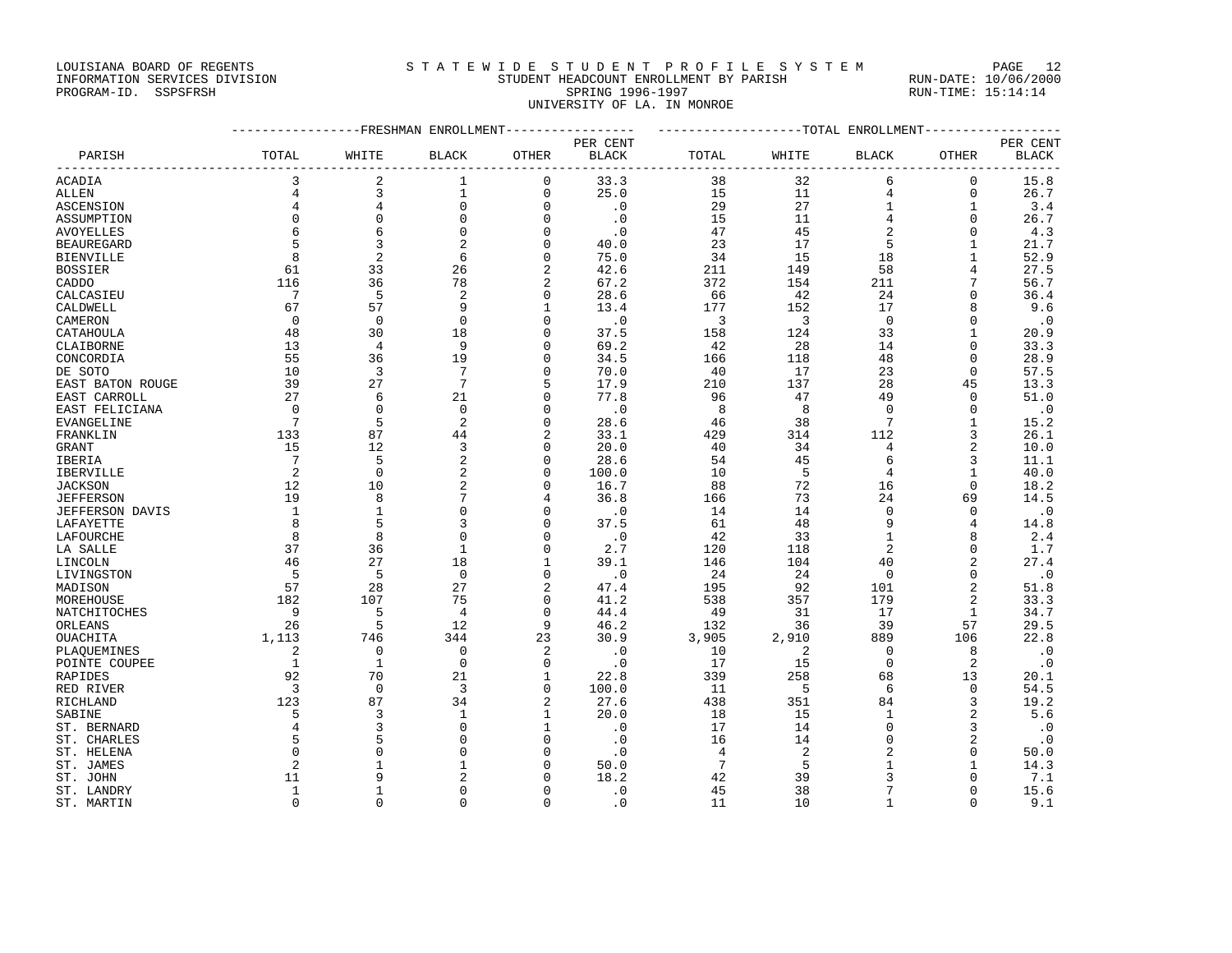### LOUISIANA BOARD OF REGENTS STATEWIDE STUDENT PROFILE SYSTEM PAGE 12 INFORMATION SERVICES DIVISION STUDENT HEADCOUNT ENROLLMENT BY PARISH RUN-DATE: 10/06/2000

UNIVERSITY OF LA. IN MONROE

PROGRAM-ID. SSPSFRSH SPRING 1996-1997 SPRING 1996-1997 RUN-TIME: 15:14:14

|                           |                 |                | -------------FRESHMAN ENROLLMENT |                          |                   | -------------------TOTAL ENROLLMENT |          |                |                               |              |
|---------------------------|-----------------|----------------|----------------------------------|--------------------------|-------------------|-------------------------------------|----------|----------------|-------------------------------|--------------|
|                           |                 |                |                                  |                          | PER CENT          |                                     |          |                |                               | PER CENT     |
| PARISH                    | TOTAL           | WHITE          | BLACK                            | OTHER                    | <b>BLACK</b>      | TOTAL                               | WHITE    | <b>BLACK</b>   | OTHER                         | <b>BLACK</b> |
| ACADIA                    | 3               | 2              | 1                                | 0                        | 33.3              | 38                                  | 32       | 6              | 0                             | 15.8         |
| ALLEN                     | $\overline{4}$  | 3              | $1\,$                            | $\mathbf 0$              | 25.0              | 15                                  | 11       | $\overline{4}$ | $\mathbf 0$                   | 26.7         |
| ASCENSION                 | 4               | 4              | 0                                | $\mathbf 0$              | $\cdot$ 0         | 29                                  | 27       | 1              | 1                             | 3.4          |
| ASSUMPTION                | $\Omega$        | $\Omega$       | $\Omega$                         | $\Omega$                 | $\cdot$ 0         | 15                                  | 11       | 4              | $\Omega$                      | 26.7         |
| <b>AVOYELLES</b>          | 6               | 6              | 0                                | $\mathbf 0$              | $\cdot$ 0         | 47                                  | 45       | 2              | $\Omega$                      | 4.3          |
| <b>BEAUREGARD</b>         | 5               | 3              | 2                                | $\Omega$                 | 40.0              | 23                                  | 17       | 5              | 1                             | 21.7         |
| <b>BIENVILLE</b>          | 8               | $\overline{2}$ | 6                                | $\mathbf 0$              | 75.0              | 34                                  | 15       | 18             | $\mathbf{1}$                  | 52.9         |
| <b>BOSSIER</b>            | 61              | 33             | 26                               | $\overline{2}$           | 42.6              | 211                                 | 149      | 58             | 4                             | 27.5         |
| CADDO                     | 116             | 36             | 78                               | 2                        | 67.2              | 372                                 | 154      | 211            | 7                             | 56.7         |
| CALCASIEU                 | 7               | 5              | 2                                | $\mathbf 0$              | 28.6              | 66                                  | 42       | 24             | $\Omega$                      | 36.4         |
| CALDWELL                  | 67              | 57             | 9                                | $\mathbf{1}$             | 13.4              | 177                                 | 152      | 17             | 8                             | 9.6          |
| CAMERON                   | 0               | $\mathbf{0}$   | $\mathbf 0$                      | $\mathbf 0$              | $\cdot$ 0         | 3                                   | 3        | $\overline{0}$ | $\Omega$                      | $\cdot$ 0    |
| CATAHOULA                 | 48              | 30             | 18                               | $\Omega$                 | 37.5              | 158                                 | 124      | 33             | $\mathbf{1}$                  | 20.9         |
| CLAIBORNE                 | 13              | 4              | 9                                | $\Omega$                 | 69.2              | 42                                  | 28       | 14             | $\mathbf 0$                   | 33.3         |
| CONCORDIA                 | 55              | 36             | 19                               | $\Omega$                 | 34.5              | 166                                 | 118      | 48             | $\Omega$                      | 28.9         |
| DE SOTO                   | 10              | 3              | $7\phantom{.0}$                  | $\Omega$                 | 70.0              | 40                                  | 17       | 23             | $\mathbf{0}$                  | 57.5         |
| EAST BATON ROUGE          | 39              | 27             | 7                                | 5                        | 17.9              | 210                                 | 137      | 28             | 45                            | 13.3         |
| EAST CARROLL              | 27              | 6              | 21                               | $\Omega$                 | 77.8              | 96                                  | 47       | 49             | $\mathbf{0}$                  | 51.0         |
| EAST FELICIANA            | $\Omega$        | $\Omega$       | $\mathbf 0$                      | $\Omega$                 | $\cdot$ 0         | 8                                   | 8        | $\overline{0}$ | $\mathbf{0}$                  | $\cdot$ 0    |
| EVANGELINE                | 7               | 5              | $\overline{a}$                   | $\Omega$                 | 28.6              | 46                                  | 38       | 7              | 1                             | 15.2         |
| FRANKLIN                  | 133             | 87             | 44                               | $\overline{2}$           | 33.1              | 429                                 | 314      | 112            | 3                             | 26.1         |
| GRANT                     | 15              | 12             | 3                                | $\Omega$                 | 20.0              | 40                                  | 34       | 4              | $\overline{2}$                | 10.0         |
| IBERIA                    | $7\phantom{.0}$ | 5              | $\overline{c}$                   | $\Omega$                 | 28.6              | 54                                  | 45       | 6              | $\overline{3}$                | 11.1         |
| <b>IBERVILLE</b>          | 2               | $\mathbf{0}$   | 2                                | $\Omega$                 | 100.0             | 10                                  | 5        | $\overline{4}$ | $\mathbf{1}$                  | 40.0         |
| <b>JACKSON</b>            | 12              | 10             | 2                                | $\Omega$                 | 16.7              | 88                                  | 72       | 16             | $\Omega$                      | 18.2         |
| <b>JEFFERSON</b>          | 19              | 8              | 7                                | 4                        | 36.8              | 166                                 | 73       | 24             | 69                            | 14.5         |
| <b>JEFFERSON DAVIS</b>    | 1               | $\mathbf{1}$   | 0                                | $\mathbf 0$              | $\cdot$ 0         | 14                                  | 14       | 0              | $\Omega$                      | $\cdot$ 0    |
| LAFAYETTE                 | 8               | 5              | 3                                | $\Omega$                 | 37.5              | 61                                  | 48       | 9              | $\overline{4}$                | 14.8         |
| LAFOURCHE                 | 8               | 8              | 0                                | $\mathbf 0$              | $\cdot$ 0         | 42                                  | 33       | $\mathbf{1}$   | 8                             | 2.4          |
| LA SALLE                  | 37              | 36             | $\mathbf{1}$                     | $\Omega$                 | 2.7               | 120                                 | 118      | 2              | $\Omega$                      | 1.7          |
| LINCOLN                   | 46              | 27<br>5        | 18<br>$\mathbf 0$                | $\mathbf{1}$<br>$\Omega$ | 39.1              | 146                                 | 104      | 40             | $\overline{c}$<br>$\mathbf 0$ | 27.4         |
| LIVINGSTON                | 5<br>57         | 28             | 27                               | $\overline{a}$           | $\cdot$ 0<br>47.4 | 24<br>195                           | 24<br>92 | 0<br>101       | $\overline{2}$                | $\cdot$ 0    |
| MADISON                   | 182             | 107            | 75                               | $\mathbf 0$              | 41.2              | 538                                 | 357      | 179            | $\overline{2}$                | 51.8<br>33.3 |
| MOREHOUSE<br>NATCHITOCHES | 9               | 5              | 4                                | $\mathbf 0$              | 44.4              | 49                                  | 31       | 17             | $\mathbf{1}$                  | 34.7         |
| ORLEANS                   | 26              | 5              | 12                               | 9                        | 46.2              | 132                                 | 36       | 39             | 57                            | 29.5         |
| OUACHITA                  | 1,113           | 746            | 344                              | 23                       | 30.9              | 3,905                               | 2,910    | 889            | 106                           | 22.8         |
| PLAQUEMINES               | 2               | $\mathbf 0$    | 0                                | $\overline{c}$           | $\cdot$ 0         | 10                                  | 2        | 0              | 8                             | $\cdot$ 0    |
| POINTE COUPEE             | 1               | $\mathbf{1}$   | $\mathbf 0$                      | $\mathbf 0$              | $\cdot$ 0         | 17                                  | 15       | 0              | $\overline{2}$                | $\cdot$ 0    |
| RAPIDES                   | 92              | 70             | 21                               | $\mathbf{1}$             | 22.8              | 339                                 | 258      | 68             | 13                            | 20.1         |
| RED RIVER                 | $\overline{3}$  | $\Omega$       | 3                                | $\mathbf 0$              | 100.0             | 11                                  | 5        | 6              | $\mathbf 0$                   | 54.5         |
| RICHLAND                  | 123             | 87             | 34                               | $\overline{c}$           | 27.6              | 438                                 | 351      | 84             | $\overline{3}$                | 19.2         |
| SABINE                    | 5               | 3              | 1                                | 1                        | 20.0              | 18                                  | 15       | 1              | $\overline{2}$                | 5.6          |
| ST. BERNARD               | $\overline{4}$  | 3              | $\Omega$                         | $\mathbf{1}$             | $\cdot$ 0         | 17                                  | 14       | $\mathbf 0$    | 3                             | $\cdot$ 0    |
| ST. CHARLES               | 5               | 5              | 0                                | $\mathbf 0$              | $\cdot$ 0         | 16                                  | 14       | 0              | $\overline{c}$                | $\cdot$ 0    |
| ST. HELENA                | $\Omega$        | $\cap$         | $\Omega$                         | $\Omega$                 | $\cdot$ 0         | 4                                   | 2        | 2              | $\Omega$                      | 50.0         |
| ST. JAMES                 | $\overline{2}$  |                | $\mathbf{1}$                     | $\mathbf 0$              | 50.0              | $7\phantom{.0}$                     | 5        | 1              | $\mathbf{1}$                  | 14.3         |
| ST. JOHN                  | 11              | 9              | $\overline{a}$                   | $\Omega$                 | 18.2              | 42                                  | 39       | 3              | $\Omega$                      | 7.1          |
| ST. LANDRY                | $\mathbf{1}$    |                | 0                                | $\mathbf 0$              | $\cdot$ 0         | 45                                  | 38       | 7              | $\mathbf{0}$                  | 15.6         |
| ST. MARTIN                | $\Omega$        | $\Omega$       | $\Omega$                         | $\Omega$                 | $\cdot$ 0         | 11                                  | 10       | $\mathbf{1}$   | $\Omega$                      | 9.1          |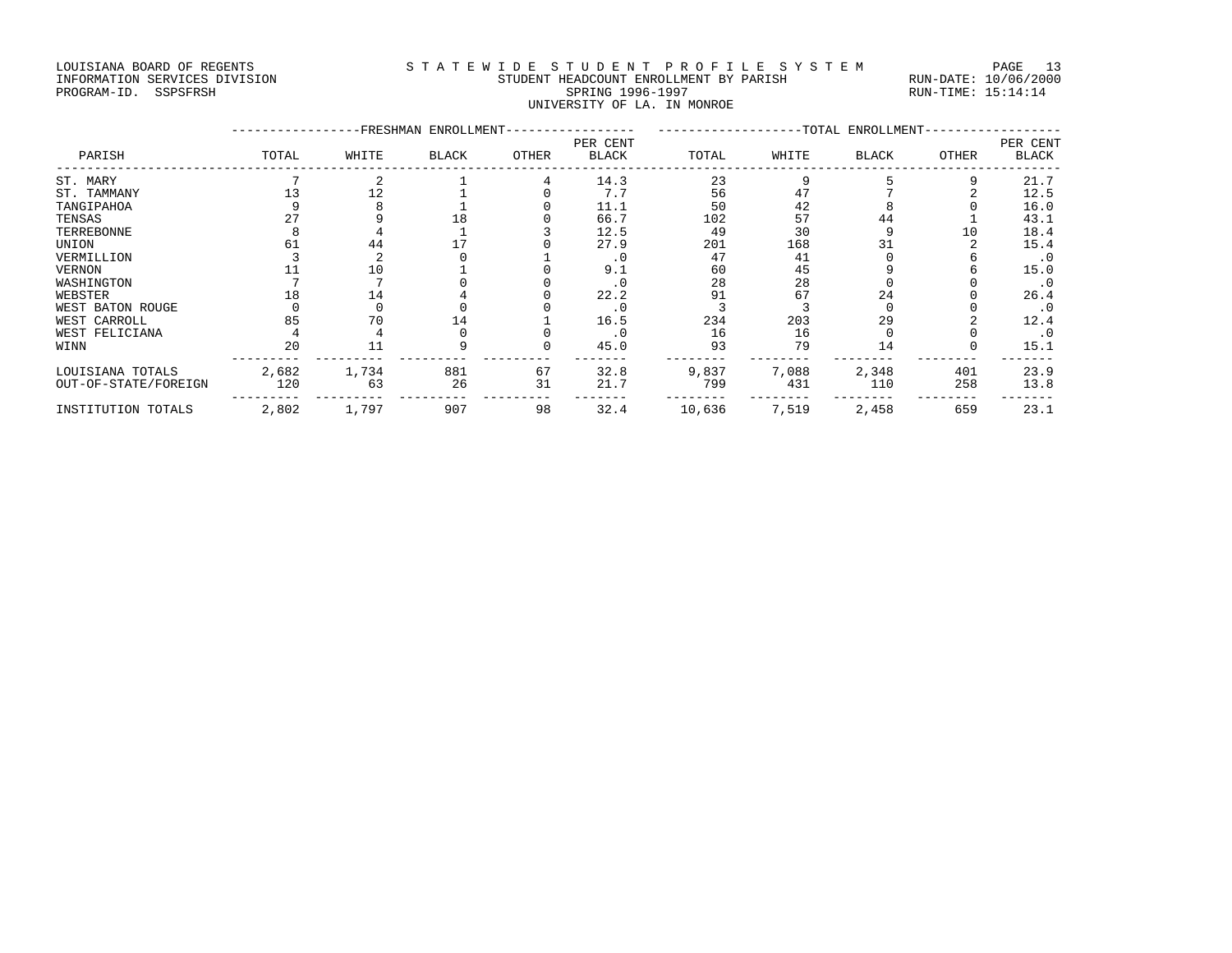#### LOUISIANA BOARD OF REGENTS STATEWIDE STUDENT PROFILE SYSTEM PAGE 13 INFORMATION SERVICES DIVISION STUDENT HEADCOUNT ENROLLMENT BY PARISH RUN-DATE: 10/06/2000 PROGRAM-ID. SSPSFRSH SPRING 1996-1997 SPRING 1996-1997 RUN-TIME: 15:14:14 UNIVERSITY OF LA. IN MONROE

|                      | -FRESHMAN ENROLLMENT-<br>-TOTAL ENROLLMENT-<br>PER CENT |       |       |       |              |        |       |              |       |                          |  |
|----------------------|---------------------------------------------------------|-------|-------|-------|--------------|--------|-------|--------------|-------|--------------------------|--|
| PARISH               | TOTAL                                                   | WHITE | BLACK | OTHER | <b>BLACK</b> | TOTAL  | WHITE | <b>BLACK</b> | OTHER | PER CENT<br><b>BLACK</b> |  |
| ST. MARY             |                                                         |       |       |       | 14.3         | 23     |       |              |       | 21.7                     |  |
| ST. TAMMANY          |                                                         | 12    |       |       | 7.7          | 56     | 47    |              |       | 12.5                     |  |
| TANGIPAHOA           |                                                         |       |       |       | 11.1         | 50     | 42    |              |       | 16.0                     |  |
| TENSAS               |                                                         |       | 18    |       | 66.7         | 102    | 57    | 44           |       | 43.1                     |  |
| TERREBONNE           |                                                         |       |       |       | 12.5         | 49     | 30    |              | 10    | 18.4                     |  |
| UNION                | 61                                                      | 44    |       |       | 27.9         | 201    | 168   |              |       | 15.4                     |  |
| VERMILLION           |                                                         |       |       |       | $\cdot$ 0    | 47     | 41    |              |       | $\cdot$ 0                |  |
| <b>VERNON</b>        |                                                         | 10    |       |       | 9.1          | 60     | 45    |              |       | 15.0                     |  |
| WASHINGTON           |                                                         |       |       |       | $\cdot$ 0    | 28     | 28    |              |       | . 0                      |  |
| WEBSTER              | 18                                                      | 14    |       |       | 22.2         | 91     | 67    | 24           |       | 26.4                     |  |
| WEST BATON ROUGE     |                                                         |       |       |       | $\cdot$ 0    |        |       |              |       | . 0                      |  |
| WEST CARROLL         | 85                                                      | 70    | 14    |       | 16.5         | 234    | 203   | 29           |       | 12.4                     |  |
| WEST FELICIANA       |                                                         |       |       |       | $\cdot$ 0    | 16     | 16    |              |       | $\cdot$ 0                |  |
| WINN                 | 20                                                      | 11    |       |       | 45.0         | 93     | 79    | 14           |       | 15.1                     |  |
| LOUISIANA TOTALS     | 2,682                                                   | 1,734 | 881   | 67    | 32.8         | 9,837  | 7,088 | 2,348        | 401   | 23.9                     |  |
| OUT-OF-STATE/FOREIGN | 120                                                     | 63    | 26    | 31    | 21.7         | 799    | 431   | 110          | 258   | 13.8                     |  |
| INSTITUTION TOTALS   | 2,802                                                   | 1,797 | 907   | 98    | 32.4         | 10,636 | 7,519 | 2,458        | 659   | 23.1                     |  |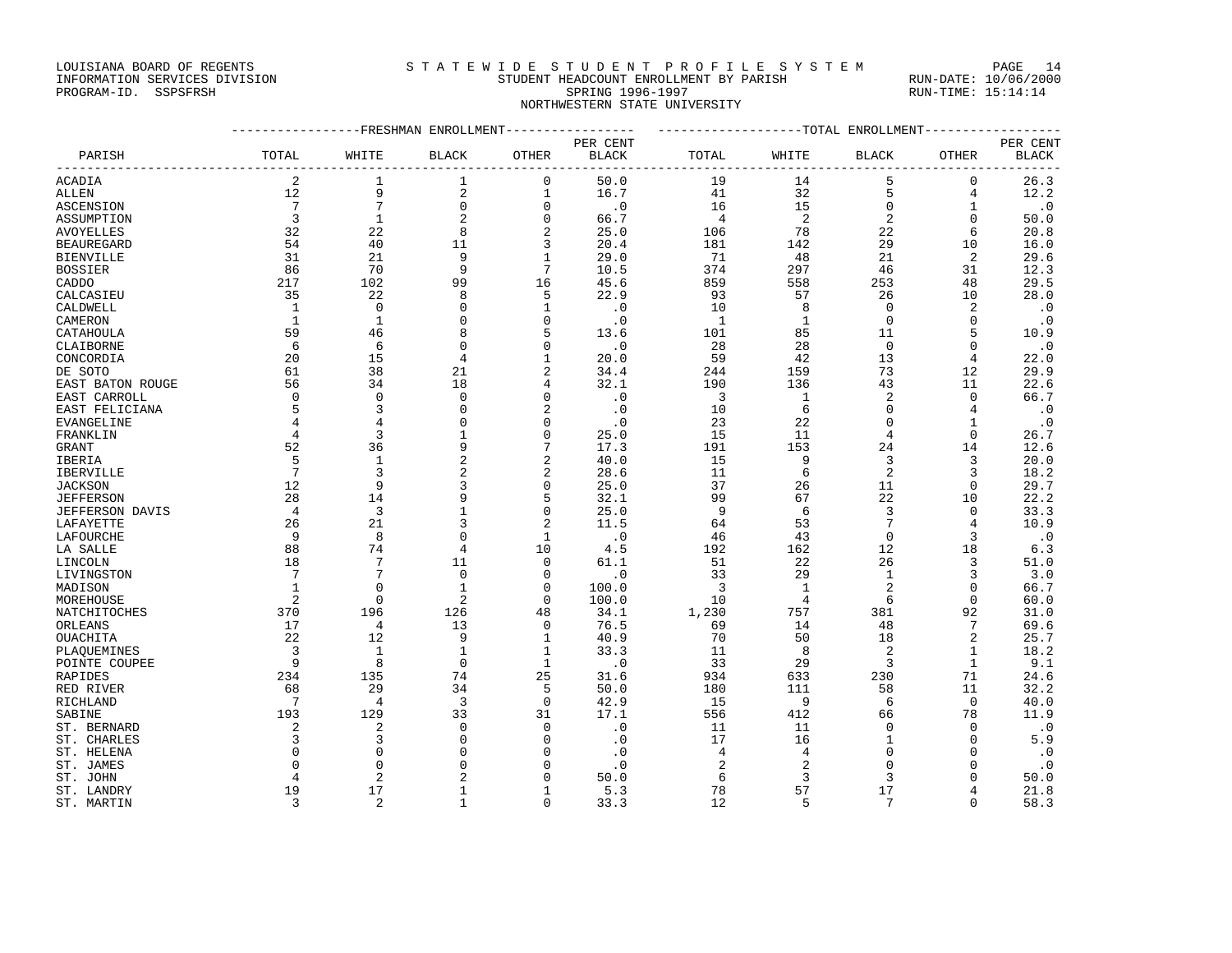LOUISIANA BOARD OF REGENTS STATEWIDE STUDENT PROFILE SYSTEM PAGE 14

### INFORMATION SERVICES DIVISION STUDENT HEADCOUNT ENROLLMENT BY PARISH RUN-DATE: 10/06/2000 PROGRAM-ID. SSPSFRSH SPRING 1996-1997 SPRING 1996-1997 RUN-TIME: 15:14:14 NORTHWESTERN STATE UNIVERSITY

|                   | ----------------FRESHMAN ENROLLMENT---------------- |                 |                |                         |                        | ------------------TOTAL ENROLLMENT----------------- |                |                |                |              |
|-------------------|-----------------------------------------------------|-----------------|----------------|-------------------------|------------------------|-----------------------------------------------------|----------------|----------------|----------------|--------------|
|                   |                                                     |                 |                |                         | PER CENT               |                                                     |                |                |                | PER CENT     |
| PARISH            | TOTAL                                               | WHITE           | <b>BLACK</b>   | OTHER                   | $\operatorname{BLACK}$ | TOTAL                                               | WHITE          | <b>BLACK</b>   | <b>OTHER</b>   | <b>BLACK</b> |
| ACADIA            | 2                                                   | 1               | 1              | $\mathbf 0$             | 50.0                   | 19                                                  | 14             | 5              | 0              | 26.3         |
| ALLEN             | 12                                                  | 9               | 2              | $\mathbf 1$             | 16.7                   | 41                                                  | 32             | 5              | $\overline{4}$ | 12.2         |
| <b>ASCENSION</b>  | 7                                                   | $7\phantom{.0}$ | $\mathbf 0$    | $\mathbf{0}$            | $\cdot$ 0              | 16                                                  | 15             | 0              | 1              | $\cdot$ 0    |
| ASSUMPTION        | 3                                                   | $\mathbf{1}$    | 2              | $\mathbf{0}$            | 66.7                   | 4                                                   | 2              | $\sqrt{2}$     | $\mathbf{0}$   | 50.0         |
| <b>AVOYELLES</b>  | 32                                                  | 22              | 8              | $\overline{2}$          | 25.0                   | 106                                                 | 78             | 22             | 6              | 20.8         |
| <b>BEAUREGARD</b> | 54                                                  | 40              | 11             | 3                       | 20.4                   | 181                                                 | 142            | 29             | 10             | 16.0         |
| <b>BIENVILLE</b>  | 31                                                  | 21              | 9              | $\mathbf{1}$            | 29.0                   | 71                                                  | 48             | 21             | $\overline{2}$ | 29.6         |
| BOSSIER           | 86                                                  | 70              | 9              | 7                       | 10.5                   | 374                                                 | 297            | 46             | 31             | 12.3         |
| CADDO             | 217                                                 | 102             | 99             | 16                      | 45.6                   | 859                                                 | 558            | 253            | 48             | 29.5         |
| CALCASIEU         | 35                                                  | 22              | 8              | 5                       | 22.9                   | 93                                                  | 57             | 26             | 10             | 28.0         |
| CALDWELL          | 1                                                   | $\Omega$        | $\Omega$       | $\mathbf{1}$            | $\cdot$ 0              | 10                                                  | 8              | $\Omega$       | $\overline{2}$ | $\cdot$ 0    |
| CAMERON           | 1                                                   | $\mathbf{1}$    | $\mathbf{0}$   | $\mathbf{0}$            | $\cdot$ 0              | 1                                                   | $\mathbf{1}$   | $\mathbf 0$    | $\mathbf{0}$   | $\cdot$ 0    |
| CATAHOULA         | 59                                                  | 46              | 8              | 5                       | 13.6                   | 101                                                 | 85             | 11             | 5              | 10.9         |
| CLAIBORNE         | 6                                                   | 6               | $\Omega$       | $\Omega$                | $\cdot$ 0              | 28                                                  | 28             | $\mathbf 0$    | $\Omega$       | $\cdot$ 0    |
| CONCORDIA         | 20                                                  | 15              | $\overline{4}$ |                         | 20.0                   | 59                                                  | 42             | 13             | 4              | 22.0         |
| DE SOTO           | 61                                                  | 38              | 21             |                         | 34.4                   | 244                                                 | 159            | 73             | 12             | 29.9         |
| EAST BATON ROUGE  | 56                                                  | 34              | 18             | 4                       | 32.1                   | 190                                                 | 136            | 43             | 11             | 22.6         |
| EAST CARROLL      | 0                                                   | $\Omega$        | 0              | $\Omega$                | $\cdot$ 0              | 3                                                   | 1              | 2              | $\Omega$       | 66.7         |
| EAST FELICIANA    | 5                                                   | 3               | $\mathbf 0$    | $\overline{\mathbf{c}}$ | $\cdot$ 0              | 10                                                  | 6              | $\mathbf 0$    | 4              | $\cdot$ 0    |
| EVANGELINE        | 4                                                   | 4               | $\Omega$       | $\Omega$                | $\cdot$ 0              | 23                                                  | 22             | $\mathbf 0$    | 1              | $\cdot$ 0    |
| FRANKLIN          | 4                                                   | 3               | $\mathbf{1}$   | $\mathbf{0}$            | 25.0                   | 15                                                  | 11             | 4              | $\mathbf 0$    | 26.7         |
| GRANT             | 52                                                  | 36              | 9              | 7                       | 17.3                   | 191                                                 | 153            | 24             | 14             | 12.6         |
| IBERIA            | 5                                                   | $\mathbf{1}$    | 2              | $\overline{c}$          | 40.0                   | 15                                                  | 9              | 3              | 3              | 20.0         |
| IBERVILLE         | $7\phantom{.0}$                                     | 3               | 2              | $\overline{c}$          | 28.6                   | 11                                                  | 6              | $\overline{c}$ | 3              | 18.2         |
| JACKSON           | 12                                                  | 9               | 3              | $\Omega$                | 25.0                   | 37                                                  | 26             | 11             | 0              | 29.7         |
| JEFFERSON         | 28                                                  | 14              | 9              | 5                       | 32.1                   | 99                                                  | 67             | 22             | 10             | 22.2         |
| JEFFERSON DAVIS   | 4                                                   | 3               | 1              | $\Omega$                | 25.0                   | 9                                                   | 6              | 3              | 0              | 33.3         |
| LAFAYETTE         | 26                                                  | 21              | 3              | $\overline{c}$          | 11.5                   | 64                                                  | 53             | 7              | 4              | 10.9         |
| LAFOURCHE         | 9                                                   | 8               | $\Omega$       | $\mathbf{1}$            | $\cdot$ 0              | 46                                                  | 43             | $\Omega$       | 3              | $\cdot$ 0    |
| LA SALLE          | 88                                                  | 74              | 4              | 10                      | 4.5                    | 192                                                 | 162            | 12             | 18             | 6.3          |
| LINCOLN           | 18                                                  | $7\phantom{.0}$ | 11             | $\mathbf{0}$            | 61.1                   | 51                                                  | 22             | 26             | 3              | 51.0         |
| LIVINGSTON        | 7                                                   | 7               | $\mathbf 0$    | $\Omega$                | $\cdot$ 0              | 33                                                  | 29             | $\mathbf{1}$   | 3              | 3.0          |
| MADISON           | 1                                                   | $\Omega$        | $\mathbf 1$    | $\Omega$                | 100.0                  | 3                                                   | $\mathbf{1}$   | 2              | $\Omega$       | 66.7         |
| MOREHOUSE         | $\overline{2}$                                      | $\mathbf 0$     | 2              | $\Omega$                | 100.0                  | 10                                                  | 4              | 6              | 0              | 60.0         |
| NATCHITOCHES      | 370                                                 | 196             | 126            | 48                      | 34.1                   | 1,230                                               | 757            | 381            | 92             | 31.0         |
| ORLEANS           | 17                                                  | 4               | 13             | $\mathbf 0$             | 76.5                   | 69                                                  | 14             | 48             | 7              | 69.6         |
| OUACHITA          | 22                                                  | 12              | 9              | 1                       | 40.9                   | 70                                                  | 50             | 18             | $\overline{2}$ | 25.7         |
| PLAOUEMINES       | 3                                                   | $\mathbf{1}$    | $\mathbf{1}$   | 1                       | 33.3                   | 11                                                  | 8              | 2              | 1              | 18.2         |
| POINTE COUPEE     | 9                                                   | 8               | $\mathbf 0$    | 1                       | $\cdot$ 0              | 33                                                  | 29             | 3              | 1              | 9.1          |
| RAPIDES           | 234                                                 | 135             | 74             | 25                      | 31.6                   | 934                                                 | 633            | 230            | 71             | 24.6         |
| RED RIVER         | 68                                                  | 29              | 34             | 5                       | 50.0                   | 180                                                 | 111            | 58             | 11             | 32.2         |
| RICHLAND          | 7                                                   | $\overline{4}$  | $\overline{3}$ | $\mathbf{0}$            | 42.9                   | 15                                                  | 9              | 6              | $\mathbf 0$    | 40.0         |
| SABINE            | 193                                                 | 129             | 33             | 31                      | 17.1                   | 556                                                 | 412            | 66             | 78             | 11.9         |
| ST. BERNARD       | 2                                                   | 2               | 0              | $\Omega$                | $\cdot$ 0              | 11                                                  | 11             | $\mathbf 0$    | $\Omega$       | $\cdot$ 0    |
| ST. CHARLES       | 3                                                   | 3               | $\Omega$       | $\Omega$                | $\cdot$ 0              | 17                                                  | 16             | 1              | $\Omega$       | 5.9          |
| ST. HELENA        | <sup>0</sup>                                        | $\Omega$        | $\Omega$       | $\cap$                  | $\cdot$ 0              | 4                                                   | 4              | O              | n              | . 0          |
| ST. JAMES         | $\Omega$                                            | $\Omega$        | $\Omega$       | $\Omega$                | $\cdot$ 0              | $\overline{2}$                                      | $\overline{2}$ | $\Omega$       | n              | $\cdot$ 0    |
| ST. JOHN          | 4                                                   | 2               | 2              | $\Omega$                | 50.0                   | 6                                                   | 3              | 3              | $\Omega$       | 50.0         |
| ST. LANDRY        | 19                                                  | 17              | $\mathbf{1}$   | $\mathbf{1}$            | 5.3                    | 78                                                  | 57             | 17             | $\overline{4}$ | 21.8         |

ST. MARTIN 3 2 1 0 33.3 12 5 7 0 58.3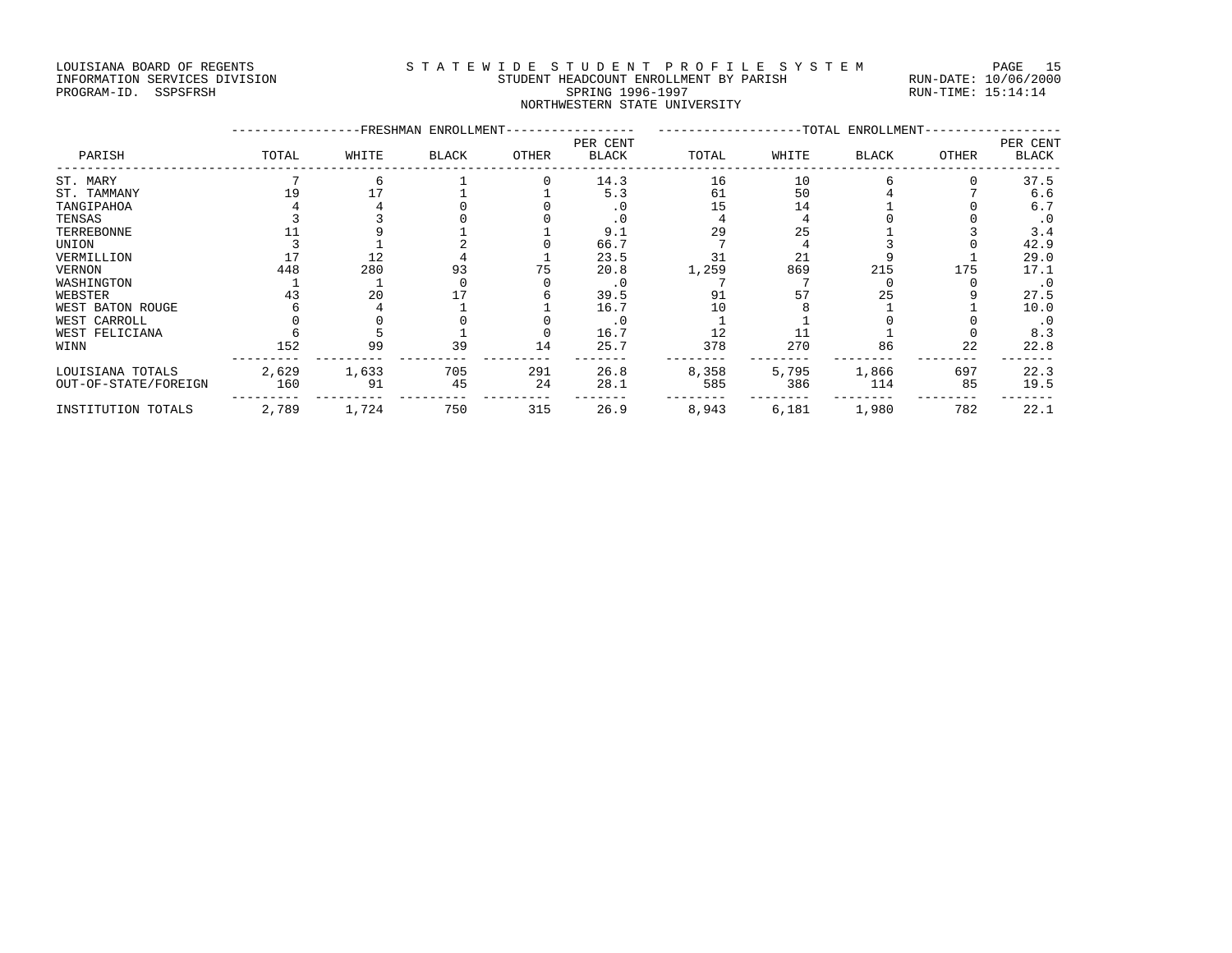#### LOUISIANA BOARD OF REGENTS S T A T E W I D E S T U D E N T P R O F I L E S Y S T E M PAGE 15 INFORMATION SERVICES DIVISION STUDENT HEADCOUNT ENROLLMENT BY PARISH RUN-DATE: 10/06/2000 PROGRAM-ID. SSPSFRSH SPRING 1996-1997 RUN-TIME: 15:14:14 NORTHWESTERN STATE UNIVERSITY

| PARISH               |       | -FRESHMAN | ENROLLMENT-  |       |                          |       |       | -TOTAL ENROLLMENT-<br>PER CENT |       |              |  |  |
|----------------------|-------|-----------|--------------|-------|--------------------------|-------|-------|--------------------------------|-------|--------------|--|--|
|                      | TOTAL | WHITE     | <b>BLACK</b> | OTHER | PER CENT<br><b>BLACK</b> | TOTAL | WHITE | BLACK                          | OTHER | <b>BLACK</b> |  |  |
| ST. MARY             |       |           |              |       | 14.3                     | 16    | 10    |                                |       | 37.5         |  |  |
| ST. TAMMANY          | 19    |           |              |       | 5.3                      | 61    | 50    |                                |       | 6.6          |  |  |
| TANGIPAHOA           |       |           |              |       | $\cdot$ 0                | 15    | 14    |                                |       | 6.7          |  |  |
| TENSAS               |       |           |              |       | . 0                      |       |       |                                |       | $\cdot$ 0    |  |  |
| TERREBONNE           |       |           |              |       | 9.1                      | 29    | 25    |                                |       | 3.4          |  |  |
| UNION                |       |           |              |       | 66.7                     |       |       |                                |       | 42.9         |  |  |
| VERMILLION           |       | 12        |              |       | 23.5                     | 31    | 21    |                                |       | 29.0         |  |  |
| VERNON               | 448   | 280       | 93           |       | 20.8                     | 1,259 | 869   | 215                            | 175   | 17.1         |  |  |
| WASHINGTON           |       |           |              |       | $\cdot$ 0                |       |       |                                |       | . 0          |  |  |
| WEBSTER              | 43    | 20        |              |       | 39.5                     | 91    | 57    | 25                             |       | 27.5         |  |  |
| WEST BATON ROUGE     |       |           |              |       | 16.7                     | 10    |       |                                |       | 10.0         |  |  |
| WEST CARROLL         |       |           |              |       | $\cdot$ 0                |       |       |                                |       | . 0          |  |  |
| WEST FELICIANA       |       |           |              |       | 16.7                     | 12    |       |                                |       | 8.3          |  |  |
| WINN                 | 152   | 99        | 39           | 14    | 25.7                     | 378   | 270   | 86                             | 22    | 22.8         |  |  |
| LOUISIANA TOTALS     | 2,629 | 1,633     | 705          | 291   | 26.8                     | 8,358 | 5,795 | 1,866                          | 697   | 22.3         |  |  |
| OUT-OF-STATE/FOREIGN | 160   | 91        | 45           | 24    | 28.1                     | 585   | 386   | 114                            | 85    | 19.5         |  |  |
| INSTITUTION TOTALS   | 2,789 | 1,724     | 750          | 315   | 26.9                     | 8,943 | 6,181 | 1,980                          | 782   | 22.1         |  |  |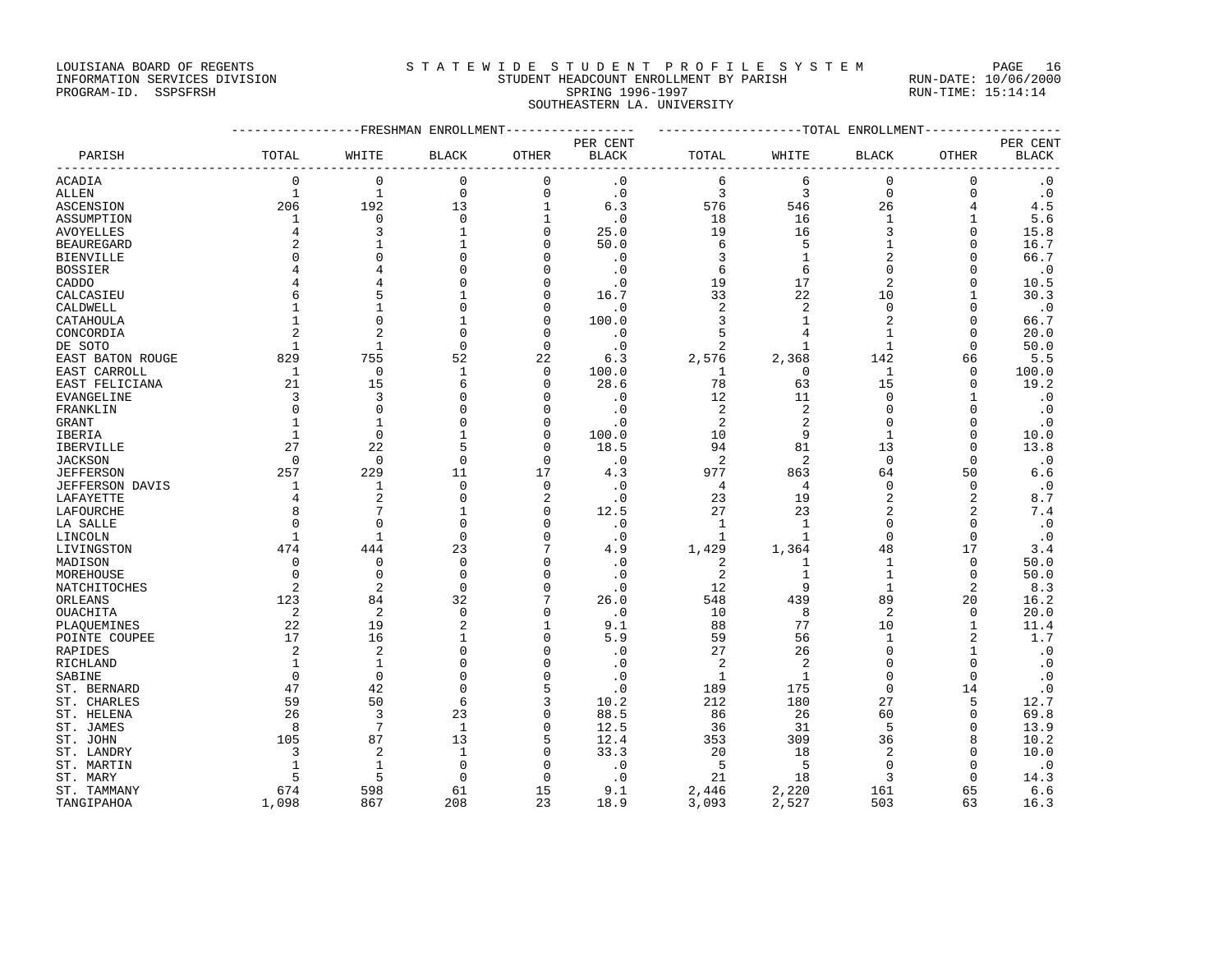LOUISIANA BOARD OF REGENTS STATEWIDE STUDENT PROFILE SYSTEM PAGE 16

### INFORMATION SERVICES DIVISION STUDENT HEADCOUNT ENROLLMENT BY PARISH RUN-DATE: 10/06/2000 PROGRAM-ID. SSPSFRSH SPRING 1996-1997 RUN-TIME: 15:14:14 SOUTHEASTERN LA. UNIVERSITY

|                   | ----------------FRESHMAN ENROLLMENT---------------- |                |                |              |              | ------------------TOTAL ENROLLMENT----------------- |                |              |                |              |
|-------------------|-----------------------------------------------------|----------------|----------------|--------------|--------------|-----------------------------------------------------|----------------|--------------|----------------|--------------|
|                   |                                                     |                |                |              | PER CENT     |                                                     |                |              |                | PER CENT     |
| PARISH            | TOTAL                                               | WHITE          | <b>BLACK</b>   | OTHER        | <b>BLACK</b> | TOTAL                                               | WHITE          | <b>BLACK</b> | OTHER          | <b>BLACK</b> |
| ACADIA            | $\mathbf 0$                                         | $\mathbf 0$    | $\mathbf 0$    | $\mathbf 0$  | $\cdot$ 0    | 6                                                   | 6              | 0            | 0              | $\cdot$ 0    |
| ALLEN             | $\mathbf{1}$                                        | $\mathbf{1}$   | $\mathbf 0$    | $\mathbf{0}$ | $\cdot$ 0    | 3                                                   | 3              | $\mathbf 0$  | $\mathbf 0$    | $\cdot$ 0    |
| <b>ASCENSION</b>  | 206                                                 | 192            | 13             | 1            | 6.3          | 576                                                 | 546            | 26           | 4              | 4.5          |
| ASSUMPTION        | 1                                                   | $\mathbf 0$    | $\mathbf 0$    | $\mathbf{1}$ | $\cdot$ 0    | 18                                                  | 16             | $\mathbf{1}$ |                | 5.6          |
| AVOYELLES         | 4                                                   | २              | 1              | $\Omega$     | 25.0         | 19                                                  | 16             | 3            | $\Omega$       | 15.8         |
| <b>BEAUREGARD</b> | 2                                                   |                | 1              | $\Omega$     | 50.0         | 6                                                   | 5              | 1            | $\Omega$       | 16.7         |
| BIENVILLE         | <sup>0</sup>                                        | U              | $\Omega$       | $\Omega$     | $\cdot$ 0    | 3                                                   | 1              | 2            | $\Omega$       | 66.7         |
| <b>BOSSIER</b>    |                                                     | 4              | $\Omega$       | $\Omega$     | $\cdot$ 0    | 6                                                   | 6              | $\Omega$     | $\Omega$       | $\cdot$ 0    |
| CADDO             |                                                     |                | Ω              | $\Omega$     | $\cdot$ 0    | 19                                                  | 17             | 2            | $\Omega$       | 10.5         |
| CALCASIEU         | 6                                                   |                | 1              | $\Omega$     | 16.7         | 33                                                  | 22             | 10           | $\mathbf{1}$   | 30.3         |
| CALDWELL          |                                                     | 1              | $\Omega$       | $\Omega$     | $\cdot$ 0    | $\overline{2}$                                      | 2              | $\mathbf 0$  | n              | . 0          |
| CATAHOULA         |                                                     | $\Omega$       |                | $\Omega$     | 100.0        | 3                                                   | $\mathbf{1}$   | 2            | $\Omega$       | 66.7         |
| CONCORDIA         |                                                     | 2              | $\Omega$       | $\Omega$     | $\cdot$ 0    | 5                                                   | 4              | 1            | $\Omega$       | 20.0         |
| DE SOTO           | $\mathbf{1}$                                        | $\mathbf{1}$   | $\Omega$       | $\Omega$     | . 0          | $\overline{a}$                                      | 1              | 1            | ∩              | 50.0         |
| EAST BATON ROUGE  | 829                                                 | 755            | 52             | 22           | 6.3          | 2,576                                               | 2,368          | 142          | 66             | 5.5          |
| EAST CARROLL      | 1                                                   | $\mathbf 0$    | 1              | $\Omega$     | 100.0        | 1                                                   | 0              | 1            | $\Omega$       | 100.0        |
| EAST FELICIANA    | 21                                                  | 15             | 6              | $\Omega$     | 28.6         | 78                                                  | 63             | 15           | $\mathbf 0$    | 19.2         |
| EVANGELINE        | 3                                                   | 3              | $\Omega$       | ∩            | $\cdot$ 0    | 12                                                  | 11             | 0            | -1             | $\cdot$ 0    |
| FRANKLIN          | $\Omega$                                            | $\Omega$       | $\Omega$       | $\Omega$     | $\cdot$ 0    | $\overline{2}$                                      | 2              | $\Omega$     | $\Omega$       | $\cdot$ 0    |
| GRANT             |                                                     | -1             | $\Omega$       | $\Omega$     | $\cdot$ 0    | 2                                                   | 2              | $\Omega$     | n              | . 0          |
| IBERIA            | 1                                                   | $\Omega$       | 1              | $\Omega$     | 100.0        | 10                                                  | 9              | 1            | $\Omega$       | 10.0         |
| IBERVILLE         | 27                                                  | 22             | 5              | $\Omega$     | 18.5         | 94                                                  | 81             | 13           | $\Omega$       | 13.8         |
| <b>JACKSON</b>    | $\Omega$                                            | $\Omega$       | $\Omega$       | $\Omega$     | $\cdot$ 0    | $\overline{2}$                                      | $\overline{a}$ | $\mathbf 0$  | $\Omega$       | $\cdot$ 0    |
| JEFFERSON         | 257                                                 | 229            | 11             | 17           | 4.3          | 977                                                 | 863            | 64           | 50             | 6.6          |
| JEFFERSON DAVIS   | 1                                                   | 1              | $\Omega$       | $\Omega$     | $\cdot$ 0    | 4                                                   | 4              | $\Omega$     | $\Omega$       | $\cdot$ 0    |
| LAFAYETTE         | 4                                                   | 2              | 0              | 2            | $\cdot$ 0    | 23                                                  | 19             | 2            | 2              | 8.7          |
| LAFOURCHE         | 8                                                   | 7              | 1              | $\Omega$     | 12.5         | 27                                                  | 23             | 2            | $\overline{2}$ | 7.4          |
| LA SALLE          | $\Omega$                                            | $\Omega$       | $\Omega$       | $\Omega$     | $\cdot$ 0    | 1                                                   | $\mathbf{1}$   | $\Omega$     | $\Omega$       | $\cdot$ 0    |
| LINCOLN           | 1                                                   | -1             | $\Omega$       | $\Omega$     | $\cdot$ 0    | 1                                                   | 1              | 0            | $\Omega$       | $\cdot$ 0    |
| LIVINGSTON        | 474                                                 | 444            | 23             | 7            | 4.9          | 1,429                                               | 1,364          | 48           | 17             | 3.4          |
| MADISON           | 0                                                   | $\mathbf 0$    | $\Omega$       | $\Omega$     | $\cdot$ 0    | 2                                                   | 1              | 1            | 0              | 50.0         |
| MOREHOUSE         | $\mathbf 0$                                         | $\Omega$       | $\mathbf 0$    | $\Omega$     | $\cdot$ 0    | $\overline{2}$                                      | $\mathbf{1}$   | $\mathbf 1$  | $\Omega$       | 50.0         |
| NATCHITOCHES      | 2                                                   | $\overline{2}$ | $\Omega$       | $\Omega$     | $\cdot$ 0    | 12                                                  | 9              | 1            | 2              | 8.3          |
| ORLEANS           | 123                                                 | 84             | 32             | 7            | 26.0         | 548                                                 | 439            | 89           | 20             | 16.2         |
| OUACHITA          | 2                                                   | 2              | 0              | $\Omega$     | $\cdot$ 0    | 10                                                  | 8              | 2            | 0              | 20.0         |
| PLAQUEMINES       | 22                                                  | 19             | $\overline{2}$ | -1           | 9.1          | 88                                                  | 77             | 10           | 1              | 11.4         |
| POINTE COUPEE     | 17                                                  | 16             | 1              | $\Omega$     | 5.9          | 59                                                  | 56             | 1            | $\overline{2}$ | 1.7          |
| RAPIDES           | 2                                                   | $\overline{2}$ | $\Omega$       | $\cap$       | $\cdot$ 0    | 27                                                  | 26             | $\Omega$     |                | $\cdot$ 0    |
| RICHLAND          | 1                                                   | 1              | $\Omega$       | $\Omega$     | $\cdot$ 0    | $\overline{2}$                                      | 2              | $\Omega$     | $\Omega$       | $\cdot$ 0    |
| SABINE            | $\Omega$                                            | $\Omega$       | $\Omega$       | ∩            | $\cdot$ 0    | $\mathbf{1}$                                        | 1              | $\Omega$     | $\Omega$       | . 0          |
| ST. BERNARD       | 47                                                  | 42             | $\Omega$       | 5            | $\cdot$ 0    | 189                                                 | 175            | $\mathbf 0$  | 14             | $\cdot$ 0    |
| ST. CHARLES       | 59                                                  | 50             | 6              | 3            | 10.2         | 212                                                 | 180            | 27           | 5              | 12.7         |
| ST. HELENA        | 26                                                  | 3              | 23             | $\Omega$     | 88.5         | 86                                                  | 26             | 60           | $\Omega$       | 69.8         |
| ST. JAMES         | 8                                                   | 7              | 1              | $\Omega$     | 12.5         | 36                                                  | 31             | 5            | $\Omega$       | 13.9         |
| ST. JOHN          | 105                                                 | 87             | 13             | 5            | 12.4         | 353                                                 | 309            | 36           | 8              | 10.2         |
| ST. LANDRY        | 3                                                   | 2              | 1              | $\Omega$     | 33.3         | 20                                                  | 18             | 2            | n              | 10.0         |
| ST. MARTIN        | 1                                                   | 1              | $\Omega$       | $\cap$       | $\cdot$ 0    | 5                                                   | 5              | $\Omega$     | ∩              | . 0          |
| ST. MARY          | 5                                                   | 5              | $\Omega$       | $\Omega$     | $\cdot$ 0    | 21                                                  | 18             | 3            | $\Omega$       | 14.3         |
| ST. TAMMANY       | 674                                                 | 598<br>867     | 61<br>208      | 15<br>23     | 9.1          | 2,446                                               | 2,220          | 161          | 65             | 6.6          |
| TANGIPAHOA        | 1,098                                               |                |                |              | 18.9         | 3,093                                               | 2,527          | 503          | 63             | 16.3         |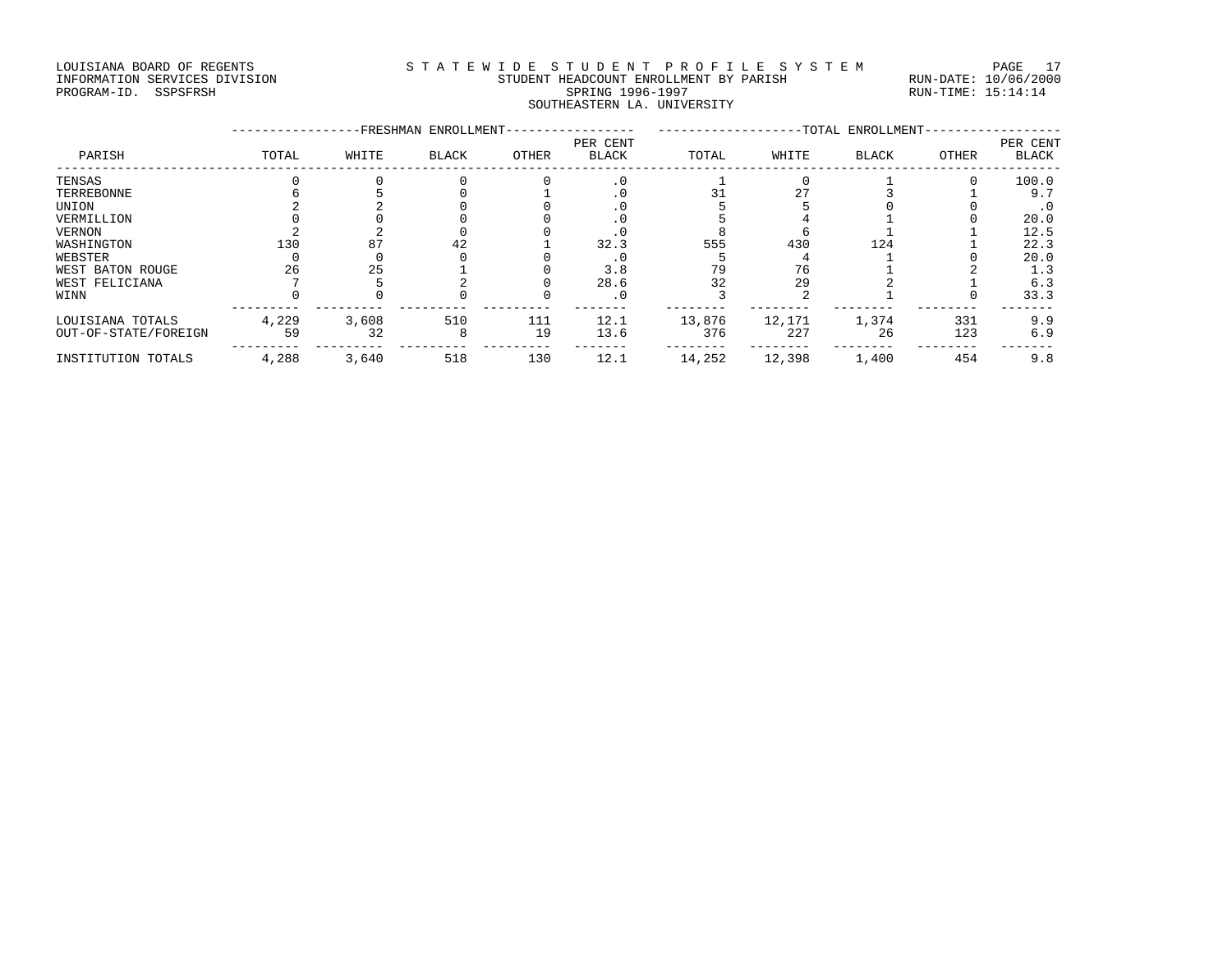#### LOUISIANA BOARD OF REGENTS STATEWIDE STUDENT PROFILE SYSTEM PAGE 17 INFORMATION SERVICES DIVISION STUDENT HEADCOUNT ENROLLMENT BY PARISH RUN-DATE: 10/06/2000 PROGRAM-ID. SSPSFRSH SPRING 1996-1997 RUN-TIME: 15:14:14 SOUTHEASTERN LA. UNIVERSITY

|                      |       |       | -FRESHMAN ENROLLMENT- |       |                          |        |        | -TOTAL ENROLLMENT- |       |                          |
|----------------------|-------|-------|-----------------------|-------|--------------------------|--------|--------|--------------------|-------|--------------------------|
| PARISH               | TOTAL | WHITE | <b>BLACK</b>          | OTHER | PER CENT<br><b>BLACK</b> | TOTAL  | WHITE  | <b>BLACK</b>       | OTHER | PER CENT<br><b>BLACK</b> |
| TENSAS               |       |       |                       |       | $\cdot$ 0                |        |        |                    |       | 100.0                    |
| TERREBONNE           |       |       |                       |       | . 0                      |        |        |                    |       | 9.7                      |
| UNION                |       |       |                       |       | . 0                      |        |        |                    |       | . 0                      |
| VERMILLION           |       |       |                       |       |                          |        |        |                    |       | 20.0                     |
| VERNON               |       |       |                       |       |                          |        |        |                    |       | 12.5                     |
| WASHINGTON           | 130   | 87    | 42                    |       | 32.3                     | 555    | 430    | 124                |       | 22.3                     |
| WEBSTER              |       |       |                       |       | . 0                      |        |        |                    |       | 20.0                     |
| WEST BATON ROUGE     | 26    | 25    |                       |       | 3.8                      | 79     | 76     |                    |       | 1.3                      |
| WEST FELICIANA       |       |       |                       |       | 28.6                     | 32     | 29     |                    |       | 6.3                      |
| WINN                 |       |       |                       |       | . 0                      |        |        |                    |       | 33.3                     |
| LOUISIANA TOTALS     | 4,229 | 3,608 | 510                   | 111   | 12.1                     | 13,876 | 12,171 | 1,374              | 331   | 9.9                      |
| OUT-OF-STATE/FOREIGN | 59    | 32    | 8                     | 19    | 13.6                     | 376    | 227    | 26                 | 123   | 6.9                      |
| INSTITUTION TOTALS   | 4,288 | 3,640 | 518                   | 130   | 12.1                     | 14,252 | 12,398 | 1,400              | 454   | 9.8                      |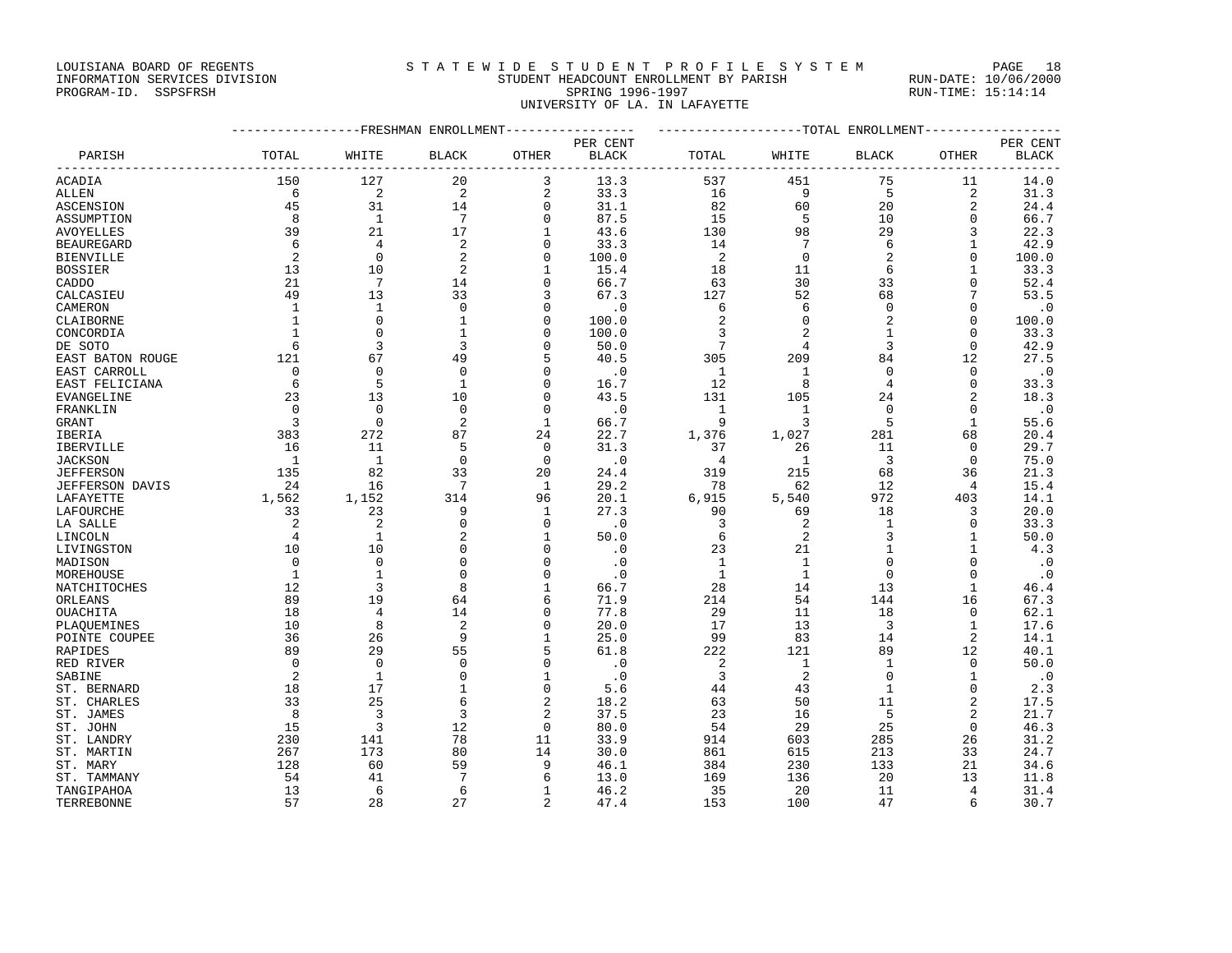### LOUISIANA BOARD OF REGENTS STATEWIDE STUDENT PROFILE SYSTEM PAGE 18 INFORMATION SERVICES DIVISION STUDENT HEADCOUNT ENROLLMENT BY PARISH RUN-DATE: 10/06/2000

PROGRAM-ID. SSPSFRSH SPRING 1996-1997 RUN-TIME: 15:14:14 UNIVERSITY OF LA. IN LAFAYETTE

|                        |                |                 | ------------FRESHMAN ENROLLMENT---------------- |                               |              | ------------------TOTAL ENROLLMENT-------------- |                 |                |                  |              |
|------------------------|----------------|-----------------|-------------------------------------------------|-------------------------------|--------------|--------------------------------------------------|-----------------|----------------|------------------|--------------|
|                        |                |                 |                                                 |                               | PER CENT     |                                                  |                 |                |                  | PER CENT     |
| PARISH                 | TOTAL          | WHITE           | BLACK                                           | OTHER                         | <b>BLACK</b> | TOTAL                                            | WHITE           | BLACK          | OTHER            | <b>BLACK</b> |
| ACADIA                 | 150            | 127             | 20                                              | 3                             | 13.3         | 537                                              | 451             | 75             | 11               | 14.0         |
| ALLEN                  | 6              | 2               | 2                                               | $\overline{c}$                | 33.3         | 16                                               | 9               | 5              | 2                | 31.3         |
| ASCENSION              | 45             | 31              | 14                                              | $\mathbf 0$                   | 31.1         | 82                                               | 60              | 20             | $\overline{2}$   | 24.4         |
| ASSUMPTION             | 8              | <sup>1</sup>    | $7\phantom{.0}$                                 | $\mathbf 0$                   | 87.5         | 15                                               | 5               | 10             | $\mathbf{0}$     | 66.7         |
| AVOYELLES              | 39             | 21              | 17                                              | 1                             | 43.6         | 130                                              | 98              | 29             | 3                | 22.3         |
| <b>BEAUREGARD</b>      | 6              | $\overline{4}$  | $\overline{a}$                                  | $\mathbf 0$                   | 33.3         | 14                                               | $7\phantom{.0}$ | 6              | 1                | 42.9         |
| <b>BIENVILLE</b>       | 2              | $\Omega$        | $\overline{a}$                                  | $\mathbf 0$                   | 100.0        | 2                                                | $\mathbf 0$     | 2              | $\mathbf{0}$     | 100.0        |
| <b>BOSSIER</b>         | 13             | 10              | 2                                               | $\mathbf{1}$                  | 15.4         | 18                                               | 11              | 6              | $\mathbf{1}$     | 33.3         |
| CADDO                  | 21             | $7\phantom{.0}$ | 14                                              | 0                             | 66.7         | 63                                               | 30              | 33             | $\Omega$         | 52.4         |
| CALCASIEU              | 49             | 13              | 33                                              | 3                             | 67.3         | 127                                              | 52              | 68             |                  | 53.5         |
| CAMERON                | 1              | 1               | $\mathbf 0$                                     | 0                             | $\cdot$ 0    | 6                                                | 6               | 0              | $\Omega$         | $\cdot$ 0    |
| CLAIBORNE              | 1              | $\Omega$        | 1                                               | $\Omega$                      | 100.0        | 2                                                | $\Omega$        | 2              | $\Omega$         | 100.0        |
| CONCORDIA              | $\mathbf{1}$   | $\mathbf{0}$    | $\mathbf{1}$                                    | $\mathbf 0$                   | 100.0        | 3                                                |                 | $\mathbf{1}$   | 0                | 33.3         |
| DE SOTO                | 6              | 3               | 3                                               | $\Omega$                      | 50.0         | $7\phantom{.0}$                                  | 4               | 3              | $\Omega$         | 42.9         |
| EAST BATON ROUGE       | 121            | 67              | 49                                              | 5                             | 40.5         | 305                                              | 209             | 84             | 12               | 27.5         |
| EAST CARROLL           | $\mathbf 0$    | $\Omega$        | $\Omega$                                        | $\Omega$                      | $\cdot$ 0    | 1                                                | 1               | $\mathbf 0$    | $\Omega$         | . 0          |
| EAST FELICIANA         | 6              | 5               | $\mathbf{1}$                                    | $\mathbf 0$                   | 16.7         | 12                                               | 8               | 4              | $\mathbf{0}$     | 33.3         |
| EVANGELINE             | 23             | 13              | 10                                              | $\mathbf 0$                   | 43.5         | 131                                              | 105             | 24             | $\overline{2}$   | 18.3         |
| FRANKLIN               | $\mathbf 0$    | $\Omega$        | $\mathbf 0$                                     | $\mathbf 0$                   | $\cdot$ 0    | $\mathbf{1}$                                     | $\mathbf{1}$    | $\mathbf 0$    | 0                | $\cdot$ 0    |
| GRANT                  | 3              | $\Omega$        | 2                                               | 1                             | 66.7         | 9                                                | 3               | 5              | 1                | 55.6         |
| IBERIA                 | 383            | 272             | 87                                              | 24                            | 22.7         | 1,376                                            | 1,027           | 281            | 68               | 20.4         |
| IBERVILLE              | 16             | 11              | 5                                               | 0                             | 31.3         | 37                                               | 26              | 11             | 0                | 29.7         |
| <b>JACKSON</b>         | $\overline{1}$ | $\mathbf{1}$    | $\Omega$                                        | $\mathbf 0$                   | $\cdot$ 0    | $\overline{4}$                                   | $\mathbf{1}$    | $\overline{3}$ | $\mathbf 0$      | 75.0         |
| <b>JEFFERSON</b>       | 135            | 82              | 33                                              | 20                            | 24.4         | 319                                              | 215             | 68             | 36               | 21.3         |
| <b>JEFFERSON DAVIS</b> | 24             | 16              | 7                                               | 1                             | 29.2         | 78                                               | 62              | 12             | $\overline{4}$   | 15.4         |
| LAFAYETTE              | 1,562          | 1,152           | 314                                             | 96                            | 20.1         | 6,915                                            | 5,540           | 972            | 403              | 14.1         |
| LAFOURCHE              | 33             | 23              | 9                                               | 1                             | 27.3         | 90                                               | 69              | 18             | 3                | 20.0         |
| LA SALLE               | 2              | $\overline{2}$  | $\mathbf 0$                                     | $\mathbf 0$                   | $\cdot$ 0    | 3                                                | 2               | $\mathbf{1}$   | $\mathbf{0}$     | 33.3         |
| LINCOLN                | 4              | 1               | $\overline{a}$                                  | 1                             | 50.0         | 6                                                | 2               | 3              | 1                | 50.0         |
| LIVINGSTON             | 10             | 10              | $\mathbf{0}$                                    | 0                             | $\cdot$ 0    | 23                                               | 21              | 1              | 1                | 4.3          |
| MADISON                | $\mathbf 0$    | $\mathbf{0}$    | $\mathbf 0$                                     | $\mathbf 0$                   | $\cdot$ 0    | 1                                                | $\mathbf{1}$    | 0              | $\mathbf{0}$     | $\cdot$ 0    |
| MOREHOUSE              | $\mathbf{1}$   |                 | $\mathbf{0}$                                    | $\mathbf 0$                   | $\cdot$ 0    | 1                                                | $\mathbf{1}$    | $\mathbf 0$    | $\mathbf{0}$     | $\cdot$ 0    |
| NATCHITOCHES           | 12             | 3               | 8                                               | 1                             | 66.7         | 28                                               | 14              | 13             | $\mathbf{1}$     | 46.4         |
| ORLEANS                | 89             | 19              | 64                                              | 6                             | 71.9         | 214                                              | 54              | 144            | 16               | 67.3         |
| OUACHITA               | 18             | 4               | 14                                              | $\Omega$                      | 77.8         | 29                                               | 11              | 18             | 0                | 62.1         |
| PLAQUEMINES            | 10             | 8               | $\overline{a}$                                  | $\Omega$                      | 20.0         | 17                                               | 13              | 3              | 1                | 17.6         |
| POINTE COUPEE          | 36             | 26              | 9                                               | 1                             | 25.0         | 99                                               | 83              | 14             | $\overline{2}$   | 14.1         |
| RAPIDES                | 89             | 29              | 55                                              | 5                             | 61.8         | 222                                              | 121             | 89             | 12               | 40.1         |
| RED RIVER              | $\mathbf 0$    | $\mathbf 0$     | $\mathbf 0$                                     | $\mathbf 0$                   | $\cdot$ 0    | 2                                                | $\mathbf{1}$    | 1              | 0                | 50.0         |
| SABINE                 | 2              | 1               | 0                                               | 1                             | $\cdot$ 0    | 3                                                | 2               | 0              | 1                | $\cdot$ 0    |
| ST. BERNARD            | 18             | 17              | 1<br>6                                          | $\mathbf 0$                   | 5.6          | 44                                               | 43              | 1              | $\mathbf{0}$     | 2.3          |
| ST. CHARLES            | 33<br>8        | 25              | 3                                               | $\overline{2}$                | 18.2         | 63                                               | 50              | 11             | 2                | 17.5         |
| ST. JAMES              | 15             | 3<br>3          | 12                                              | $\overline{2}$<br>$\mathbf 0$ | 37.5         | 23<br>54                                         | 16<br>29        | 5<br>25        | 2<br>$\mathbf 0$ | 21.7<br>46.3 |
| ST. JOHN               |                |                 | 78                                              |                               | 80.0         |                                                  |                 |                |                  |              |
| ST. LANDRY             | 230            | 141<br>173      | 80                                              | 11<br>14                      | 33.9         | 914                                              | 603             | 285            | 26<br>33         | 31.2         |
| ST. MARTIN<br>ST. MARY | 267<br>128     | 60              | 59                                              | 9                             | 30.0<br>46.1 | 861<br>384                                       | 615<br>230      | 213<br>133     | 21               | 24.7<br>34.6 |
| ST. TAMMANY            | 54             | 41              | 7                                               | 6                             | 13.0         | 169                                              | 136             | 20             | 13               | 11.8         |
| TANGIPAHOA             | 13             | 6               | 6                                               | $\mathbf{1}$                  | 46.2         | 35                                               | 20              | 11             | $\overline{4}$   | 31.4         |
| TERREBONNE             | 57             | 28              | 27                                              | $\overline{2}$                | 47.4         | 153                                              | 100             | 47             | 6                | 30.7         |
|                        |                |                 |                                                 |                               |              |                                                  |                 |                |                  |              |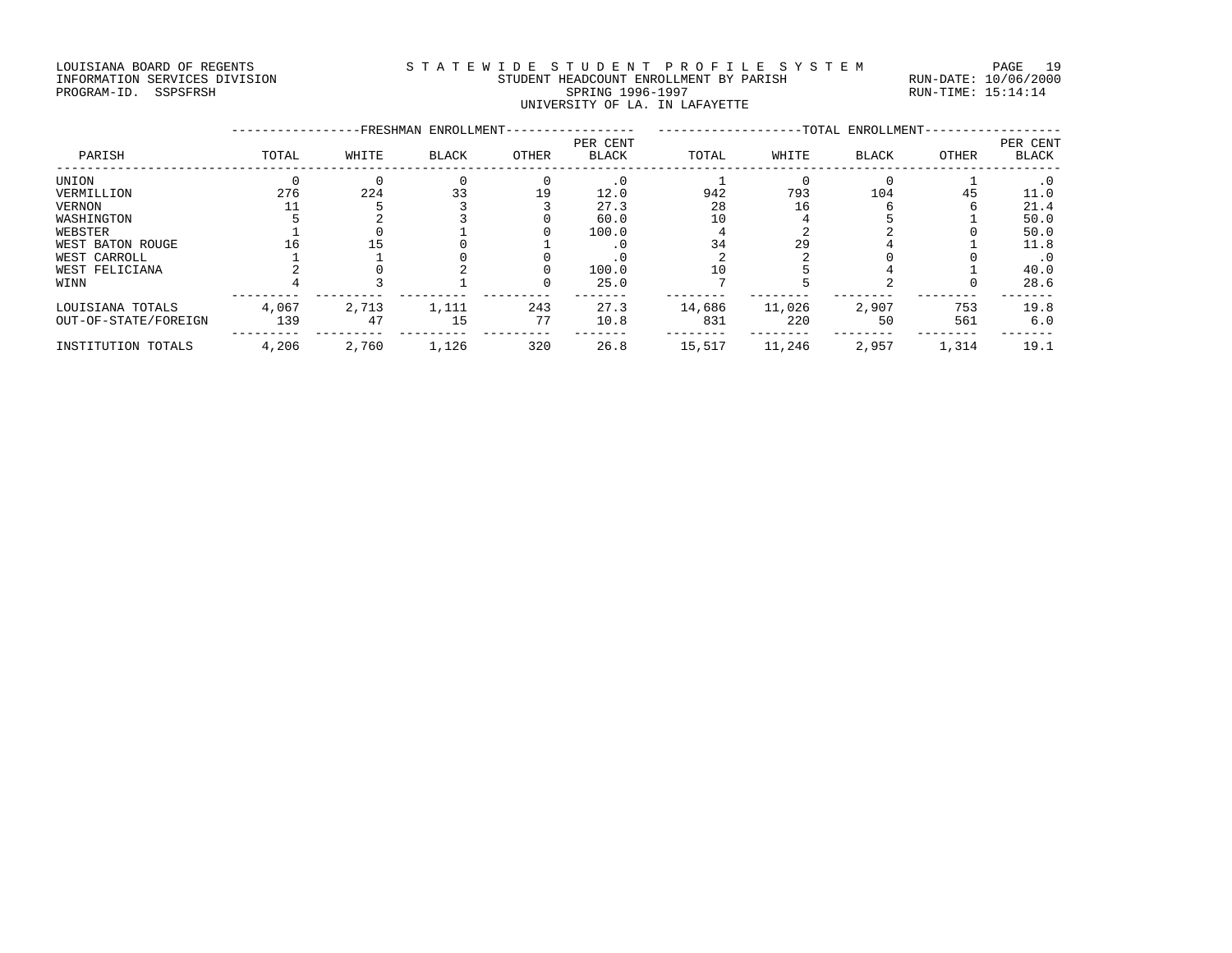### LOUISIANA BOARD OF REGENTS S T A T E W I D E S T U D E N T P R O F I L E S Y S T E M PAGE 19 INFORMATION SERVICES DIVISION STUDENT HEADCOUNT ENROLLMENT BY PARISH RUN-DATE: 10/06/2000 PROGRAM-ID. SSPSFRSH SPRING 1996-1997 RUN-TIME: 15:14:14 UNIVERSITY OF LA. IN LAFAYETTE

|                      |       |       | -FRESHMAN ENROLLMENT- |       |                   |        |        | -TOTAL ENROLLMENT- |       |                   |
|----------------------|-------|-------|-----------------------|-------|-------------------|--------|--------|--------------------|-------|-------------------|
| PARISH               | TOTAL | WHITE | BLACK                 | OTHER | PER CENT<br>BLACK | TOTAL  | WHITE  | BLACK              | OTHER | PER CENT<br>BLACK |
| UNION                |       |       |                       |       | $\cdot$ 0         |        |        |                    |       | . 0               |
| VERMILLION           | 276   | 224   | 33                    | 19    | 12.0              | 942    | 793    | 104                | 45    | 11.0              |
| VERNON               |       |       |                       |       | 27.3              | 28     | 16     |                    |       | 21.4              |
| WASHINGTON           |       |       |                       |       | 60.0              | 10     |        |                    |       | 50.0              |
| WEBSTER              |       |       |                       |       | 100.0             |        |        |                    |       | 50.0              |
| WEST BATON ROUGE     |       |       |                       |       | . 0               | 34     | 29     |                    |       | 11.8              |
| WEST CARROLL         |       |       |                       |       |                   |        |        |                    |       |                   |
| WEST FELICIANA       |       |       |                       |       | 100.0             | 10     |        |                    |       | 40.0              |
| WINN                 |       |       |                       |       | 25.0              |        |        |                    |       | 28.6              |
| LOUISIANA TOTALS     | 4,067 | 2,713 | 1,111                 | 243   | 27.3              | 14,686 | 11,026 | 2,907              | 753   | 19.8              |
| OUT-OF-STATE/FOREIGN | 139   | 47    | 15                    | 77    | 10.8              | 831    | 220    | 50                 | 561   | 6.0               |
| INSTITUTION TOTALS   | 4,206 | 2,760 | 1,126                 | 320   | 26.8              | 15,517 | 11,246 | 2,957              | 1,314 | 19.1              |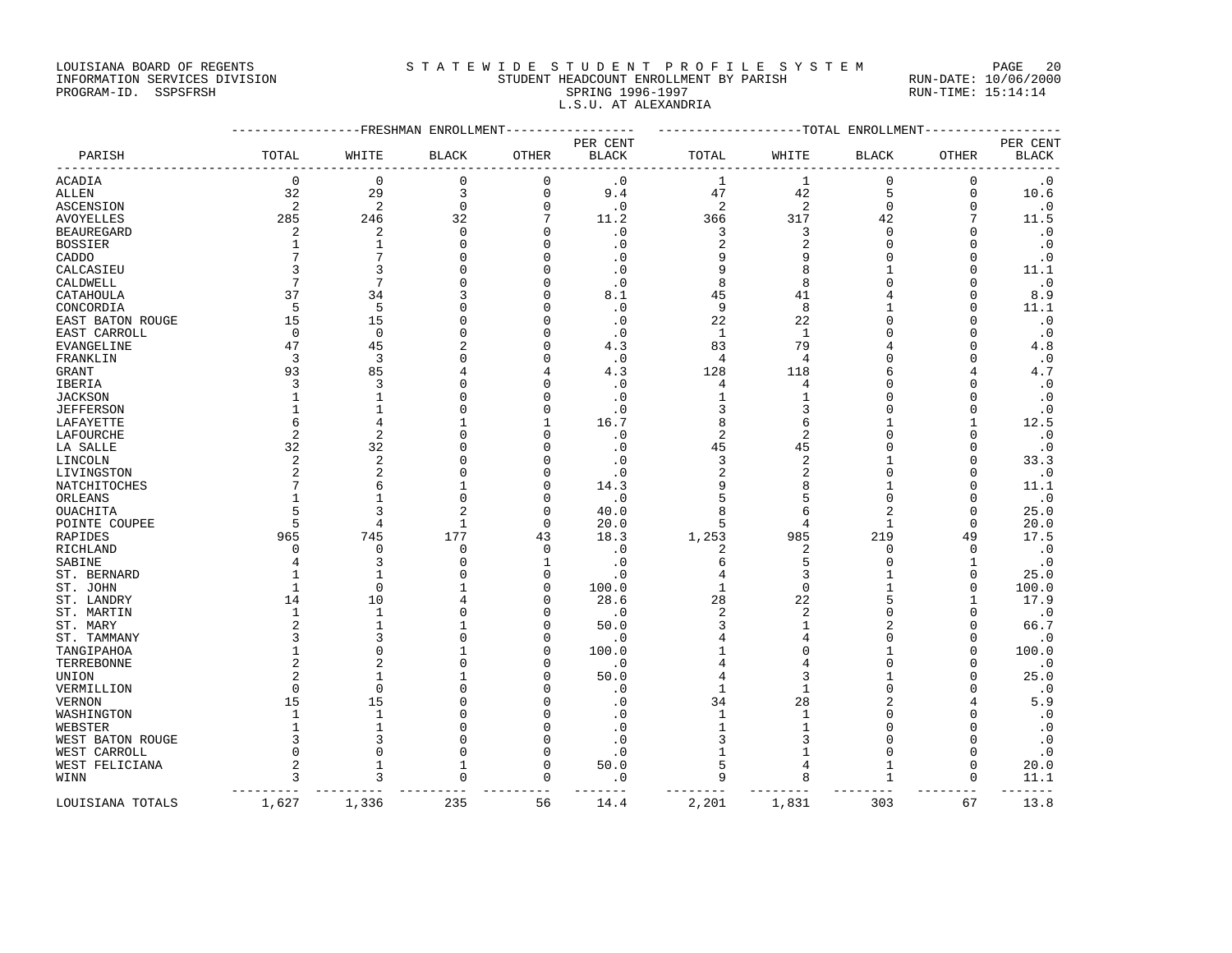LOUISIANA BOARD OF REGENTS STATEWIDE STUDENT PROFILE SYSTEM PAGE 20

### INFORMATION SERVICES DIVISION STUDENT HEADCOUNT ENROLLMENT BY PARISH RUN-DATE: 10/06/2000 PROGRAM-ID. SSPSFRSH SPRING 1996-1997 RUN-TIME: 15:14:14 L.S.U. AT ALEXANDRIA

|                   |                |                | -FRESHMAN ENROLLMENT |          |              |                |                | -------------TOTAL ENROLLMENT |              |              |
|-------------------|----------------|----------------|----------------------|----------|--------------|----------------|----------------|-------------------------------|--------------|--------------|
|                   |                |                |                      |          | PER CENT     |                |                |                               |              | PER CENT     |
| PARISH            | TOTAL          | WHITE          | <b>BLACK</b>         | OTHER    | <b>BLACK</b> | TOTAL          | WHITE          | <b>BLACK</b>                  | <b>OTHER</b> | <b>BLACK</b> |
| ACADIA            | $\mathbf 0$    | $\Omega$       | 0                    | 0        | $\cdot$ 0    | 1              | 1              | 0                             | $\Omega$     | $\cdot$ 0    |
| ALLEN             | 32             | 29             | 3                    | 0        | 9.4          | 47             | 42             | 5                             | $\mathbf{0}$ | 10.6         |
| ASCENSION         | $\overline{2}$ | $\overline{c}$ | $\mathbf 0$          | 0        | $\cdot$ 0    | $\sqrt{2}$     | 2              | $\mathbf 0$                   | 0            | $\cdot$ 0    |
| <b>AVOYELLES</b>  | 285            | 246            | 32                   | 7        | 11.2         | 366            | 317            | 42                            |              | 11.5         |
| <b>BEAUREGARD</b> | $\overline{c}$ | $\overline{c}$ | $\mathbf 0$          | $\Omega$ | $\cdot$ 0    | 3              | 3              | $\mathbf 0$                   | $\Omega$     | $\cdot$ 0    |
| <b>BOSSIER</b>    | 1              | -1             | $\Omega$             | U        | $\cdot$ 0    | 2              | 2              | $\Omega$                      | U            | $\cdot$ 0    |
| CADDO             |                |                | $\Omega$             | U        | $\cdot$ 0    | 9              | 9              | $\Omega$                      | $\Omega$     | $\cdot$ 0    |
| CALCASIEU         | 3              | २              | $\cap$               | Λ        | . 0          | 9              | 8              | -1                            | U            | 11.1         |
| CALDWELL          | 7              | 7              | $\Omega$             | U        | $\cdot$ 0    | 8              | 8              | $\Omega$                      | U            | $\cdot$ 0    |
| CATAHOULA         | 37             | 34             | 3                    | N        | 8.1          | 45             | 41             |                               | U            | 8.9          |
| CONCORDIA         | 5              | 5              | $\Omega$             | U        | $\cdot$ 0    | 9              | 8              |                               | $\Omega$     | 11.1         |
| EAST BATON ROUGE  | 15             | 15             | $\Omega$             |          | $\cdot$ 0    | 22             | 22             | $\cap$                        | $\Omega$     | $\cdot$ 0    |
| EAST CARROLL      | $\Omega$       | $\Omega$       | $\Omega$             |          | $\cdot$ 0    | $\mathbf{1}$   | $\mathbf{1}$   |                               | U            | $\cdot$ 0    |
| EVANGELINE        | 47             | 45             | $\overline{2}$       | U        | 4.3          | 83             | 79             |                               | $\Omega$     | 4.8          |
| FRANKLIN          | 3              | 3              | $\Omega$             |          | $\cdot$ 0    | $\overline{4}$ | 4              | $\Omega$                      | $\Omega$     | $\cdot$ 0    |
| GRANT             | 93             | 85             | 4                    |          | 4.3          | 128            | 118            | 6                             |              | 4.7          |
| IBERIA            | 3              | 3              | $\Omega$             | Λ        | $\cdot$ 0    | 4              | 4              | $\Omega$                      | U            | $\cdot$ 0    |
| <b>JACKSON</b>    |                | $\mathbf{1}$   | $\Omega$             | O        | $\cdot$ 0    | $\mathbf{1}$   | $\mathbf{1}$   | $\Omega$                      | $\Omega$     | $\cdot$ 0    |
| <b>JEFFERSON</b>  | -1             | -1             | $\Omega$             | O        | $\cdot$ 0    | 3              | 3              | $\Omega$                      |              | $\cdot$ 0    |
| LAFAYETTE         | 6              | 4              | 1                    | -1       | 16.7         | 8              | 6              |                               | $\mathbf{1}$ | 12.5         |
| LAFOURCHE         | $\overline{c}$ | $\overline{c}$ | $\Omega$             | O        | $\cdot$ 0    | $\overline{2}$ | $\overline{2}$ | $\Omega$                      | O            | $\cdot$ 0    |
| LA SALLE          | 32             | 32             | $\Omega$             | O        | $\cdot$ 0    | 45             | 45             | $\Omega$                      | U            | $\cdot$ 0    |
| LINCOLN           | $\overline{c}$ | $\overline{2}$ | $\Omega$             | U        | $\cdot$ 0    | 3              | $\overline{2}$ |                               | $\Omega$     | 33.3         |
| LIVINGSTON        | 2              | 2              | $\Omega$             | O        | $\cdot$ 0    | 2              | 2              | $\Omega$                      | U            | $\cdot$ 0    |
| NATCHITOCHES      |                | 6              | 1                    | U        | 14.3         | 9              | 8              |                               | O            | 11.1         |
| ORLEANS           | 1              | $\mathbf{1}$   | $\mathbf 0$          | O        | $\cdot$ 0    | 5              | 5              | $\Omega$                      | $\Omega$     | $\cdot$ 0    |
| OUACHITA          | 5              | ζ              | $\mathfrak{D}$       | O        | 40.0         | 8              | 6              | $\overline{c}$                | $\Omega$     | 25.0         |
| POINTE COUPEE     | 5              | 4              | $\mathbf{1}$         | $\Omega$ | 20.0         | 5              | 4              | $\mathbf{1}$                  | $\Omega$     | 20.0         |
| RAPIDES           | 965            | 745            | 177                  | 43       | 18.3         | 1,253          | 985            | 219                           | 49           | 17.5         |
| RICHLAND          | $\Omega$       | $\Omega$       | $\Omega$             | $\Omega$ | $\cdot$ 0    | 2              | 2              | $\Omega$                      | $\Omega$     | $\cdot$ 0    |
| SABINE            |                | 3              | $\Omega$             | 1        | $\cdot$ 0    | б              | 5              | $\Omega$                      | $\mathbf{1}$ | $\cdot$ 0    |
| ST. BERNARD       | -1             | -1             | $\cap$               | $\Omega$ | $\cdot$ 0    | 4              | 3              | -1                            | O            | 25.0         |
| ST. JOHN          | $\mathbf{1}$   | $\Omega$       |                      | $\Omega$ | 100.0        | $\mathbf{1}$   | $\mathbf 0$    |                               | $\Omega$     | 100.0        |
| ST. LANDRY        | 14             | 10             | 4                    | Λ        | 28.6         | 28             | 22             | 5                             | 1            | 17.9         |
| ST. MARTIN        | 1              | 1              | $\Omega$             | O        | $\cdot$ 0    | 2              | 2              | $\Omega$                      | $\Omega$     | $\cdot$ 0    |
| ST. MARY          | 2              | 1              | 1                    | Ω        | 50.0         | 3              | 1              | $\overline{c}$                | U            | 66.7         |
| ST. TAMMANY       | ρ              | 3              | $\Omega$             | O        | $\cdot$ 0    |                | 4              | $\Omega$                      | O            | $\cdot$ 0    |
| TANGIPAHOA        |                | $\Omega$       |                      | O        | 100.0        |                | $\Omega$       |                               | $\Omega$     | 100.0        |
| TERREBONNE        | 2              | $\overline{2}$ | $\Omega$             | Λ        | $\cdot$ 0    | 4              | 4              | $\Omega$                      | U            | $\cdot$ 0    |
| UNION             |                | $\mathbf{1}$   | 1                    | O        | 50.0         | 4              | 3              | 1                             | $\Omega$     | 25.0         |
| VERMILLION        | $\Omega$       | $\Omega$       | $\cap$               | Λ        | $\cdot$ 0    | 1              | 1              | $\Omega$                      |              | $\cdot$ 0    |
| VERNON            | 15             | 15             | $\Omega$             |          | $\cdot$ 0    | 34             | 28             | $\overline{c}$                |              | 5.9          |
| WASHINGTON        | 1              | -1             | $\Omega$             | Λ        | . 0          | 1              | 1              |                               | U            | $\cdot$ 0    |
| WEBSTER           |                |                | $\Omega$             |          | $\cdot$ 0    | $\overline{1}$ | $\mathbf{1}$   | $\Omega$                      |              | $\cdot$ 0    |
| WEST BATON ROUGE  | 3              | 3              | $\Omega$             | N        | $\cdot$ 0    | 3              | 3              | $\Omega$                      | U            | $\cdot$ 0    |
| WEST CARROLL      | $\Omega$       | $\Omega$       | $\Omega$             | $\cap$   | $\cdot$ 0    | 1              | 1              | $\Omega$                      | $\Omega$     | $\cdot$ 0    |
| WEST FELICIANA    | $\overline{2}$ | 1              | 1                    | $\Omega$ | 50.0         | 5              | 4              | 1                             | 0            | 20.0         |
| WINN              | 3              | ζ              | $\Omega$             | $\Omega$ | $\cdot$ 0    | 9              | 8              | $\mathbf{1}$                  | $\Omega$     | 11.1         |
| LOUISIANA TOTALS  | 1,627          | 1,336          | 235                  | 56       | 14.4         | 2,201          | 1,831          | 303                           | 67           | 13.8         |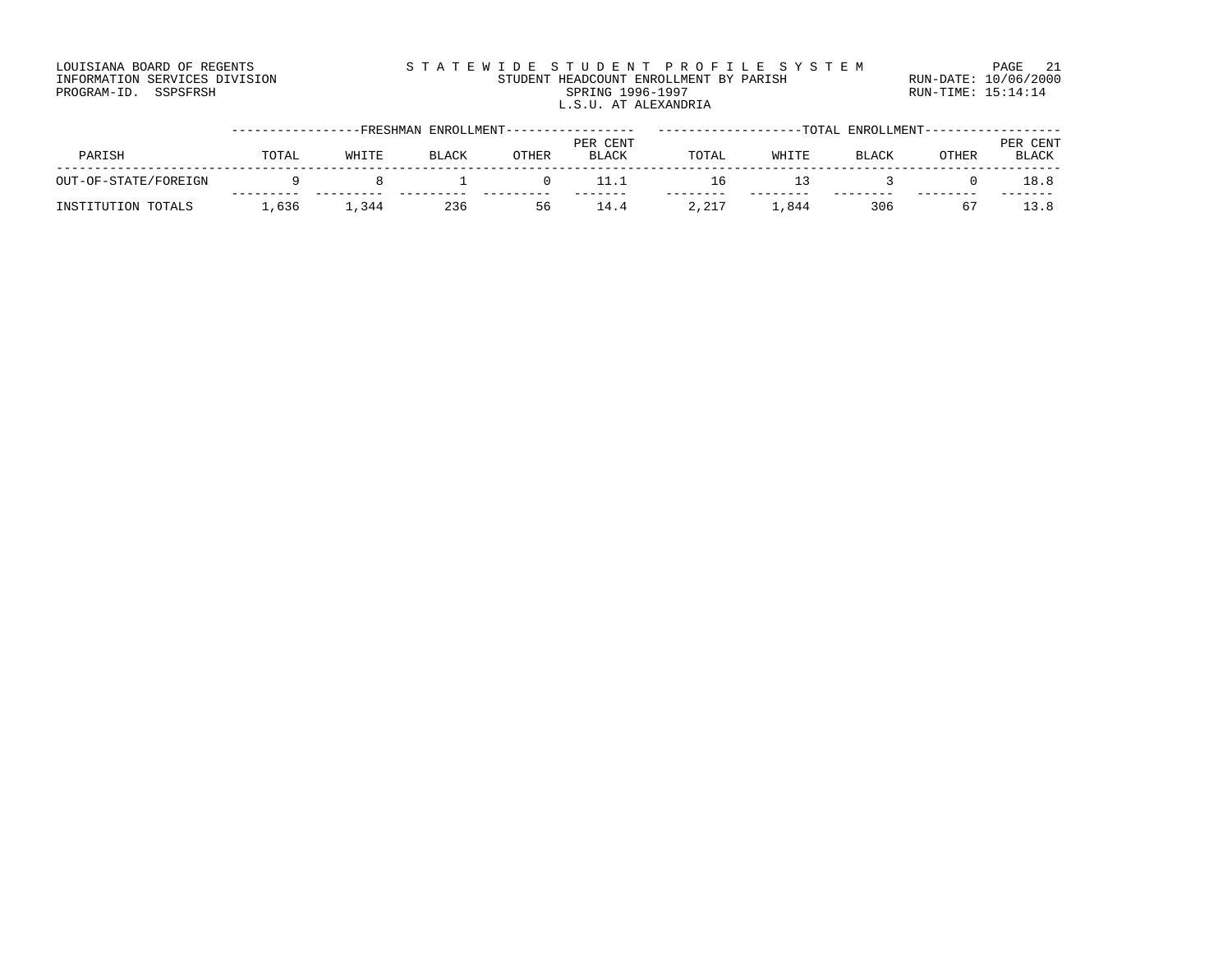#### LOUISIANA BOARD OF REGENTS STATEWIDE STUDENT PROFILE SYSTEM PAGE 21 INFORMATION SERVICES DIVISION STUDENT HEADCOUNT ENROLLMENT BY PARISH RUN-DATE: 10/06/2000 PROGRAM-ID. SSPSFRSH SPRING 1996-1997 RUN-TIME: 15:14:14 L.S.U. AT ALEXANDRIA

|                      |       |       | -FRESHMAN ENROLLMENT- |       |              |       |       | TOTAL ENROLLMENT- |              |               |
|----------------------|-------|-------|-----------------------|-------|--------------|-------|-------|-------------------|--------------|---------------|
|                      |       |       |                       |       | PER CENT     |       |       |                   |              | . CENT<br>PER |
| PARISH               | TOTAL | WHITE | <b>BLACK</b>          | OTHER | <b>BLACK</b> | TOTAL | WHITE | <b>BLACK</b>      | <b>OTHER</b> | <b>BLACK</b>  |
| OUT-OF-STATE/FOREIGN |       |       |                       |       |              | TР    | ∣≺    |                   |              | 18.8          |
|                      |       |       |                       |       |              |       |       |                   |              |               |
| INSTITUTION TOTALS   | ,636  | ,344  | 236                   | 56    | 14.4         | 2,217 | 844.  | 306               |              |               |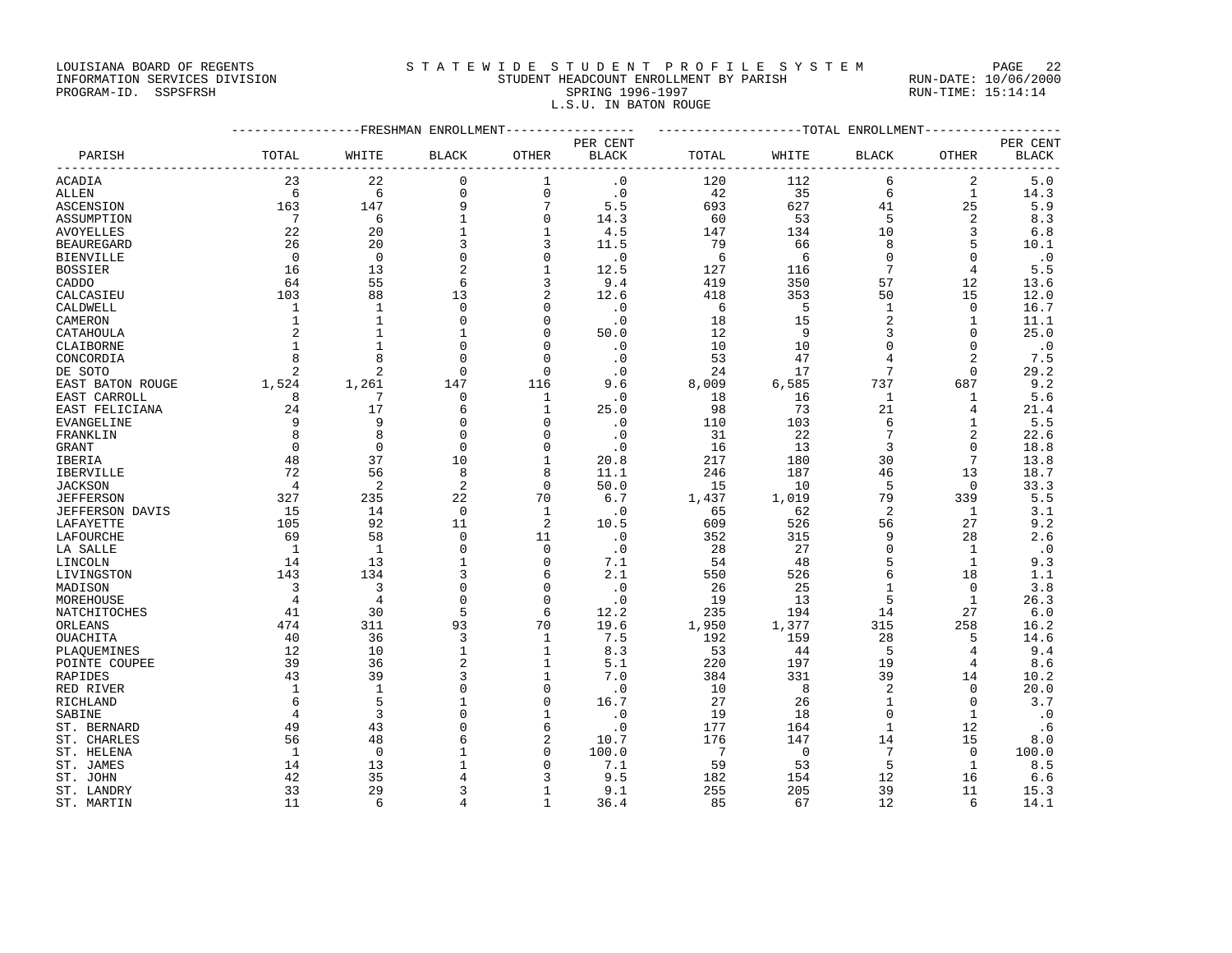## LOUISIANA BOARD OF REGENTS STATEWIDE STUDENT PROFILE SYSTEM PAGE 22 INFORMATION SERVICES DIVISION STUDENT HEADCOUNT ENROLLMENT BY PARISH RUN-DATE: 10/06/2000 L.S.U. IN BATON ROUGE

PROGRAM-ID. SSPSFRSH SPRING 1996-1997 RUN-TIME: 15:14:14

|                                               | ----------------FRESHMAN ENROLLMENT---------------- |                |                   |                         |                            | ------------------TOTAL ENROLLMENT-------------- |             |                 |                               |                         |
|-----------------------------------------------|-----------------------------------------------------|----------------|-------------------|-------------------------|----------------------------|--------------------------------------------------|-------------|-----------------|-------------------------------|-------------------------|
|                                               |                                                     |                |                   |                         | PER CENT                   |                                                  |             |                 |                               | PER CENT                |
| PARISH<br>----------------------------------- | TOTAL                                               | WHITE<br>----  | <b>BLACK</b>      | <b>OTHER</b><br>------- | <b>BLACK</b><br>---------- | TOTAL                                            | WHITE       | <b>BLACK</b>    | <b>OTHER</b><br>$\frac{1}{2}$ | <b>BLACK</b><br>------- |
| ACADIA                                        | 23                                                  | 22             | $\mathbf 0$       | $\mathbf{1}$            | $\cdot$ 0                  | 120                                              | 112         | 6               | 2                             | 5.0                     |
| ALLEN                                         | 6                                                   | 6              | 0                 | $\mathsf 0$             | $\cdot$ 0                  | 42                                               | 35          | 6               | $\mathbf{1}$                  | 14.3                    |
| <b>ASCENSION</b>                              | 163                                                 | 147            | 9                 | $7\phantom{.0}$         | 5.5                        | 693                                              | 627         | 41              | 25                            | 5.9                     |
| ASSUMPTION                                    | 7                                                   | 6              | $\mathbf{1}$      | 0                       | 14.3                       | 60                                               | 53          | 5               | 2                             | 8.3                     |
| AVOYELLES                                     | 22                                                  | 20             | $\mathbf{1}$      | $\mathbf{1}$            | 4.5                        | 147                                              | 134         | 10              | 3                             | 6.8                     |
| <b>BEAUREGARD</b>                             | 26                                                  | 20             | 3                 | 3                       | 11.5                       | 79                                               | 66          | 8               | 5                             | 10.1                    |
| BIENVILLE                                     | $\Omega$                                            | $\Omega$       | $\mathbf 0$       | $\mathbf 0$             | $\cdot$ 0                  | 6                                                | 6           | $\Omega$        | $\mathbf 0$                   | $\cdot$ 0               |
| <b>BOSSIER</b>                                | 16                                                  | 13             | $\overline{a}$    | $\mathbf{1}$            | 12.5                       | 127                                              | 116         | $7\phantom{.0}$ | $\overline{4}$                | 5.5                     |
| CADDO                                         | 64                                                  | 55             | 6                 | 3                       | 9.4                        | 419                                              | 350         | 57              | 12                            | 13.6                    |
| CALCASIEU                                     | 103                                                 | 88             | 13                | $\overline{2}$          | 12.6                       | 418                                              | 353         | 50              | 15                            | 12.0                    |
| CALDWELL                                      | 1                                                   | $\mathbf{1}$   | $\mathbf 0$       | $\mathbf 0$             | $\cdot$ 0                  | 6                                                | 5           | $\mathbf{1}$    | 0                             | 16.7                    |
| CAMERON                                       | 1                                                   | $\mathbf{1}$   | $\mathbf 0$       | $\mathbf 0$             | $\cdot$ 0                  | 18                                               | 15          | 2               | 1                             | 11.1                    |
| CATAHOULA                                     | $\overline{2}$                                      | $\mathbf{1}$   | $\mathbf{1}$      | $\mathbf 0$             | 50.0                       | 12                                               | 9           | 3               | 0                             | 25.0                    |
| CLAIBORNE                                     | $\mathbf{1}$                                        | $\mathbf{1}$   | $\mathbf 0$       | $\Omega$                | $\cdot$ 0                  | 10                                               | 10          | 0               | 0                             | $\cdot$ 0               |
| CONCORDIA                                     | 8                                                   | 8              | 0                 | $\mathbf 0$             | $\cdot$ 0                  | 53                                               | 47          | 4               | $\overline{2}$                | 7.5                     |
| DE SOTO                                       | 2                                                   | 2              | $\mathbf 0$       | $\mathbf 0$             | $\cdot$ 0                  | 24                                               | 17          | 7               | $\mathbf 0$                   | 29.2                    |
| EAST BATON ROUGE                              | 1,524                                               | 1,261          | 147               | 116                     | 9.6                        | 8,009                                            | 6,585       | 737             | 687                           | 9.2                     |
| EAST CARROLL                                  | 8                                                   | 7              | $\Omega$          | 1                       | $\cdot$ 0                  | 18                                               | 16          | 1               | 1                             | 5.6                     |
| EAST FELICIANA                                | 24                                                  | 17             | 6                 | $\mathbf{1}$            | 25.0                       | 98                                               | 73          | 21              | 4                             | 21.4                    |
| EVANGELINE                                    | 9                                                   | 9              | $\mathbf 0$       | $\mathbf 0$             | $\cdot$ 0                  | 110                                              | 103         | 6               | 1                             | 5.5                     |
| FRANKLIN                                      | 8                                                   | 8              | $\Omega$          | $\Omega$                | $\cdot$ 0                  | 31                                               | 22          | 7               | 2                             | 22.6                    |
| GRANT                                         | $\Omega$                                            | $\Omega$       | $\Omega$          | $\Omega$                | $\cdot$ 0                  | 16                                               | 13          | 3               | $\Omega$                      | 18.8                    |
| IBERIA                                        | 48                                                  | 37             | 10                | $\mathbf{1}$            | 20.8                       | 217                                              | 180         | 30              | 7                             | 13.8                    |
| IBERVILLE                                     | 72                                                  | 56             | 8                 | 8                       | 11.1                       | 246                                              | 187         | 46              | 13                            | 18.7                    |
| <b>JACKSON</b>                                | $\overline{4}$                                      | 2              | 2                 | $\mathbf 0$             | 50.0                       | 15                                               | 10          | 5               | $\mathbf 0$                   | 33.3                    |
| JEFFERSON                                     | 327                                                 | 235            | 22                | 70                      | 6.7                        | 1,437                                            | 1,019       | 79              | 339                           | 5.5                     |
| JEFFERSON DAVIS                               | 15                                                  | 14             | $\overline{0}$    | $\mathbf{1}$            | $\cdot$ 0                  | 65                                               | 62          | 2               | $\mathbf{1}$                  | 3.1                     |
| LAFAYETTE                                     | 105                                                 | 92             | 11                | 2                       | 10.5                       | 609                                              | 526         | 56              | 27                            | 9.2                     |
| LAFOURCHE                                     | 69                                                  | 58             | $\Omega$          | 11                      | $\cdot$ 0                  | 352                                              | 315         | 9               | 28                            | 2.6                     |
| LA SALLE                                      | 1                                                   | 1              | $\mathbf 0$       | $\mathbf 0$             | $\cdot$ 0                  | 28                                               | 27          | 0               | 1                             | $\cdot$ 0               |
| LINCOLN                                       | 14                                                  | 13             | $\mathbf{1}$      | $\mathbf 0$             | 7.1                        | 54                                               | 48          | 5               | $\mathbf{1}$                  | 9.3                     |
| LIVINGSTON                                    | 143                                                 | 134            | 3                 | 6                       | 2.1                        | 550                                              | 526         | 6               | 18                            | 1.1                     |
| MADISON                                       | 3                                                   | 3              | $\mathbf 0$       | $\mathbf 0$             | $\cdot$ 0                  | 26                                               | 25          | $\mathbf 1$     | 0                             | 3.8                     |
| MOREHOUSE                                     | 4                                                   | $\overline{4}$ | $\Omega$          | $\mathbf 0$             | $\cdot$ 0                  | 19                                               | 13          | 5               | $\mathbf{1}$                  | 26.3                    |
| NATCHITOCHES                                  | 41                                                  | 30             | 5                 | 6                       | 12.2                       | 235                                              | 194         | 14              | 27                            | 6.0                     |
| ORLEANS                                       | 474                                                 | 311            | 93                | 70                      | 19.6                       | 1,950                                            | 1,377       | 315             | 258                           | 16.2                    |
| OUACHITA                                      | 40<br>12                                            | 36<br>10       | 3<br>$\mathbf{1}$ | 1<br>$\mathbf{1}$       | 7.5<br>8.3                 | 192<br>53                                        | 159<br>44   | 28<br>5         | 5<br>$\overline{4}$           | 14.6<br>9.4             |
| PLAOUEMINES<br>POINTE COUPEE                  | 39                                                  | 36             | 2                 | 1                       | 5.1                        | 220                                              | 197         | 19              | 4                             | 8.6                     |
| RAPIDES                                       | 43                                                  | 39             | 3                 | $\mathbf{1}$            | 7.0                        | 384                                              | 331         | 39              | 14                            | 10.2                    |
| RED RIVER                                     | 1                                                   | 1              | 0                 | $\mathbf 0$             | $\cdot$ 0                  | 10                                               | 8           | 2               | $\mathbf 0$                   | 20.0                    |
| RICHLAND                                      | 6                                                   | 5              | 1                 | $\mathbf 0$             | 16.7                       | 27                                               | 26          | 1               | 0                             | 3.7                     |
| SABINE                                        | 4                                                   | 3              | $\Omega$          | $\mathbf{1}$            | $\cdot$ 0                  | 19                                               | 18          | $\Omega$        | 1                             | $\cdot$ 0               |
| ST. BERNARD                                   | 49                                                  | 43             | $\mathbf 0$       | 6                       | $\cdot$ 0                  | 177                                              | 164         | $\mathbf{1}$    | 12                            | . 6                     |
| ST. CHARLES                                   | 56                                                  | 48             | 6                 | $\overline{2}$          | 10.7                       | 176                                              | 147         | 14              | 15                            | 8.0                     |
| ST. HELENA                                    | $\mathbf{1}$                                        | $\Omega$       | 1                 | $\mathbf 0$             | 100.0                      | 7                                                | $\mathbf 0$ | $7\phantom{.0}$ | $\mathbf 0$                   | 100.0                   |
| ST. JAMES                                     | 14                                                  | 13             | 1                 | $\mathbf 0$             | 7.1                        | 59                                               | 53          | 5               | 1                             | 8.5                     |
| ST. JOHN                                      | 42                                                  | 35             | 4                 | κ                       | 9.5                        | 182                                              | 154         | 12              | 16                            | 6.6                     |
| ST. LANDRY                                    | 33                                                  | 29             | 3                 | 1                       | 9.1                        | 255                                              | 205         | 39              | 11                            | 15.3                    |
| ST. MARTIN                                    | 11                                                  | 6              | 4                 | $\mathbf{1}$            | 36.4                       | 85                                               | 67          | 12              | 6                             | 14.1                    |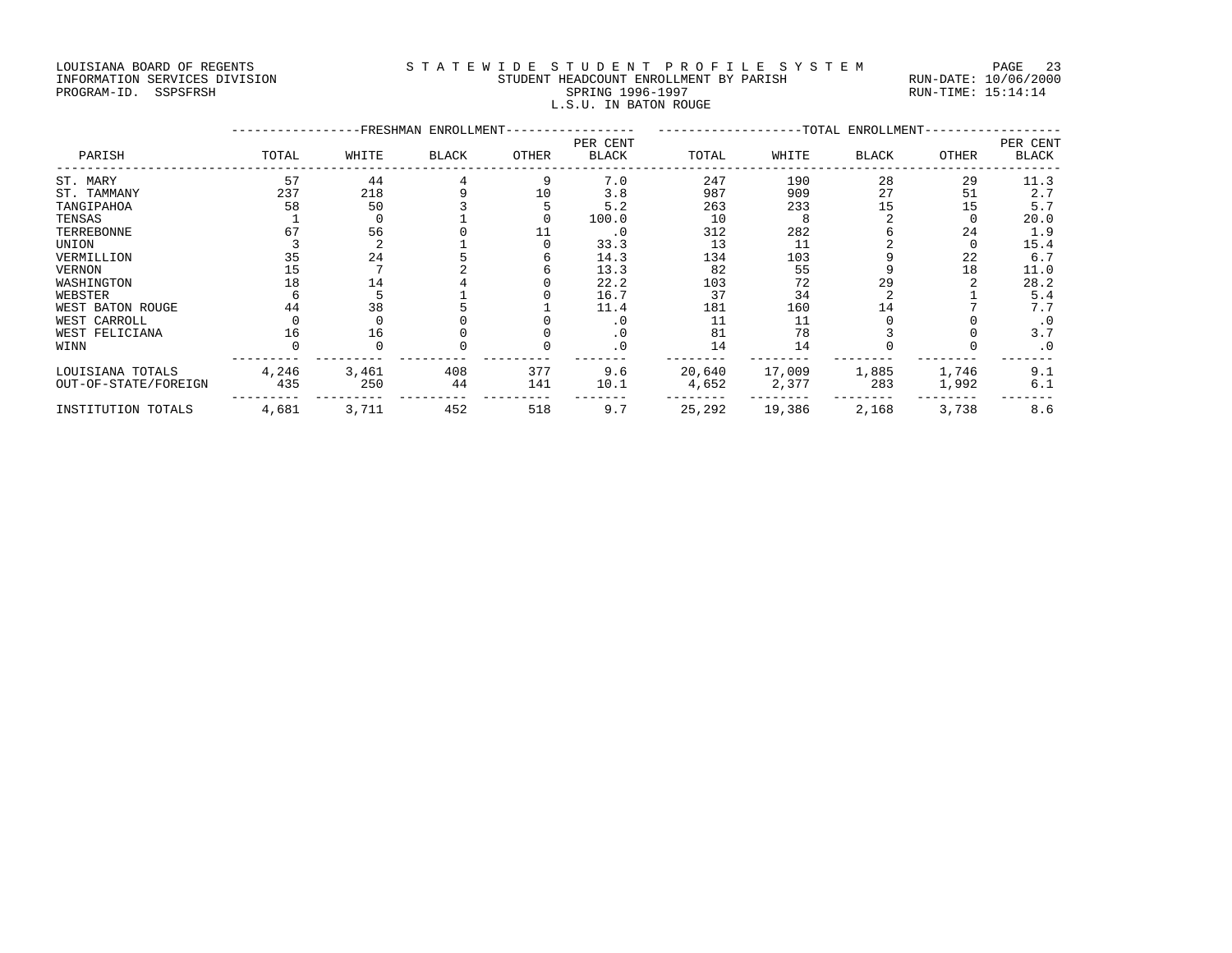#### LOUISIANA BOARD OF REGENTS STATEWIDE STUDENT PROFILE SYSTEM PAGE 23 INFORMATION SERVICES DIVISION STUDENT HEADCOUNT ENROLLMENT BY PARISH RUN-DATE: 10/06/2000 PROGRAM-ID. SSPSFRSH SPRING 1996-1997 RUN-TIME: 15:14:14 L.S.U. IN BATON ROUGE

|                      |       |       | -FRESHMAN ENROLLMENT- |       |              |        |        | -TOTAL ENROLLMENT- |       |           |
|----------------------|-------|-------|-----------------------|-------|--------------|--------|--------|--------------------|-------|-----------|
|                      |       |       |                       |       | PER CENT     |        |        |                    |       | PER CENT  |
| PARISH               | TOTAL | WHITE | <b>BLACK</b>          | OTHER | <b>BLACK</b> | TOTAL  | WHITE  | <b>BLACK</b>       | OTHER | BLACK     |
| ST. MARY             | 57    | 44    |                       | 9     | 7.0          | 247    | 190    | 28                 | 29    | 11.3      |
| ST. TAMMANY          | 237   | 218   |                       | 10    | 3.8          | 987    | 909    | 27                 | 51    | 2.7       |
| TANGIPAHOA           | 58    | 50    |                       |       | 5.2          | 263    | 233    | 15                 | 15    | 5.7       |
| TENSAS               |       |       |                       |       | 100.0        | 10     |        |                    |       | 20.0      |
| TERREBONNE           | 67    | 56    |                       |       | $\cdot$ 0    | 312    | 282    |                    | 24    | 1.9       |
| UNION                |       |       |                       |       | 33.3         | 13     | 11     |                    |       | 15.4      |
| VERMILLION           | 35    | 24    |                       |       | 14.3         | 134    | 103    |                    | 22    | 6.7       |
| VERNON               | 15    |       |                       |       | 13.3         | 82     | 55     |                    | 18    | 11.0      |
| WASHINGTON           | 18    | 14    |                       |       | 22.2         | 103    | 72     | 29                 |       | 28.2      |
| WEBSTER              |       |       |                       |       | 16.7         | 37     | 34     |                    |       | 5.4       |
| WEST BATON ROUGE     | 44    | 38    |                       |       | 11.4         | 181    | 160    | 14                 |       | 7.7       |
| WEST CARROLL         |       |       |                       |       | $\cdot$ 0    |        | 11     |                    |       | . 0       |
| WEST FELICIANA       | 16    | 16    |                       |       | $\cdot$ 0    | 81     | 78     |                    |       | 3.7       |
| WINN                 |       |       |                       |       | . 0          | 14     | 14     |                    |       | $\cdot$ 0 |
| LOUISIANA TOTALS     | 4,246 | 3,461 | 408                   | 377   | 9.6          | 20,640 | 17,009 | 1,885              | 1,746 | 9.1       |
| OUT-OF-STATE/FOREIGN | 435   | 250   | 44                    | 141   | 10.1         | 4,652  | 2,377  | 283                | 1,992 | 6.1       |
| INSTITUTION TOTALS   | 4,681 | 3,711 | 452                   | 518   | 9.7          | 25,292 | 19,386 | 2,168              | 3,738 | 8.6       |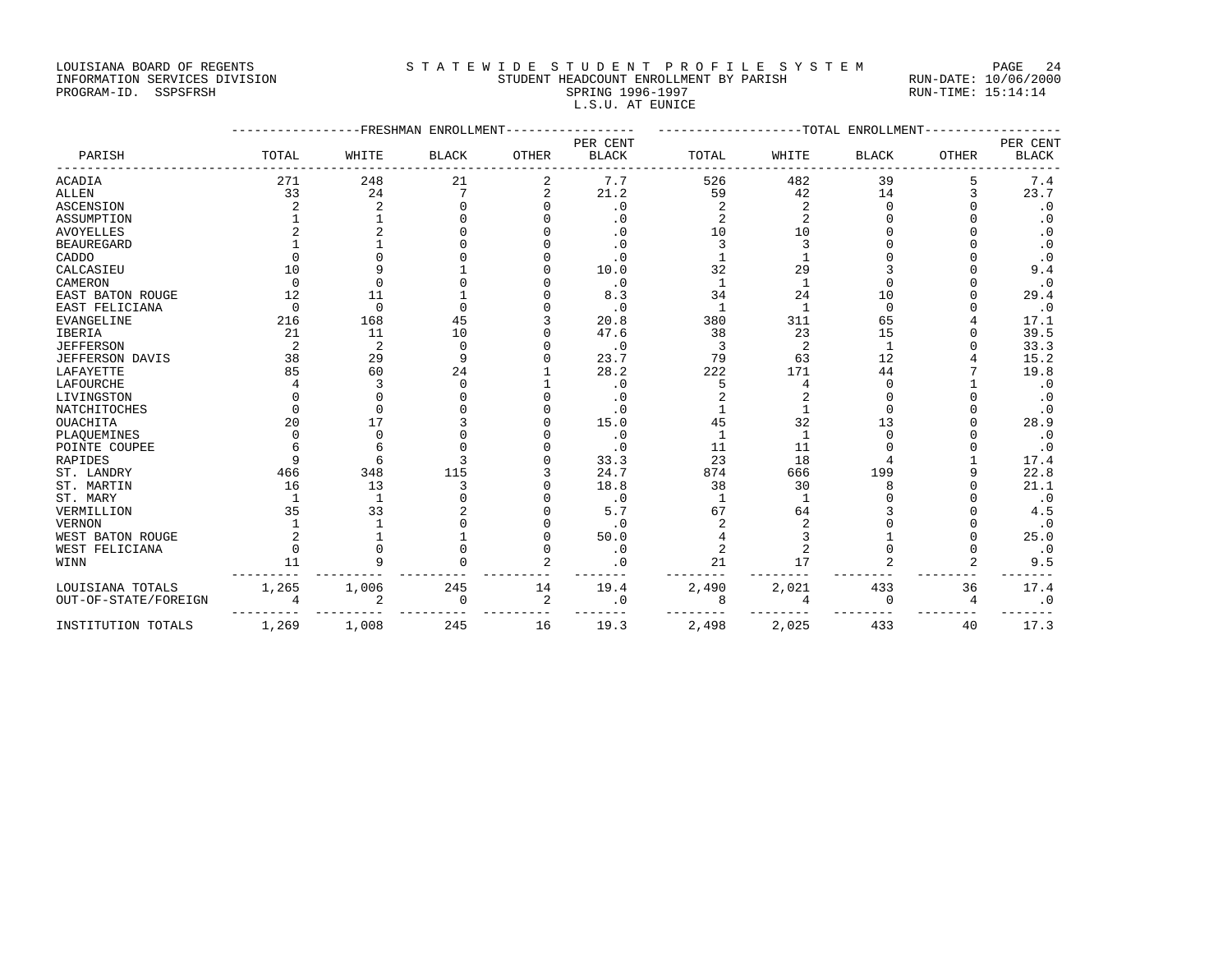LOUISIANA BOARD OF REGENTS STATEWIDE STUDENT PROFILE SYSTEM PAGE 24 INFORMATION SERVICES DIVISION STUDENT HEADCOUNT ENROLLMENT BY PARISH RUN-DATE: 10/06/2000 L.S.U. AT EUNICE

|                      |       |                | -FRESHMAN ENROLLMENT |                | $-TOTAL$<br>ENROLLMENT-  |              |              |                |              |                          |
|----------------------|-------|----------------|----------------------|----------------|--------------------------|--------------|--------------|----------------|--------------|--------------------------|
| PARISH               | TOTAL | WHITE          | <b>BLACK</b>         | <b>OTHER</b>   | PER CENT<br><b>BLACK</b> | TOTAL        | WHITE        | <b>BLACK</b>   | <b>OTHER</b> | PER CENT<br><b>BLACK</b> |
| ACADIA               | 271   | 248            | 21                   | 2              | 7.7                      | 526          | 482          | 39             | 5            | 7.4                      |
| ALLEN                | 33    | 24             |                      |                | 21.2                     | 59           | 42           | 14             | 3            | 23.7                     |
| <b>ASCENSION</b>     |       |                |                      |                | $\cdot$ 0                |              |              |                |              | $\cdot$ 0                |
| ASSUMPTION           |       |                |                      |                | . 0                      |              |              |                |              |                          |
| AVOYELLES            |       |                |                      |                | . 0                      | 10           | 10           |                |              |                          |
| <b>BEAUREGARD</b>    |       |                |                      |                | . 0                      |              |              |                |              |                          |
| CADDO                |       |                |                      |                | . 0                      |              |              |                |              | $\cdot$ 0                |
| CALCASIEU            | 10    |                |                      |                | 10.0                     | 32           | 29           |                |              | 9.4                      |
| CAMERON              |       |                |                      |                | $\cdot$ 0                | $\mathbf{1}$ | -1           |                |              | . 0                      |
| EAST BATON ROUGE     | 12    | 11             |                      |                | 8.3                      | 34           | 24           | 10             |              | 29.4                     |
| EAST FELICIANA       |       | $\cap$         | $\cap$               |                | $\cdot$ 0                |              | $\mathbf{1}$ | $\cap$         |              | $\cdot$ 0                |
| EVANGELINE           | 216   | 168            | 45                   |                | 20.8                     | 380          | 311          | 65             |              | 17.1                     |
| IBERIA               | 21    | 11             | 10                   |                | 47.6                     | 38           | 23           | 15             |              | 39.5                     |
| <b>JEFFERSON</b>     | 2     | $\overline{2}$ | $\Omega$             |                | $\cdot$ 0                |              | 2            | $\overline{1}$ |              | 33.3                     |
| JEFFERSON DAVIS      | 38    | 29             | 9                    |                | 23.7                     | 79           | 63           | 12             |              | 15.2                     |
| LAFAYETTE            | 85    | 60             | 24                   |                | 28.2                     | 222          | 171          | 44             |              | 19.8                     |
| LAFOURCHE            |       |                | $\Omega$             |                | $\cdot$ 0                |              | 4            |                |              | $\cdot$ 0                |
| LIVINGSTON           |       |                |                      |                | . 0                      |              |              |                |              |                          |
| NATCHITOCHES         |       |                |                      |                | . 0                      |              |              |                |              | $\cdot$ 0                |
| OUACHITA             | 20    | 17             |                      |                | 15.0                     | 45           | 32           | 13             |              | 28.9                     |
| PLAQUEMINES          |       |                |                      |                | $\cdot$ 0                |              | 1            |                |              | $\cdot$ 0                |
| POINTE COUPEE        |       |                |                      |                | . 0                      | 11           | 11           |                |              | $\cdot$ 0                |
| RAPIDES              |       |                |                      |                | 33.3                     | 23           | 18           |                |              | 17.4                     |
| ST. LANDRY           | 466   | 348            | 115                  |                | 24.7                     | 874          | 666          | 199            |              | 22.8                     |
| ST. MARTIN           | 16    | 13             |                      |                | 18.8                     | 38           | 30           |                |              | 21.1                     |
| ST. MARY             |       |                |                      |                | $\cdot$ 0                |              | -1           |                |              | $\cdot$ 0                |
| VERMILLION           | 35    | 33             |                      |                | 5.7                      | 67           | 64           |                |              | 4.5                      |
| VERNON               |       |                |                      |                | $\cdot$ 0                |              |              |                |              | $\cdot$ 0                |
| WEST BATON ROUGE     |       |                |                      |                | 50.0                     |              |              |                |              | 25.0                     |
| WEST FELICIANA       |       |                |                      |                | $\cdot$ 0                |              |              |                | $\Omega$     | $\cdot$ 0                |
| WINN                 | 11    |                |                      |                | . 0                      | 21           | 17           |                | 2            | 9.5                      |
| LOUISIANA TOTALS     | 1,265 | 1,006          | 245                  | 14             | 19.4                     | 2,490        | 2,021        | 433            | 36           | 17.4                     |
| OUT-OF-STATE/FOREIGN |       | 2              | $\Omega$             | $\overline{2}$ | . 0                      | 8            | 4            | $\Omega$       | 4            | . 0                      |
| INSTITUTION TOTALS   | 1,269 | 1,008          | 245                  | 16             | 19.3                     | 2,498        | 2,025        | 433            | 40           | 17.3                     |

# PROGRAM-ID. SSPSFRSH SPRING 1996-1997 RUN-TIME: 15:14:14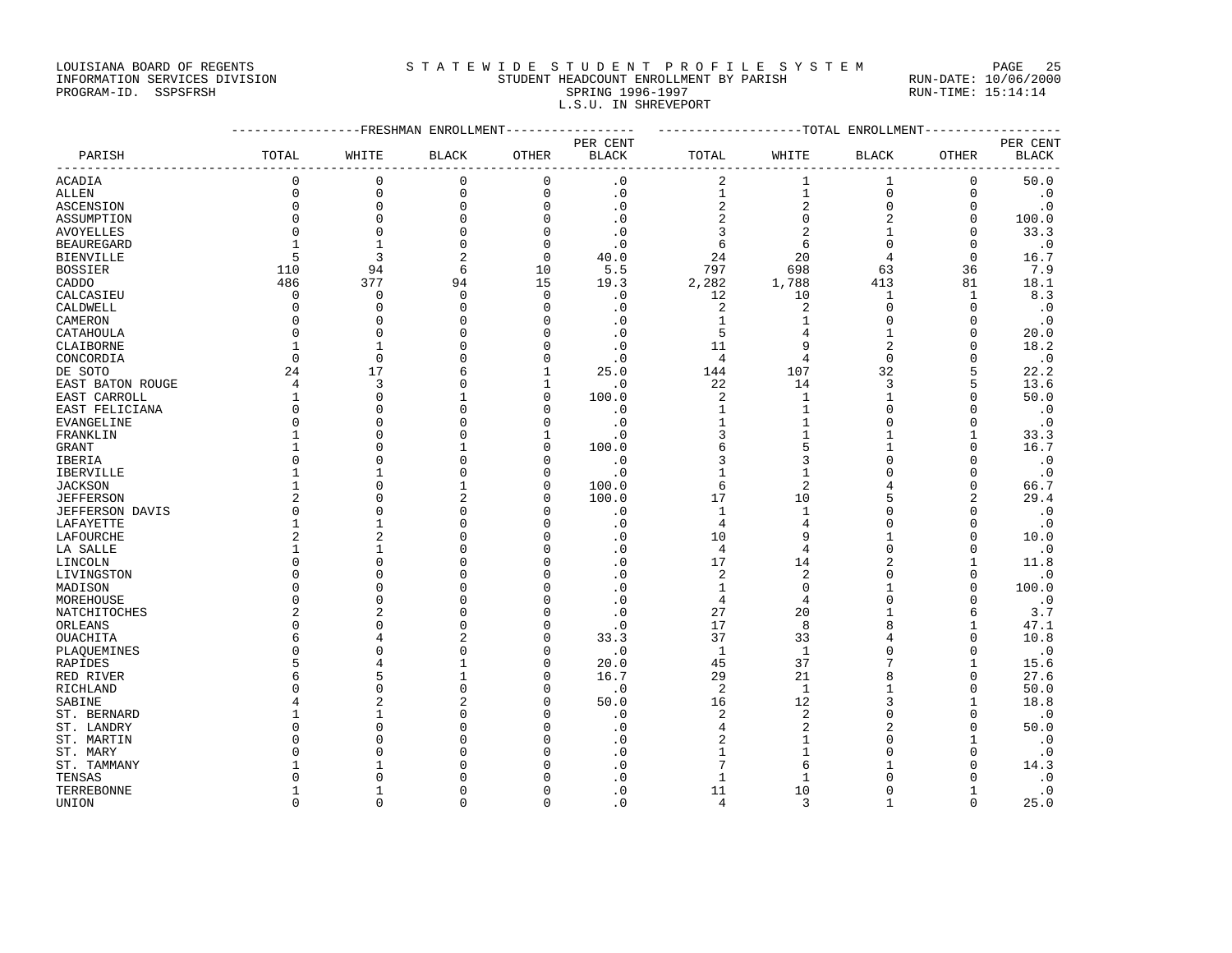LOUISIANA BOARD OF REGENTS S T A T E W I D E S T U D E N T P R O F I L E S Y S T E M PAGE 25

### INFORMATION SERVICES DIVISION STUDENT HEADCOUNT ENROLLMENT BY PARISH RUN-DATE: 10/06/2000 PROGRAM-ID. SSPSFRSH SPRING 1996-1997 RUN-TIME: 15:14:14 L.S.U. IN SHREVEPORT

|                                    |                | -------------FRESHMAN ENROLLMENT---------------- |                |              | ------------------TOTAL ENROLLMENT---------------- |                |                |                |                |              |
|------------------------------------|----------------|--------------------------------------------------|----------------|--------------|----------------------------------------------------|----------------|----------------|----------------|----------------|--------------|
|                                    |                |                                                  |                |              | PER CENT                                           |                |                |                |                | PER CENT     |
| PARISH<br><u>_________________</u> | TOTAL          | WHITE                                            | <b>BLACK</b>   | OTHER        | <b>BLACK</b>                                       | TOTAL          | WHITE          | BLACK          | OTHER          | <b>BLACK</b> |
| <b>ACADIA</b>                      | $\mathbf 0$    | $\mathbf 0$                                      | $\mathbf 0$    | $\mathbf 0$  | $\cdot$ 0                                          | 2              | $\mathbf{1}$   | $\mathbf{1}$   | $\mathbf 0$    | 50.0         |
| <b>ALLEN</b>                       | $\mathbf 0$    | $\mathsf 0$                                      | $\mathbf 0$    | $\mathbf 0$  | $\cdot$ 0                                          | $\mathbf{1}$   | $\mathbf{1}$   | $\mathsf 0$    | $\mathbf 0$    | $\cdot$ 0    |
| ASCENSION                          | $\mathbf 0$    | $\mathsf 0$                                      | $\mathsf 0$    | $\mathbf 0$  | $\cdot$ 0                                          | 2              | 2              | $\mathbb O$    | $\mathbf 0$    | $\cdot$ 0    |
| ASSUMPTION                         | $\Omega$       | $\Omega$                                         | $\Omega$       | $\Omega$     | $\cdot$ 0                                          | $\overline{c}$ | $\mathbf{0}$   | $\overline{2}$ | $\Omega$       | 100.0        |
| <b>AVOYELLES</b>                   | $\Omega$       | $\mathbf 0$                                      | $\mathbf 0$    | $\Omega$     | $\cdot$ 0                                          | $\overline{3}$ | 2              | $\mathbf{1}$   | $\Omega$       | 33.3         |
| <b>BEAUREGARD</b>                  | $\mathbf{1}$   | $\mathbf{1}$                                     | $\mathbf 0$    | $\mathbf 0$  | $\cdot$ 0                                          | 6              | 6              | $\mathsf 0$    | $\mathbf 0$    | $\cdot$ 0    |
| <b>BIENVILLE</b>                   | 5              | 3                                                | $\overline{2}$ | $\Omega$     | 40.0                                               | 24             | 20             | $\overline{4}$ | $\Omega$       | 16.7         |
| <b>BOSSIER</b>                     | 110            | 94                                               | 6              | 10           | 5.5                                                | 797            | 698            | 63             | 36             | 7.9          |
| CADDO                              | 486            | 377                                              | 94             | 15           | 19.3                                               | 2,282          | 1,788          | 413            | 81             | 18.1         |
| CALCASIEU                          | $\mathbf 0$    | $\mathbf 0$                                      | $\mathbf 0$    | $\mathbf 0$  | $\cdot$ 0                                          | 12             | 10             | 1              | $\mathbf{1}$   | 8.3          |
| CALDWELL                           | $\mathbf 0$    | $\mathbf 0$                                      | $\mathbf{0}$   | $\Omega$     | $\cdot$ 0                                          | $\overline{c}$ | $\overline{c}$ | $\mathsf 0$    | $\mathbf 0$    | $\cdot$ 0    |
| CAMERON                            | $\Omega$       | $\Omega$                                         | $\Omega$       | $\Omega$     | $\cdot$ 0                                          | $\mathbf{1}$   | 1              | $\Omega$       | $\Omega$       | $\cdot$ 0    |
| CATAHOULA                          | $\Omega$       | $\Omega$                                         | $\Omega$       | $\Omega$     | $\cdot$ 0                                          | 5              | 4              | $\mathbf{1}$   | $\Omega$       | 20.0         |
| CLAIBORNE                          | $\mathbf{1}$   | 1                                                | $\Omega$       | 0            | $\cdot$ 0                                          | 11             | 9              | $\overline{2}$ | $\Omega$       | 18.2         |
| CONCORDIA                          | $\Omega$       | $\mathbf 0$                                      | $\Omega$       | $\mathbf 0$  | $\cdot$ 0                                          | $\overline{4}$ | $\overline{4}$ | $\overline{0}$ | $\Omega$       | $\cdot$ 0    |
| DE SOTO                            | 24             | 17                                               | 6              | $\mathbf{1}$ | 25.0                                               | 144            | 107            | 32             | 5              | 22.2         |
| EAST BATON ROUGE                   | $\overline{4}$ | 3                                                | $\Omega$       | $\mathbf{1}$ | $\cdot$ 0                                          | 22             | 14             | 3              | 5              | 13.6         |
| EAST CARROLL                       | $\mathbf{1}$   | $\mathbf 0$                                      | $\mathbf{1}$   | $\Omega$     | 100.0                                              | $\overline{a}$ | $\mathbf{1}$   | $\mathbf{1}$   | $\Omega$       | 50.0         |
| EAST FELICIANA                     | $\mathbf 0$    | $\mathbf 0$                                      | $\Omega$       | 0            | $\cdot$ 0                                          | $\mathbf{1}$   | $\mathbf 1$    | $\mathsf 0$    | $\Omega$       | $\cdot$ 0    |
| EVANGELINE                         | $\Omega$       | $\Omega$                                         | $\Omega$       | $\Omega$     | $\cdot$ 0                                          | $1\,$          | $\mathbf{1}$   | $\Omega$       | $\Omega$       | $\cdot$ 0    |
| FRANKLIN                           | $\mathbf{1}$   | $\mathbf{0}$                                     | $\Omega$       | $\mathbf{1}$ | $\cdot$ 0                                          | 3              | $\mathbf{1}$   | $\mathbf{1}$   | $\mathbf{1}$   | 33.3         |
| GRANT                              | $\mathbf{1}$   | $\Omega$                                         | 1              | $\Omega$     | 100.0                                              | 6              | 5              | $\mathbf{1}$   | $\Omega$       | 16.7         |
| IBERIA                             | $\Omega$       | $\Omega$                                         | $\Omega$       | $\Omega$     | $\cdot$ 0                                          | $\overline{3}$ | 3              | $\mathbf 0$    | $\Omega$       | $\cdot$ 0    |
| IBERVILLE                          | $\mathbf{1}$   | 1                                                | $\Omega$       | $\Omega$     | $\cdot$ 0                                          | $\mathbf{1}$   | $\mathbf{1}$   | $\Omega$       | $\Omega$       | $\cdot$ 0    |
| <b>JACKSON</b>                     | $\mathbf{1}$   | $\Omega$                                         | 1              | $\Omega$     | 100.0                                              | 6              | $\overline{2}$ | 4              | $\Omega$       | 66.7         |
| <b>JEFFERSON</b>                   | 2              | $\Omega$                                         | $\overline{c}$ | $\Omega$     | 100.0                                              | 17             | 10             | 5              | $\overline{2}$ | 29.4         |
| <b>JEFFERSON DAVIS</b>             | $\mathbf 0$    | $\mathbf 0$                                      | $\Omega$       | $\Omega$     | $\cdot$ 0                                          | $\mathbf{1}$   | 1              | $\mathbf 0$    | 0              | $\cdot$ 0    |
| LAFAYETTE                          | $\mathbf{1}$   | $\mathbf{1}$                                     | $\Omega$       | $\Omega$     | $\cdot$ 0                                          | $\overline{4}$ | 4              | $\mathbf 0$    | $\Omega$       | $\cdot$ 0    |
| LAFOURCHE                          | $\overline{2}$ | $\overline{a}$                                   | $\Omega$       | $\Omega$     | $\cdot$ 0                                          | 10             | 9              | $\mathbf{1}$   | $\Omega$       | 10.0         |
| LA SALLE                           | $\mathbf{1}$   | $\mathbf{1}$                                     | $\Omega$       | $\cap$       | $\cdot$ 0                                          | $\overline{4}$ | 4              | $\Omega$       | $\Omega$       | $\cdot$ 0    |
| LINCOLN                            | $\Omega$       | $\Omega$                                         | $\Omega$       | $\Omega$     | $\cdot$ 0                                          | 17             | 14             | $\overline{2}$ | $\mathbf{1}$   | 11.8         |
| LIVINGSTON                         | $\Omega$       | $\mathbf 0$                                      | $\Omega$       | $\Omega$     | $\cdot$ 0                                          | $\overline{a}$ | $\overline{c}$ | $\mathsf 0$    | $\mathbf 0$    | $\cdot$ 0    |
| MADISON                            | $\Omega$       | $\Omega$                                         | $\Omega$       | $\Omega$     | $\cdot$ 0                                          | $\mathbf{1}$   | $\Omega$       | $\mathbf{1}$   | $\Omega$       | 100.0        |
| MOREHOUSE                          | $\Omega$       | $\mathbf{0}$                                     | $\Omega$       | $\Omega$     | $\cdot$ 0                                          | $\overline{4}$ | $\overline{4}$ | $\mathbf 0$    | $\Omega$       | $\cdot$ 0    |
| NATCHITOCHES                       | 2              | $\overline{c}$                                   | $\Omega$       | $\cap$       | $\cdot$ 0                                          | 27             | 20             | $\mathbf{1}$   | 6              | 3.7          |
| ORLEANS                            | $\Omega$       | $\Omega$                                         | $\Omega$       | $\mathbf 0$  | $\cdot$ 0                                          | 17             | 8              | 8              | $\mathbf{1}$   | 47.1         |
| OUACHITA                           | 6              | 4                                                | $\overline{c}$ | $\Omega$     | 33.3                                               | 37             | 33             | 4              | $\Omega$       | 10.8         |
| PLAQUEMINES                        | $\Omega$       | $\Omega$                                         | $\Omega$       | $\Omega$     | $\cdot$ 0                                          | $\mathbf{1}$   | $\mathbf{1}$   | $\mathbf 0$    | $\Omega$       | $\cdot$ 0    |
| RAPIDES                            | 5              | $\overline{4}$                                   | $\mathbf{1}$   | $\Omega$     | 20.0                                               | 45             | 37             | 7              | $\mathbf{1}$   | 15.6         |
| RED RIVER                          | 6              | 5                                                | 1              | $\Omega$     | 16.7                                               | 29             | 21             | 8              | $\Omega$       | 27.6         |
| RICHLAND                           | $\Omega$       | $\mathbf{0}$                                     | $\Omega$       | $\Omega$     | $\cdot$ 0                                          | 2              | $\mathbf{1}$   | $\mathbf 1$    | $\Omega$       | 50.0         |
| SABINE                             | 4              | $\overline{2}$                                   | $\overline{c}$ | $\Omega$     | 50.0                                               | 16             | 12             | 3              | $\mathbf{1}$   | 18.8         |
| ST. BERNARD                        | -1             | $\mathbf{1}$                                     | $\Omega$       | ∩            | $\cdot$ 0                                          | $\overline{2}$ | $\overline{2}$ | $\Omega$       | $\Omega$       | $\cdot$ 0    |
| ST. LANDRY                         | $\cap$         | $\Omega$                                         | $\Omega$       | $\Omega$     | $\cdot$ 0                                          | $\overline{4}$ | $\overline{a}$ | $\overline{2}$ | $\Omega$       | 50.0         |
| ST. MARTIN                         | <sup>0</sup>   | $\Omega$                                         | $\Omega$       | U            | $\cdot$ 0                                          | 2              |                | $\mathsf 0$    | $\mathbf{1}$   | $\cdot$ 0    |
| ST. MARY                           |                | $\Omega$                                         | $\Omega$       | $\Omega$     | $\cdot$ 0                                          | $\mathbf{1}$   |                | $\Omega$       | $\Omega$       | $\cdot$ 0    |
| ST. TAMMANY                        |                | $\mathbf{1}$                                     | $\Omega$       |              | $\cdot$ 0                                          | 7              | 6              | 1              | $\Omega$       | 14.3         |
| TENSAS                             |                | $\cap$                                           | $\Omega$       |              | $\Omega$                                           | $\mathbf{1}$   | $\mathbf{1}$   | $\Omega$       | C              | $\cdot$ 0    |
| TERREBONNE                         |                | $\mathbf{1}$                                     | $\Omega$       | U            | $\cdot$ 0                                          | 11             | 10             | $\mathbf 0$    | $\mathbf{1}$   | $\cdot$ 0    |
| UNION                              | $\Omega$       | $\Omega$                                         | $\Omega$       | $\Omega$     | $\cdot$ 0                                          | $\overline{4}$ | 3              | $\mathbf{1}$   | $\Omega$       | 25.0         |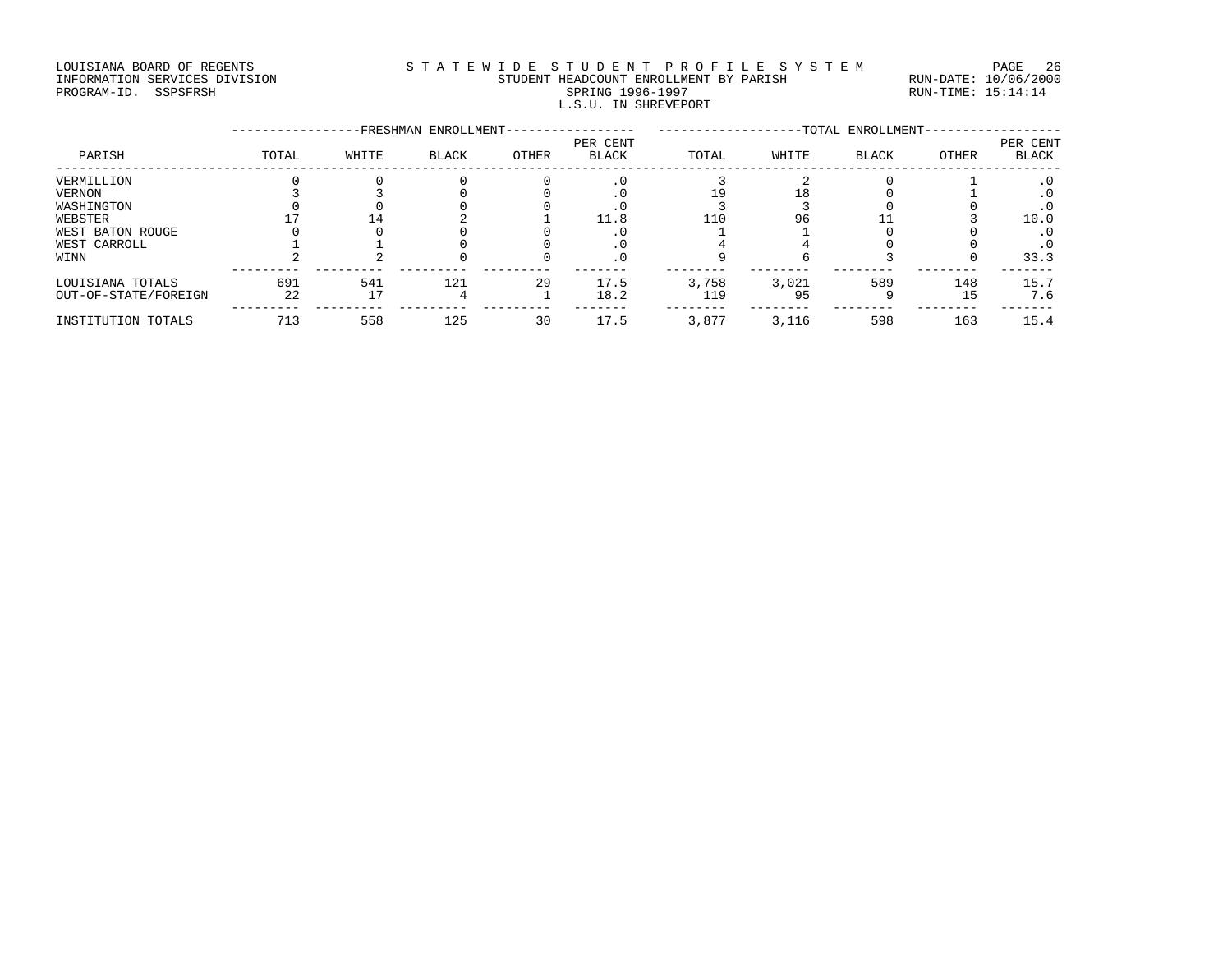#### LOUISIANA BOARD OF REGENTS STATEWIDE STUDENT PROFILE SYSTEM PAGE 26 INFORMATION SERVICES DIVISION STUDENT HEADCOUNT ENROLLMENT BY PARISH RUN-DATE: 10/06/2000 PROGRAM-ID. SSPSFRSH SPRING 1996-1997 RUN-TIME: 15:14:14 L.S.U. IN SHREVEPORT

|                      |       |       | -FRESHMAN ENROLLMENT- |       | -TOTAL ENROLLMENT-       |       |       |              |       |                          |
|----------------------|-------|-------|-----------------------|-------|--------------------------|-------|-------|--------------|-------|--------------------------|
| PARISH               | TOTAL | WHITE | <b>BLACK</b>          | OTHER | PER CENT<br><b>BLACK</b> | TOTAL | WHITE | <b>BLACK</b> | OTHER | PER CENT<br><b>BLACK</b> |
| VERMILLION           |       |       |                       |       |                          |       |       |              |       | . 0                      |
| <b>VERNON</b>        |       |       |                       |       |                          |       |       |              |       | . 0                      |
| WASHINGTON           |       |       |                       |       |                          |       |       |              |       | . 0                      |
| WEBSTER              |       |       |                       |       | 11.8                     | 110   | 96    |              |       | 10.0                     |
| WEST BATON ROUGE     |       |       |                       |       |                          |       |       |              |       | . 0                      |
| WEST CARROLL         |       |       |                       |       |                          |       |       |              |       |                          |
| WINN                 |       |       |                       |       | $\cdot$ 0                |       |       |              |       | 33.3                     |
| LOUISIANA TOTALS     | 691   | 541   | 121                   | 29    | 17.5                     | 3,758 | 3,021 | 589          | 148   | 15.7                     |
| OUT-OF-STATE/FOREIGN | 22    | 77    |                       |       | 18.2                     | 119   | 95    |              | 15    | 7.6                      |
| INSTITUTION TOTALS   | 713   | 558   | 125                   | 30    | 17.5                     | 3,877 | 3,116 | 598          | 163   | 15.4                     |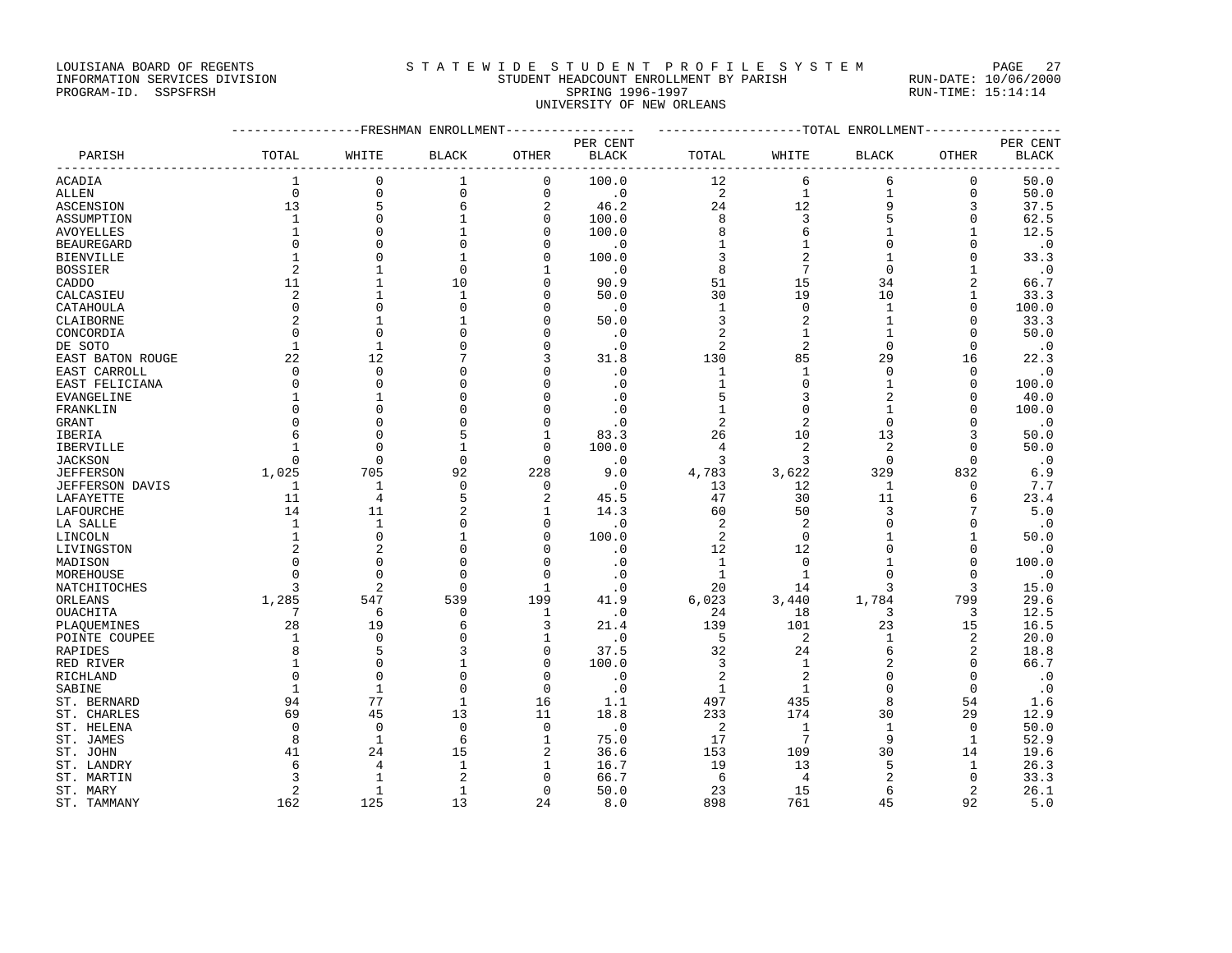## LOUISIANA BOARD OF REGENTS STATEWIDE STUDENT PROFILE SYSTEM PAGE 27 INFORMATION SERVICES DIVISION STUDENT HEADCOUNT ENROLLMENT BY PARISH RUN-DATE: 10/06/2000

## PROGRAM-ID. SSPSFRSH SPRING 1996-1997 RUN-TIME: 15:14:14 UNIVERSITY OF NEW ORLEANS

|                        |                |                | ------------FRESHMAN ENROLLMENT- | -----------  | ------------------TOTAL ENROLLMENT-------------- |                |                |              |                |              |
|------------------------|----------------|----------------|----------------------------------|--------------|--------------------------------------------------|----------------|----------------|--------------|----------------|--------------|
|                        |                |                |                                  |              | PER CENT                                         |                |                |              |                | PER CENT     |
| PARISH                 | TOTAL          | WHITE          | <b>BLACK</b>                     | OTHER        | <b>BLACK</b>                                     | TOTAL          | WHITE          | <b>BLACK</b> | OTHER          | <b>BLACK</b> |
| <b>ACADIA</b>          | 1              | 0              | 1                                | $\mathbf 0$  | 100.0                                            | 12             | 6              | 6            | 0              | 50.0         |
| ALLEN                  | $\mathbf 0$    | $\mathsf 0$    | $\mathbf 0$                      | $\mathbf{0}$ | $\cdot$ 0                                        | $\overline{c}$ | $1\,$          | $\mathbf{1}$ | 0              | 50.0         |
| ASCENSION              | 13             | 5              | 6                                | 2            | 46.2                                             | 24             | 12             | 9            | 3              | 37.5         |
| ASSUMPTION             | $\mathbf{1}$   | $\mathbf{0}$   | 1                                | 0            | 100.0                                            | 8              | 3              | 5            | 0              | 62.5         |
| AVOYELLES              | $\mathbf{1}$   | $\Omega$       | -1                               | O            | 100.0                                            | 8              | 6              | 1            | $\mathbf{1}$   | 12.5         |
| <b>BEAUREGARD</b>      | $\Omega$       | $\Omega$       | $\Omega$                         | O            | $\cdot$ 0                                        | 1              | 1              | $\Omega$     | 0              | $\cdot$ 0    |
| <b>BIENVILLE</b>       |                | $\Omega$       | 1                                | O            | 100.0                                            | 3              | $\overline{2}$ | $\mathbf{1}$ | $\Omega$       | 33.3         |
| <b>BOSSIER</b>         | $\overline{c}$ | $\mathbf{1}$   | $\Omega$                         |              | $\cdot$ 0                                        | 8              | 7              | $\Omega$     | $\mathbf{1}$   | $\cdot$ 0    |
| CADDO                  | 11             | 1              | 10                               | 0            | 90.9                                             | 51             | 15             | 34           | 2              | 66.7         |
| CALCASIEU              | 2              | $\mathbf{1}$   | 1                                | $\Omega$     | 50.0                                             | 30             | 19             | 10           | $\mathbf{1}$   | 33.3         |
| CATAHOULA              | 0              | $\mathbf{0}$   | $\Omega$                         | $\Omega$     | $\cdot$ 0                                        | 1              | $\mathbf 0$    | $\mathbf{1}$ | 0              | 100.0        |
| CLAIBORNE              | 2              | $\mathbf{1}$   | $\mathbf{1}$                     | $\Omega$     | 50.0                                             | 3              | $\overline{2}$ | $\mathbf{1}$ | $\Omega$       | 33.3         |
| CONCORDIA              | 0              | $\mathbf 0$    | $\Omega$                         | $\Omega$     | $\cdot$ 0                                        | 2              | $\mathbf 1$    | 1            | $\Omega$       | 50.0         |
| DE SOTO                | $\mathbf{1}$   | 1              | $\Omega$                         | O            | $\cdot$ 0                                        | 2              | $\overline{2}$ | $\Omega$     | $\Omega$       | $\cdot$ 0    |
| EAST BATON ROUGE       | 22             | 12             |                                  | 3            | 31.8                                             | 130            | 85             | 29           | 16             | 22.3         |
| EAST CARROLL           | $\Omega$       | $\Omega$       | n                                | n            | $\cdot$ 0                                        | 1              | 1              | $\Omega$     | $\Omega$       | $\cdot$ 0    |
| EAST FELICIANA         | $\Omega$       | $\Omega$       | $\Omega$                         | $\Omega$     | $\cdot$ 0                                        | $\mathbf{1}$   | $\mathbf{0}$   | $\mathbf{1}$ | $\Omega$       | 100.0        |
| EVANGELINE             |                | 1              | $\Omega$                         | ∩            | $\cdot$ 0                                        | 5              | 3              | 2            | $\Omega$       | 40.0         |
| FRANKLIN               | $\Omega$       | $\mathbf{0}$   | $\Omega$                         | $\Omega$     | $\cdot$ 0                                        | 1              | $\mathbf{0}$   | $\mathbf{1}$ | $\Omega$       | 100.0        |
| <b>GRANT</b>           | n              | $\mathbf 0$    | U                                | O            | $\cdot$ 0                                        | 2              | $\overline{2}$ | $\Omega$     | $\Omega$       | $\cdot$ 0    |
| IBERIA                 | б              | $\Omega$       | 5                                |              | 83.3                                             | 26             | 10             | 13           | 3              | 50.0         |
| IBERVILLE              |                | $\mathbf 0$    | 1                                | 0            | 100.0                                            | 4              | $\overline{2}$ | 2            | 0              | 50.0         |
| <b>JACKSON</b>         | $\Omega$       | $\Omega$       | $\Omega$                         | $\Omega$     | $\cdot$ 0                                        | 3              | 3              | $\Omega$     | $\Omega$       | $\cdot$ 0    |
| <b>JEFFERSON</b>       | 1,025          | 705            | 92                               | 228          | 9.0                                              | 4,783          | 3,622          | 329          | 832            | 6.9          |
| <b>JEFFERSON DAVIS</b> | 1              | 1              | $\Omega$                         | $\Omega$     | $\cdot$ 0                                        | 13             | 12             | $\mathbf{1}$ | $\Omega$       | 7.7          |
| LAFAYETTE              | 11             | 4              | 5                                | 2            | 45.5                                             | 47             | 30             | 11           | 6              | 23.4         |
| LAFOURCHE              | 14             | 11             | 2                                | 1            | 14.3                                             | 60             | 50             | 3            | 7              | 5.0          |
| LA SALLE               | 1              | $\mathbf{1}$   | $\Omega$                         | 0            | $\cdot$ 0                                        | 2              | $\overline{2}$ | $\Omega$     | $\Omega$       | $\cdot$ 0    |
| LINCOLN                | -1             | $\mathbf 0$    | 1                                | 0            | 100.0                                            | 2              | 0              | -1           | 1              | 50.0         |
| LIVINGSTON             | 2              | 2              | $\Omega$                         | O            | $\cdot$ 0                                        | 12             | 12             | $\Omega$     | 0              | $\cdot$ 0    |
| MADISON                | n              | $\Omega$       | $\Omega$                         | O            | $\cdot$ 0                                        | 1              | $\mathbf 0$    |              | $\Omega$       | 100.0        |
| MOREHOUSE              | $\Omega$       | $\Omega$       | $\Omega$                         | $\Omega$     | $\cdot$ 0                                        | $\mathbf{1}$   | $\mathbf{1}$   |              | $\Omega$       | $\cdot$ 0    |
| NATCHITOCHES           | 3              | $\overline{2}$ | $\Omega$                         | 1            | $\cdot$ 0                                        | 20             | 14             |              | 3              | 15.0         |
| ORLEANS                | 1,285          | 547            | 539                              | 199          | 41.9                                             | 6,023          | 3,440          | 1,784        | 799            | 29.6         |
| OUACHITA               | 7              | 6              | $\Omega$                         | 1            | $\cdot$ 0                                        | 24             | 18             | 3            | 3              | 12.5         |
| PLAQUEMINES            | 28             | 19             | 6                                | 3            | 21.4                                             | 139            | 101            | 23           | 15             | 16.5         |
| POINTE COUPEE          | 1              | $\mathbf 0$    | $\Omega$                         |              | $\cdot$ 0                                        | 5              | $\overline{c}$ | $\mathbf{1}$ | 2              | 20.0         |
| RAPIDES                | 8              | 5              | 3                                | $\Omega$     | 37.5                                             | 32             | 24             | 6            | $\overline{2}$ | 18.8         |
| RED RIVER              |                | $\mathbf 0$    | 1                                | $\Omega$     | 100.0                                            | 3              | $\mathbf{1}$   | 2            | $\Omega$       | 66.7         |
| RICHLAND               | $\Omega$       | $\mathbf 0$    | $\Omega$                         | O            | $\cdot$ 0                                        | 2              | $\overline{2}$ | $\Omega$     | $\Omega$       | $\cdot$ 0    |
| SABINE                 | -1             | 1              | $\Omega$                         | $\Omega$     | $\cdot$ 0                                        | 1              | $\mathbf{1}$   | $\Omega$     | $\Omega$       | $\cdot$ 0    |
| ST. BERNARD            | 94             | 77             | $\mathbf{1}$                     | 16           | 1.1                                              | 497            | 435            | 8            | 54             | 1.6          |
| ST. CHARLES            | 69             | 45             | 13                               | 11           | 18.8                                             | 233            | 174            | 30           | 29             | 12.9         |
| ST. HELENA             | $\Omega$       | 0              | $\Omega$                         | $\Omega$     | $\cdot$ 0                                        | 2              | 1              | 1            | 0              | 50.0         |
| ST. JAMES              | 8              | 1              | 6                                | 1            | 75.0                                             | 17             | 7              | 9            | 1              | 52.9         |
| ST. JOHN               | 41             | 24             | 15                               | 2            | 36.6                                             | 153            | 109            | 30           | 14             | 19.6         |
| ST. LANDRY             | 6              | 4              | 1                                | 1            | 16.7                                             | 19             | 13             | 5            | 1              | 26.3         |
| ST. MARTIN             | 3              | 1              | $\overline{2}$                   | $\Omega$     | 66.7                                             | 6              | 4              | 2            | 0              | 33.3         |
| ST. MARY               | $\overline{2}$ | $\mathbf{1}$   | $\mathbf{1}$                     | $\Omega$     | 50.0                                             | 23             | 15             | 6            | $\overline{a}$ | 26.1         |
| ST. TAMMANY            | 162            | 125            | 13                               | 24           | 8.0                                              | 898            | 761            | 45           | 92             | 5.0          |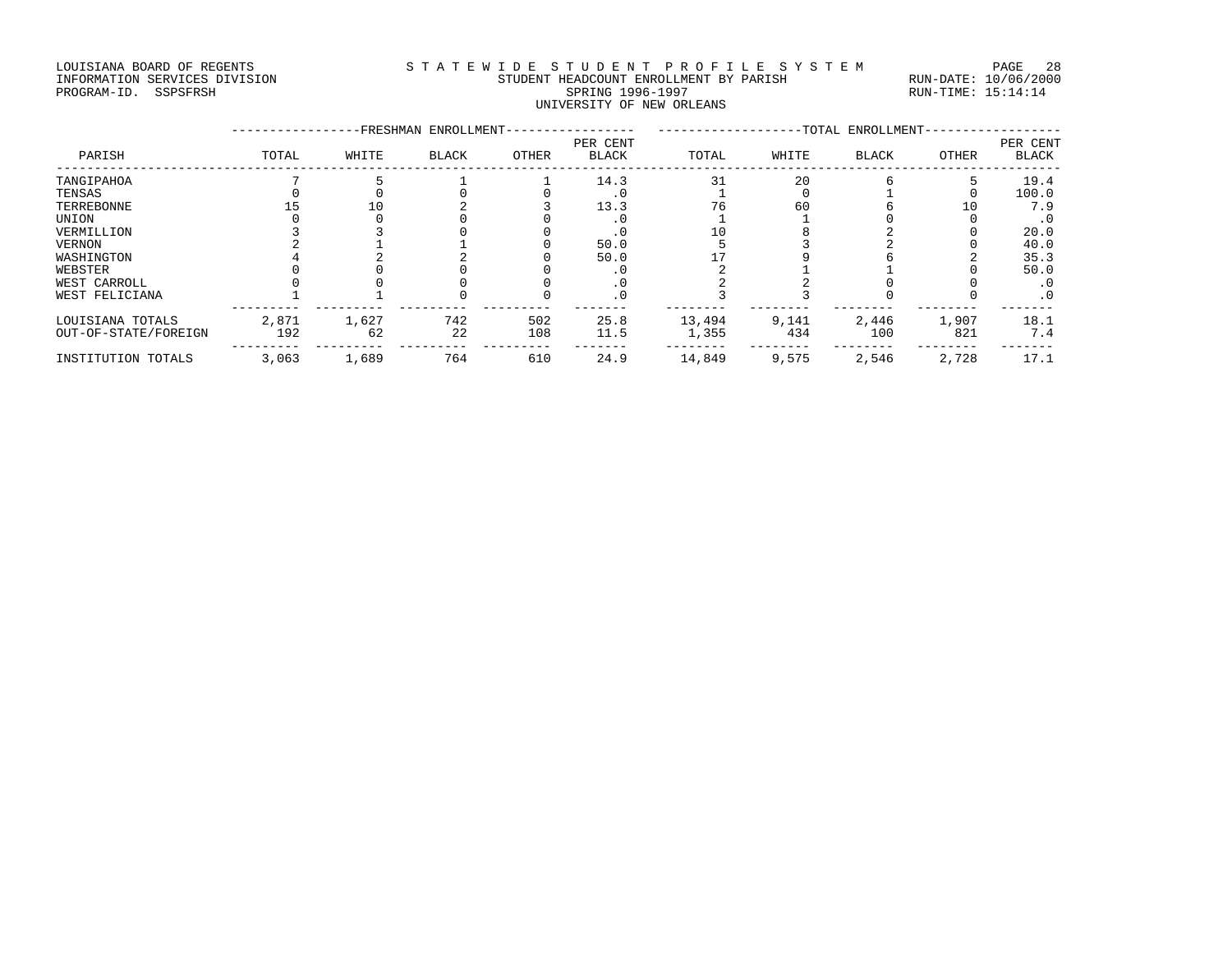#### LOUISIANA BOARD OF REGENTS STATEWIDE STUDENT PROFILE SYSTEM PAGE 28 INFORMATION SERVICES DIVISION STUDENT HEADCOUNT ENROLLMENT BY PARISH RUN-DATE: 10/06/2000 PROGRAM-ID. SSPSFRSH SPRING 1996-1997 RUN-TIME: 15:14:14 UNIVERSITY OF NEW ORLEANS

|                      |       |       | -FRESHMAN ENROLLMENT- |       | -TOTAL ENROLLMENT-       |        |       |              |       |                   |
|----------------------|-------|-------|-----------------------|-------|--------------------------|--------|-------|--------------|-------|-------------------|
| PARISH               | TOTAL | WHITE | <b>BLACK</b>          | OTHER | PER CENT<br><b>BLACK</b> | TOTAL  | WHITE | <b>BLACK</b> | OTHER | PER CENT<br>BLACK |
| TANGIPAHOA           |       |       |                       |       | 14.3                     | 31     | 20    |              |       | 19.4              |
| TENSAS               |       |       |                       |       | . 0                      |        |       |              |       | 100.0             |
| TERREBONNE           |       | 10    |                       |       | 13.3                     | 76     | 60    |              | 10    | 7.9               |
| UNION                |       |       |                       |       |                          |        |       |              |       | . 0               |
| VERMILLION           |       |       |                       |       |                          |        |       |              |       | 20.0              |
| VERNON               |       |       |                       |       | 50.0                     |        |       |              |       | 40.0              |
| WASHINGTON           |       |       |                       |       | 50.0                     |        |       |              |       | 35.3              |
| WEBSTER              |       |       |                       |       | . U                      |        |       |              |       | 50.0              |
| WEST CARROLL         |       |       |                       |       | . 0                      |        |       |              |       | $\cdot$ 0         |
| WEST FELICIANA       |       |       |                       |       | $\cdot$ 0                |        |       |              |       | .0                |
| LOUISIANA TOTALS     | 2,871 | 1,627 | 742                   | 502   | 25.8                     | 13,494 | 9,141 | 2,446        | 1,907 | 18.1              |
| OUT-OF-STATE/FOREIGN | 192   | 62    | 22                    | 108   | 11.5                     | 1,355  | 434   | 100          | 821   | 7.4               |
| INSTITUTION TOTALS   | 3,063 | 1,689 | 764                   | 610   | 24.9                     | 14,849 | 9,575 | 2,546        | 2,728 | 17.1              |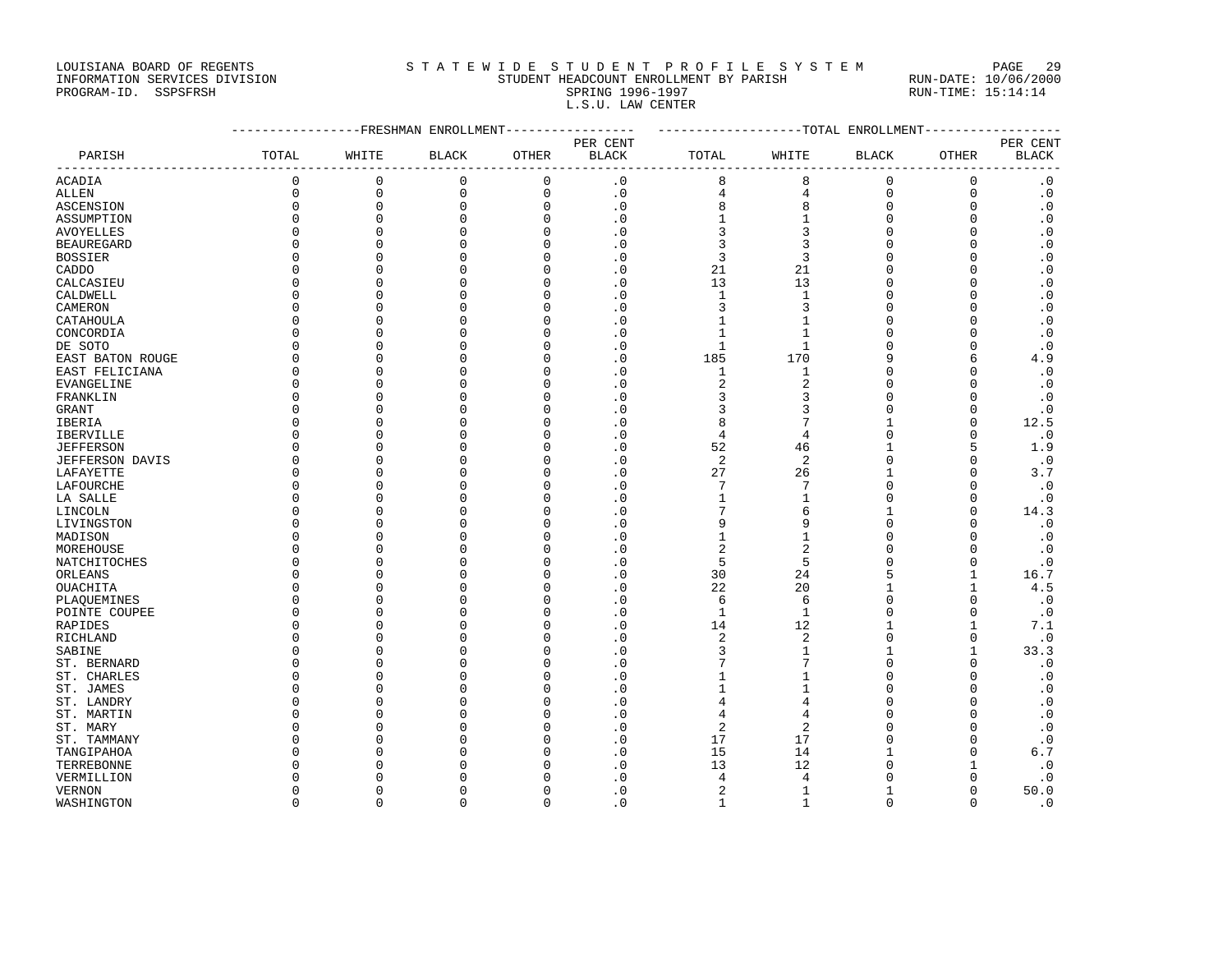LOUISIANA BOARD OF REGENTS STA TEWIDE STUDENT PROFILE SYSTEM PAGE 29

| DOOLDIAMA DOANO OF NEGENID    | UIAIULU LUULU UIVILIA INVIILULU UIULUI | . 500<br>--          |
|-------------------------------|----------------------------------------|----------------------|
| INFORMATION SERVICES DIVISION | STUDENT HEADCOUNT ENROLLMENT BY PARISH | RUN-DATE: 10/06/2000 |
| PROGRAM-ID. SSPSFRSH          | SPRING 1996-1997                       | RUN-TIME: 15:14:14   |
|                               | L.S.U. LAW CENTER                      |                      |

|                          |               | ------------FRESHMAN ENROLLMENT----------------- |              | ------------------TOTAL ENROLLMENT-------------- |              |                |                   |                |               |              |
|--------------------------|---------------|--------------------------------------------------|--------------|--------------------------------------------------|--------------|----------------|-------------------|----------------|---------------|--------------|
|                          |               |                                                  |              |                                                  | PER CENT     |                |                   |                |               | PER CENT     |
| PARISH                   | TOTAL         | WHITE                                            | <b>BLACK</b> | OTHER                                            | <b>BLACK</b> | TOTAL          | WHITE             | <b>BLACK</b>   | OTHER         | <b>BLACK</b> |
| ACADIA                   | 0             | 0                                                | $\mathbf 0$  | 0                                                | $\cdot$ 0    | 8              | 8                 | 0              | 0             | $\cdot$ 0    |
| <b>ALLEN</b>             | $\Omega$      | $\Omega$                                         | $\mathbf{0}$ | $\mathbf 0$                                      | $\cdot$ 0    | 4              | 4                 | $\mathbf 0$    | $\mathbf 0$   | $\cdot$ 0    |
| <b>ASCENSION</b>         | $\Omega$      | 0                                                | $\mathbf{0}$ | 0                                                | $\cdot$ 0    | 8              | 8                 | 0              | $\mathbf 0$   | $\cdot$ 0    |
| ASSUMPTION               | $\Omega$      | $\Omega$                                         | $\Omega$     | $\Omega$                                         | $\cdot$ 0    | 1              | $\mathbf{1}$      | $\Omega$       | $\mathbf 0$   | $\cdot$ 0    |
| <b>AVOYELLES</b>         | $\Omega$      | $\Omega$                                         | $\Omega$     | $\Omega$                                         | $\cdot$ 0    | 3              | 3                 | $\Omega$       | $\mathbf 0$   | $\cdot$ 0    |
| <b>BEAUREGARD</b>        | $\Omega$      | $\Omega$                                         | $\Omega$     | $\Omega$                                         | $\cdot$ 0    | 3              | 3                 | $\Omega$       | $\mathbf 0$   | $\cdot$ 0    |
| <b>BOSSIER</b>           | Ω             | $\Omega$                                         | $\Omega$     | $\Omega$                                         | $\cdot$ 0    | 3              | 3                 | O              | $\mathbf 0$   | $\cdot$ 0    |
| CADDO                    | U             | $\Omega$                                         | $\Omega$     | $\Omega$                                         | $\cdot$ 0    | 21             | 21                | $\Omega$       | $\mathbf 0$   | $\cdot$ 0    |
| CALCASIEU                | U             | $\Omega$                                         | $\cap$       | $\Omega$                                         | $\cdot$ 0    | 13             | 13                | $\Omega$       | $\Omega$      | $\cdot$ 0    |
| CALDWELL                 | $\cap$        | $\Omega$                                         | $\Omega$     | ∩                                                | $\cdot$ 0    | $\mathbf{1}$   | $\mathbf{1}$      | $\Omega$       | $\Omega$      | $\cdot$ 0    |
| CAMERON                  | $\Omega$      | $\Omega$                                         | $\Omega$     | $\cap$                                           | $\cdot$ 0    | 3              | 3                 | $\Omega$       | $\Omega$      | $\cdot$ 0    |
|                          | $\Omega$      | $\Omega$                                         | $\Omega$     | $\Omega$                                         | $\cdot$ 0    | $\mathbf{1}$   | $\mathbf{1}$      | $\Omega$       | $\mathbf 0$   | $\cdot$ 0    |
| CATAHOULA                | $\Omega$      | $\Omega$                                         | $\Omega$     | O                                                |              | $\mathbf{1}$   | $\mathbf{1}$      | $\Omega$       | $\mathbf 0$   | $\cdot$ 0    |
| CONCORDIA                | $\Omega$      | $\Omega$                                         | $\Omega$     | $\Omega$                                         | $\cdot$ 0    | $\mathbf{1}$   | $\mathbf{1}$      | $\Omega$       | $\mathbf 0$   |              |
| DE SOTO                  |               |                                                  | $\cap$       |                                                  | $\cdot$ 0    |                |                   |                |               | $\cdot$ 0    |
| EAST BATON ROUGE         | $\Omega$      | $\Omega$                                         |              | $\Omega$                                         | $\cdot$ 0    | 185            | 170               | 9              | 6             | 4.9          |
| EAST FELICIANA           | O             | $\Omega$                                         | ∩            | ∩                                                | $\cdot$ 0    | 1              | 1                 | $\Omega$       | $\Omega$      | $\cdot$ 0    |
| EVANGELINE               | $\Omega$      | $\Omega$                                         | $\Omega$     | ∩                                                | . 0          | $\overline{2}$ | 2                 | $\Omega$       | $\Omega$      | $\cdot$ 0    |
| FRANKLIN                 | O             | $\Omega$                                         | $\Omega$     | O                                                | $\cdot$ 0    | 3              | 3                 | $\Omega$       | $\Omega$      | $\cdot$ 0    |
| GRANT                    | U             | $\Omega$                                         | $\Omega$     | $\cap$                                           | $\cdot$ 0    | 3              | 3                 | $\Omega$       | $\mathbf 0$   | $\cdot$ 0    |
| IBERIA                   | $\Omega$      | $\Omega$                                         | $\Omega$     | $\Omega$                                         | $\cdot$ 0    | 8              | 7                 | $\mathbf{1}$   | $\Omega$      | 12.5         |
| <b>IBERVILLE</b>         | $\Omega$      | $\Omega$                                         | $\Omega$     | $\Omega$                                         | $\cdot$ 0    | 4              | $\overline{4}$    | $\Omega$       | $\mathbf 0$   | $\cdot$ 0    |
| <b>JEFFERSON</b>         | $\Omega$      | $\Omega$                                         | $\Omega$     | $\Omega$                                         | $\cdot$ 0    | 52             | 46                | $\mathbf{1}$   | 5             | 1.9          |
| <b>JEFFERSON DAVIS</b>   | $\Omega$      | $\Omega$                                         | $\Omega$     | $\Omega$                                         | $\cdot$ 0    | $\sqrt{2}$     | $\sqrt{2}$        | $\Omega$       | $\mathbf 0$   | $\cdot$ 0    |
| LAFAYETTE                | $\Omega$      | $\Omega$                                         | $\Omega$     | $\Omega$                                         | $\cdot$ 0    | 27             | 26                | $\mathbf{1}$   | $\mathbf 0$   | 3.7          |
| LAFOURCHE                | O             | $\Omega$                                         | $\Omega$     | ∩                                                | $\cdot$ 0    | 7              | 7                 | $\Omega$       | $\mathbf 0$   | $\cdot$ 0    |
| LA SALLE                 | $\Omega$      | $\Omega$                                         | $\cap$       | O                                                | $\cdot$ 0    | 1              | 1                 | $\Omega$       | 0             | $\cdot$ 0    |
| LINCOLN                  | U             | $\Omega$                                         | $\cap$       | ∩                                                | $\cdot$ 0    | 7              | 6                 | -1             | $\mathbf 0$   | 14.3         |
| LIVINGSTON               | $\Omega$      | $\Omega$                                         | $\Omega$     | ∩                                                | $\cdot$ 0    | 9              | 9                 | $\Omega$       | $\Omega$      | $\cdot$ 0    |
| MADISON                  | Ω             | $\Omega$                                         | $\Omega$     | $\Omega$                                         | $\cdot$ 0    | $\mathbf{1}$   | $\mathbf{1}$      | $\Omega$       | $\Omega$      | $\cdot$ 0    |
| MOREHOUSE                | $\Omega$      | $\Omega$                                         | $\Omega$     | O                                                | $\cdot$ 0    | 2              | $\overline{2}$    | $\Omega$       | $\mathbf 0$   | $\cdot$ 0    |
| NATCHITOCHES             | Ω             | $\Omega$                                         | $\Omega$     | $\Omega$                                         | $\cdot$ 0    | 5              | 5                 | $\Omega$       | $\mathsf 0$   | $\cdot$ 0    |
| ORLEANS                  | Ω             | $\Omega$                                         | $\Omega$     | $\Omega$                                         | $\cdot$ 0    | 30             | 24                | 5              | $\mathbf{1}$  | 16.7         |
| <b>OUACHITA</b>          | $\Omega$      | $\Omega$                                         | $\cap$       | $\Omega$                                         | $\cdot$ 0    | 22             | 20                | $\mathbf{1}$   | $\mathbf{1}$  | 4.5          |
| PLAQUEMINES              | O             | $\Omega$                                         | ∩            | ∩                                                | $\cdot$ 0    | 6              | 6                 | $\Omega$       | $\Omega$      | $\cdot$ 0    |
| POINTE COUPEE            | $\Omega$      | $\Omega$                                         | $\Omega$     | O                                                | $\cdot$ 0    | $\mathbf{1}$   | $\mathbf{1}$      | $\Omega$       | $\Omega$      | $\cdot$ 0    |
| RAPIDES                  | $\Omega$      | $\Omega$                                         | $\cap$       | O                                                | $\cdot$ 0    | 14             | 12                | $\mathbf{1}$   | 1             | 7.1          |
| RICHLAND                 | $\cap$        | $\Omega$                                         | $\Omega$     | $\cap$                                           | $\cdot$ 0    | 2              | $\overline{2}$    | $\Omega$       | 0             | $\cdot$ 0    |
| SABINE                   | $\Omega$      | $\Omega$                                         | $\Omega$     | $\Omega$                                         | $\cdot$ 0    | 3              | $\mathbf{1}$      | $\mathbf{1}$   | $\mathbf{1}$  | 33.3         |
| ST. BERNARD              | U             | $\Omega$                                         | $\Omega$     | O                                                | $\cdot$ 0    |                | 7                 | $\Omega$       | 0             | $\cdot$ 0    |
| ST. CHARLES              | $\Omega$      | $\Omega$                                         | $\Omega$     | $\Omega$                                         | $\cdot$ 0    | 1              | $\mathbf{1}$      | $\Omega$       | $\Omega$      | $\cdot$ 0    |
| ST. JAMES                | $\Omega$      | $\Omega$                                         | $\Omega$     | $\Omega$                                         | $\cdot$ 0    | 1              | $\mathbf{1}$      | $\Omega$       | $\mathbf 0$   | $\cdot$ 0    |
| ST. LANDRY               | $\Omega$      | $\Omega$                                         | $\Omega$     | $\Omega$                                         | $\cdot$ 0    | 4              | 4                 | $\Omega$       | $\Omega$      | $\cdot$ 0    |
| ST. MARTIN               | Λ             | $\Omega$                                         | $\cap$       | $\Omega$                                         | $\cdot$ 0    | 4              | 4                 | $\Omega$       | $\Omega$      | $\cdot$ 0    |
| ST. MARY                 | U             | $\Omega$                                         | $\cap$       | O                                                | $\cdot$ 0    | $\overline{a}$ | 2                 | $\Omega$       | $\Omega$      | $\cdot$ 0    |
|                          | n             | $\Omega$                                         | ∩            | ∩                                                | $\cdot$ 0    | 17             | 17                | $\Omega$       | $\mathbf 0$   | $\cdot$ 0    |
| ST. TAMMANY              | Λ             | $\Omega$                                         | $\Omega$     | ∩                                                | $\cdot$ 0    | 15             | 14                | -1             | $\Omega$      | 6.7          |
| TANGIPAHOA<br>TERREBONNE | O             | $\Omega$                                         | $\Omega$     | ∩                                                | $\cdot$ 0    | 13             | 12                | $\Omega$       | 1             | $\cdot$ 0    |
|                          |               | $\mathbf 0$                                      | $\Omega$     | O                                                |              |                |                   | $\Omega$       |               |              |
| VERMILLION               | 0<br>$\Omega$ | $\Omega$                                         | $\Omega$     | $\Omega$                                         | $\cdot$ 0    | 4              | 4<br>$\mathbf{1}$ | $\overline{1}$ | 0<br>$\Omega$ | $\cdot$ 0    |
| VERNON                   |               |                                                  |              |                                                  | $\cdot$ 0    | $\overline{2}$ |                   |                |               | 50.0         |

WASHINGTON 0 0 0 0 .0 1 1 0 0 .0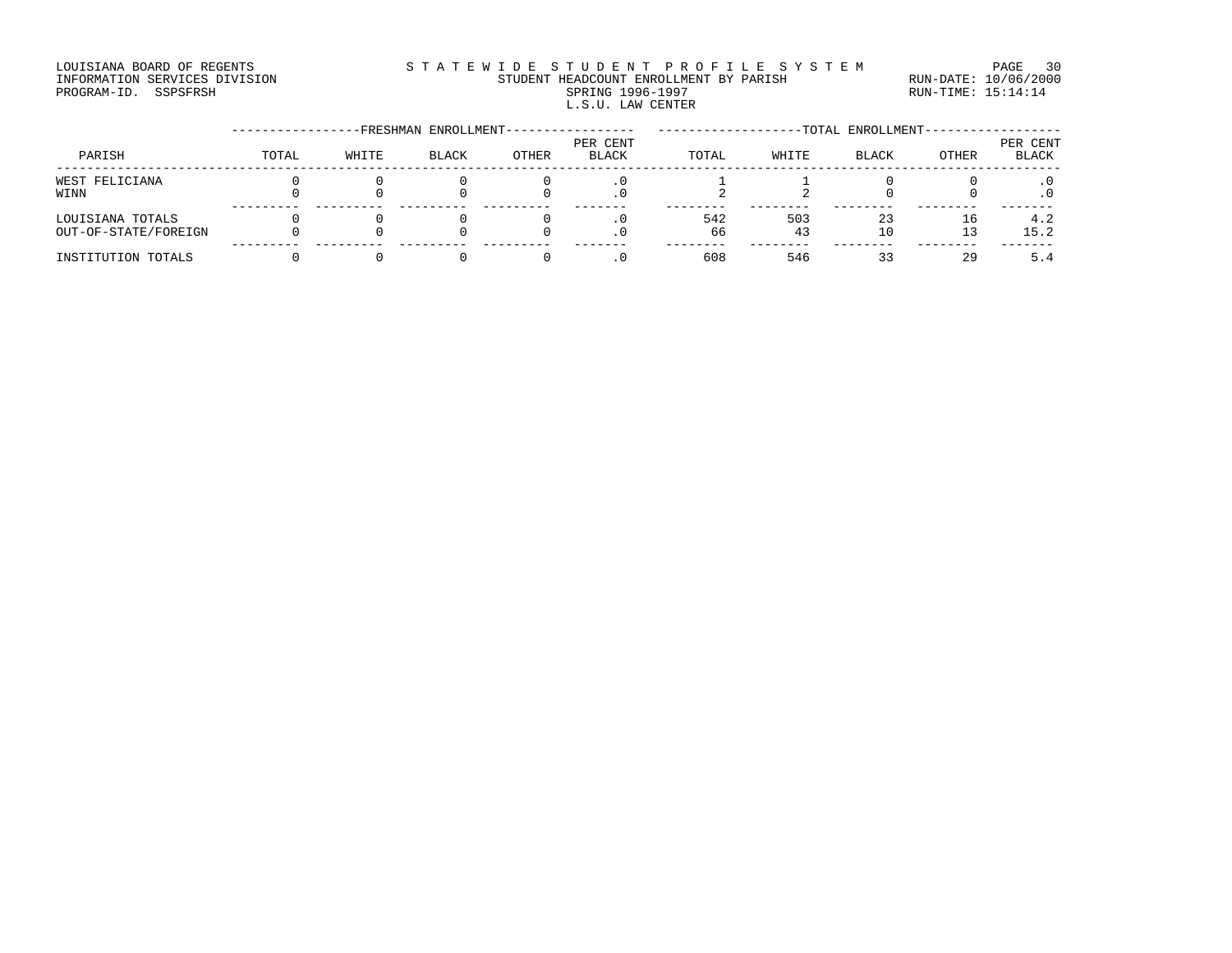#### LOUISIANA BOARD OF REGENTS STATEWIDE STUDENT PROFILE SYSTEM PAGE 30 INFORMATION SERVICES DIVISION STUDENT HEADCOUNT ENROLLMENT BY PARISH RUN-DATE: 10/06/2000 DOUISIANA BOARD OF REGENTS STATEWILD E STUDENT HEADCOUNT ENROLLMENT BY PARISH NOTION SERVICES DIVISION STUDENT HEADCOUNT ENROLLMENT BY PARISH RUN-DATE: 10/06/2000<br>PROGRAM-ID. SSPSFRSH SPRING 1996-1997 SPRING 1996-1997 RUN-L.S.U. LAW CENTER

#### -----------------FRESHMAN ENROLLMENT----------------- -------------------TOTAL ENROLLMENT------------------ PER CENT PER CENT PARISH TOTAL WHITE BLACK OTHER BLACK TOTAL WHITE BLACK OTHER BLACK ------------------------------------------------------------------------------------------------------------------------------------ WEST FELICIANA 0 0 0 0 .0 1 1 0 0 .0 WINN 0 0 0 0 .0 2 2 0 0 .0 --------- --------- --------- --------- ------- -------- -------- -------- -------- ------- LOUISIANA TOTALS 0 0 0 0 .0 542 503 23 16 4.2 OUT-OF-STATE/FOREIGN 0 0 0 0 .0 66 43 10 13 15.2 --------- --------- --------- --------- ------- -------- -------- -------- -------- ------- INSTITUTION TOTALS 0 0 0 0 .0 608 546 33 29 5.4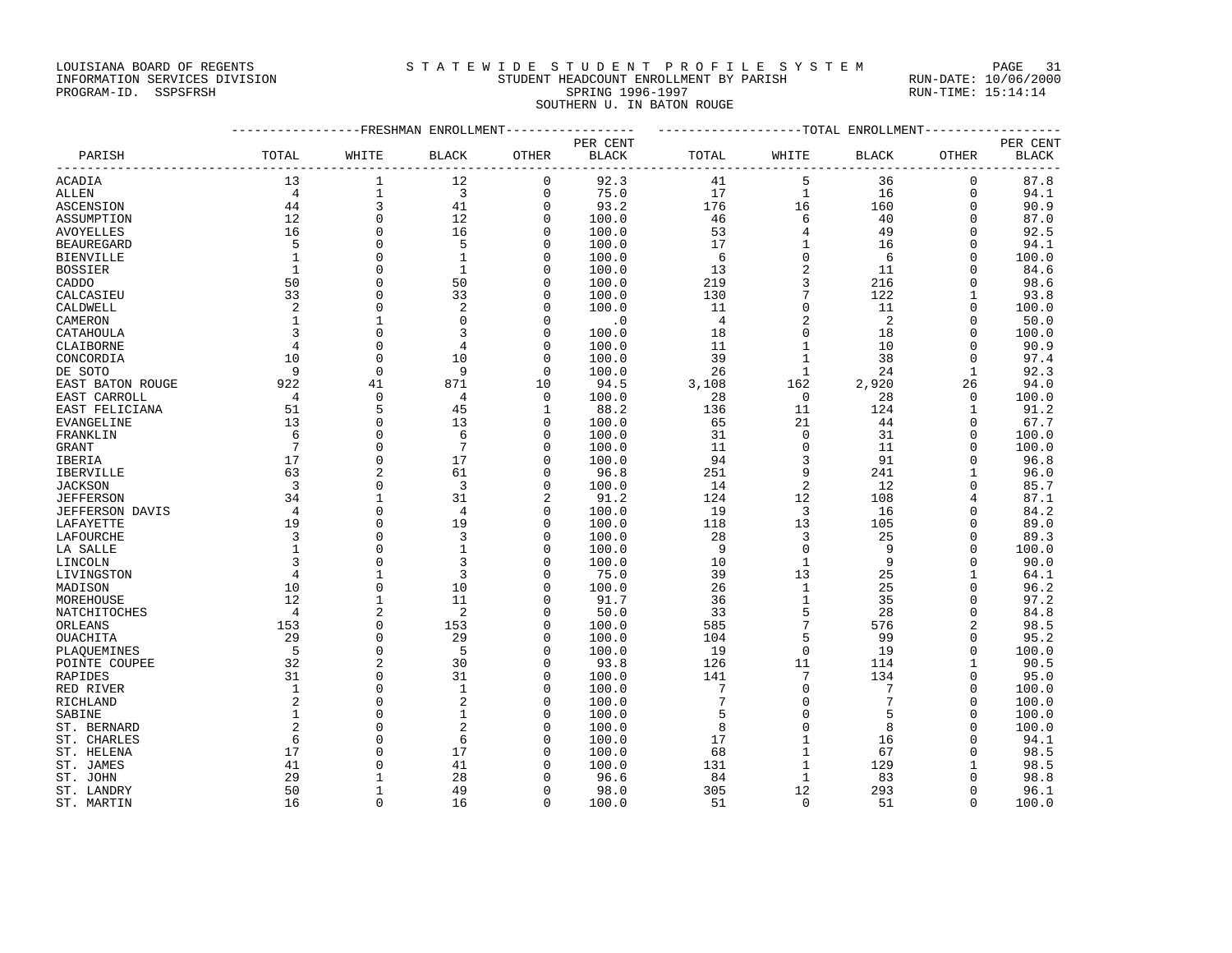LOUISIANA BOARD OF REGENTS STATEWIDE STUDENT PROFILE SYSTEM PAGE 31

### INFORMATION SERVICES DIVISION STUDENT HEADCOUNT ENROLLMENT BY PARISH RUN-DATE: 10/06/2000 PROGRAM-ID. SSPSFRSH SPRING 1996-1997 RUN-TIME: 15:14:14 SOUTHERN U. IN BATON ROUGE

|                         |                         | ------------FRESHMAN ENROLLMENT |                         |                      |                | ------------------TOTAL ENROLLMENT- |                            |                                    |                         |                                 |  |
|-------------------------|-------------------------|---------------------------------|-------------------------|----------------------|----------------|-------------------------------------|----------------------------|------------------------------------|-------------------------|---------------------------------|--|
|                         |                         |                                 |                         |                      | PER CENT       |                                     |                            |                                    |                         | PER CENT                        |  |
| PARISH                  | TOTAL                   | WHITE                           | <b>BLACK</b>            | <b>OTHER</b>         | <b>BLACK</b>   | TOTAL                               | WHITE                      | <b>BLACK</b>                       | <b>OTHER</b>            | <b>BLACK</b><br>--------------- |  |
| ACADIA                  | 13                      | $\mathbf{1}$                    | 12                      | $\mathbf 0$          | 92.3           | 41                                  | 5                          | 36                                 | $\mathbf 0$             | 87.8                            |  |
| <b>ALLEN</b>            | $\overline{4}$          | $1\,$                           | $\overline{\mathbf{3}}$ | $\mathbf 0$          | 75.0           | 17                                  | $\mathbf{1}$               | 16                                 | $\mathbf 0$             | 94.1                            |  |
| ASCENSION               | 44                      | $\overline{3}$                  | 41                      | $\mathbf 0$          | 93.2           | 176                                 | 16                         | 160                                | $\Omega$                | 90.9                            |  |
| ASSUMPTION              | 12                      | $\mathbf 0$                     | 12                      | $\mathbf 0$          | 100.0          | 46                                  | 6                          | 40                                 | $\Omega$                | 87.0                            |  |
| AVOYELLES               | 16                      | $\Omega$                        | 16                      | $\Omega$             | 100.0          | 53                                  | $\overline{4}$             | 49                                 | $\Omega$                | 92.5                            |  |
| <b>BEAUREGARD</b>       | 5                       | $\mathbf 0$                     | 5                       | $\mathbf 0$          | 100.0          | 17                                  | $\mathbf{1}$               | 16                                 | $\Omega$                | 94.1                            |  |
| <b>BIENVILLE</b>        | $\mathbf{1}$            | $\Omega$                        | $\mathbf{1}$            | $\mathbf 0$          | 100.0          | 6                                   | $\mathbf 0$                | 6                                  | $\Omega$                | 100.0                           |  |
| <b>BOSSIER</b>          | $\mathbf{1}$            | $\Omega$                        | <sup>1</sup>            | $\Omega$             | 100.0          | 13                                  | $\sqrt{2}$                 | 11                                 | $\Omega$                | 84.6                            |  |
| CADDO                   | 50                      | $\Omega$                        | 50                      | 0                    | 100.0          | 219                                 | $\overline{3}$             | 216                                | $\Omega$                | 98.6                            |  |
| CALCASIEU               | 33                      | $\Omega$                        | 33                      | $\Omega$             | 100.0          | 130                                 | $\overline{7}$             | 122                                | $\mathbf{1}$            | 93.8                            |  |
| CALDWELL                | 2                       | $\mathbf{0}$                    | 2                       | 0                    | 100.0          | 11                                  | $\mathsf 0$                | 11                                 | $\Omega$                | 100.0                           |  |
| CAMERON                 | $\mathbf{1}$            | $\mathbf{1}$                    | $\Omega$                | $\Omega$             | $\cdot$ 0      | $\overline{4}$                      | $\overline{c}$             | $\overline{\phantom{0}}^2$         | $\Omega$                | 50.0                            |  |
| CATAHOULA               | $\overline{3}$          | $\Omega$                        | 3                       | $\mathbf 0$          | 100.0          | 18                                  | $\overline{0}$             | 18                                 | $\Omega$                | 100.0                           |  |
| CLAIBORNE               | $\overline{4}$          | $\Omega$                        | 4                       | $\Omega$             | 100.0          | 11                                  | $\mathbf{1}$               | 10                                 | $\Omega$                | 90.9                            |  |
| CONCORDIA               | 10                      | $\Omega$                        | 10                      | $\Omega$             | 100.0          | 39                                  | $\mathbf{1}$               | 38                                 | $\Omega$                | 97.4                            |  |
| DE SOTO                 | $\overline{9}$          | $\Omega$                        | 9                       | $\Omega$             | 100.0          | 26                                  | 1                          | 24                                 | $\mathbf{1}$            | 92.3                            |  |
| EAST BATON ROUGE        | 922                     | 41                              | 871                     | 10                   | 94.5           | 3,108                               | 162                        | 2,920                              | 26                      | 94.0                            |  |
| EAST CARROLL            | $\overline{4}$          | $\Omega$                        | 4                       | $\Omega$             | 100.0          | 28                                  | $\overline{0}$             | 28                                 | $\Omega$                | 100.0                           |  |
| EAST FELICIANA          | 51                      | 5                               | 45                      | 1                    | 88.2           | 136                                 | 11                         | 124                                | 1                       | 91.2                            |  |
| EVANGELINE              | 13                      | $\Omega$                        | 13                      | $\Omega$             | 100.0          | 65                                  | 21                         | 44                                 | $\Omega$                | 67.7                            |  |
| FRANKLIN                | $6\overline{6}$         | $\Omega$                        | 6                       | $\Omega$             | 100.0          | 31                                  | $\Omega$                   | 31                                 | $\Omega$                | 100.0                           |  |
| <b>GRANT</b>            | $7\phantom{.0}$         | $\mathbf{0}$                    | $7\phantom{.0}$         | 0                    | 100.0          | 11                                  | $\mathsf 0$                | 11                                 | 0                       | 100.0                           |  |
| IBERIA                  | 17                      | $\Omega$                        | 17                      | $\Omega$             | 100.0          | 94                                  | $\overline{3}$             | 91                                 | $\Omega$                | 96.8                            |  |
| IBERVILLE               | 63                      | $\overline{2}$                  | 61                      | $\mathbf 0$          | 96.8           | 251                                 | 9                          | 241                                | $\mathbf{1}$            | 96.0                            |  |
| <b>JACKSON</b>          | $\overline{\mathbf{3}}$ | $\Omega$                        | $\overline{3}$          | $\Omega$             | 100.0          | 14                                  | $\overline{2}$             | 12                                 | $\Omega$                | 85.7                            |  |
| <b>JEFFERSON</b>        | 34                      | $\mathbf{1}$                    | 31                      | 2                    | 91.2           | 124                                 | 12                         | 108                                | 4                       | 87.1                            |  |
| JEFFERSON DAVIS         | $\overline{4}$          | $\Omega$                        | $\overline{4}$          | 0                    | 100.0          | 19                                  | $\overline{3}$             | 16                                 | $\Omega$                | 84.2                            |  |
| LAFAYETTE               | 19                      | $\Omega$                        | 19                      | $\mathbf 0$          | 100.0          | 118                                 | 13                         | 105                                | $\Omega$                | 89.0                            |  |
| LAFOURCHE               | 3                       | $\Omega$                        | 3                       | 0                    | 100.0          | 28                                  | 3                          | 25                                 | $\Omega$                | 89.3                            |  |
| LA SALLE                | $\mathbf{1}$            | $\Omega$                        | $\mathbf{1}$            | $\Omega$             | 100.0          | - 9                                 | $\Omega$                   | - 9                                | $\Omega$                | 100.0                           |  |
| LINCOLN                 | 3                       | $\Omega$                        | 3                       | $\Omega$             | 100.0          | 10                                  | $\mathbf{1}$               | 9                                  | $\Omega$                | 90.0                            |  |
| LIVINGSTON              | $\overline{4}$          | $\mathbf{1}$                    | 3                       | 0                    | 75.0           | 39                                  | 13                         | 25                                 | $\mathbf{1}$            | 64.1                            |  |
| MADISON                 | 10                      | $\Omega$                        | 10                      | $\Omega$             | 100.0          | 26                                  | $\mathbf{1}$               | 25                                 | $\Omega$                | 96.2                            |  |
| MOREHOUSE               | 12                      | $\mathbf{1}$                    | 11                      | $\mathbf 0$          | 91.7           | 36                                  | $1\,$                      | 35                                 | $\Omega$                | 97.2                            |  |
| NATCHITOCHES            | $\overline{4}$          | $\overline{2}$                  | -2                      | 0                    | 50.0           | 33                                  | 5                          | 28                                 | $\Omega$                | 84.8                            |  |
| ORLEANS                 | 153                     | $\Omega$                        | 153                     | $\mathbf 0$          | 100.0          | 585                                 | $\overline{7}$             | 576                                | $\overline{a}$          | 98.5                            |  |
| OUACHITA                | 29                      | $\mathbf{0}$                    | 29                      | 0                    | 100.0          | 104                                 | 5                          | 99                                 | $\Omega$                | 95.2                            |  |
| PLAQUEMINES             | $-5$                    | $\Omega$                        | -5                      | $\Omega$             | 100.0          | 19                                  | $\mathbf 0$                | 19                                 | $\Omega$                | 100.0                           |  |
| POINTE COUPEE           | 32                      | $\overline{2}$                  | 30                      | $\mathbf 0$          | 93.8           | 126                                 | 11<br>$7\phantom{.0}$      | 114                                | $\mathbf{1}$            | 90.5                            |  |
| RAPIDES                 | 31                      | $\Omega$<br>$\Omega$            | 31<br>$\mathbf{1}$      | $\Omega$             | 100.0          | 141                                 |                            | 134                                | $\Omega$                | 95.0                            |  |
| RED RIVER               | $\mathbf{1}$<br>2       | $\Omega$                        |                         | $\mathbf 0$          | 100.0          | $7\phantom{.0}$<br>7                | $\mathbf 0$<br>$\mathbf 0$ | $7\phantom{.0}$<br>$7\phantom{.0}$ | $\mathbf 0$<br>$\Omega$ | 100.0                           |  |
| RICHLAND                | $\mathbf{1}$            | $\Omega$                        | 2<br>$\mathbf{1}$       | $\Omega$<br>$\Omega$ | 100.0          | 5                                   | $\mathbf 0$                | 5                                  | $\Omega$                | 100.0                           |  |
| SABINE                  | $\overline{2}$          | $\Omega$                        | $\overline{a}$          | $\Omega$             | 100.0<br>100.0 | 8                                   | $\Omega$                   | 8                                  | $\Omega$                | 100.0<br>100.0                  |  |
| ST. BERNARD             | 6                       | $\Omega$                        | 6                       |                      |                | 17                                  | $\mathbf{1}$               | 16                                 | $\Omega$                |                                 |  |
| ST. CHARLES             | 17                      | $\Omega$                        | 17                      | 0<br>$\Omega$        | 100.0          | 68                                  | $\mathbf{1}$               | 67                                 | $\Omega$                | 94.1                            |  |
| ST. HELENA<br>ST. JAMES | 41                      | $\Omega$                        | 41                      | 0                    | 100.0<br>100.0 | 131                                 | $\mathbf{1}$               | 129                                | 1                       | 98.5<br>98.5                    |  |
| ST. JOHN                | 29                      | $\mathbf{1}$                    | 28                      | O                    | 96.6           | 84                                  | $\mathbf{1}$               | 83                                 | $\Omega$                | 98.8                            |  |
| ST. LANDRY              | 50                      | $\mathbf{1}$                    | 49                      | $\Omega$             | 98.0           | 305                                 | 12                         | 293                                | $\Omega$                | 96.1                            |  |
| ST. MARTIN              | 16                      | $\Omega$                        | 16                      | $\Omega$             | 100.0          | 51                                  | $\Omega$                   | 51                                 | $\Omega$                | 100.0                           |  |
|                         |                         |                                 |                         |                      |                |                                     |                            |                                    |                         |                                 |  |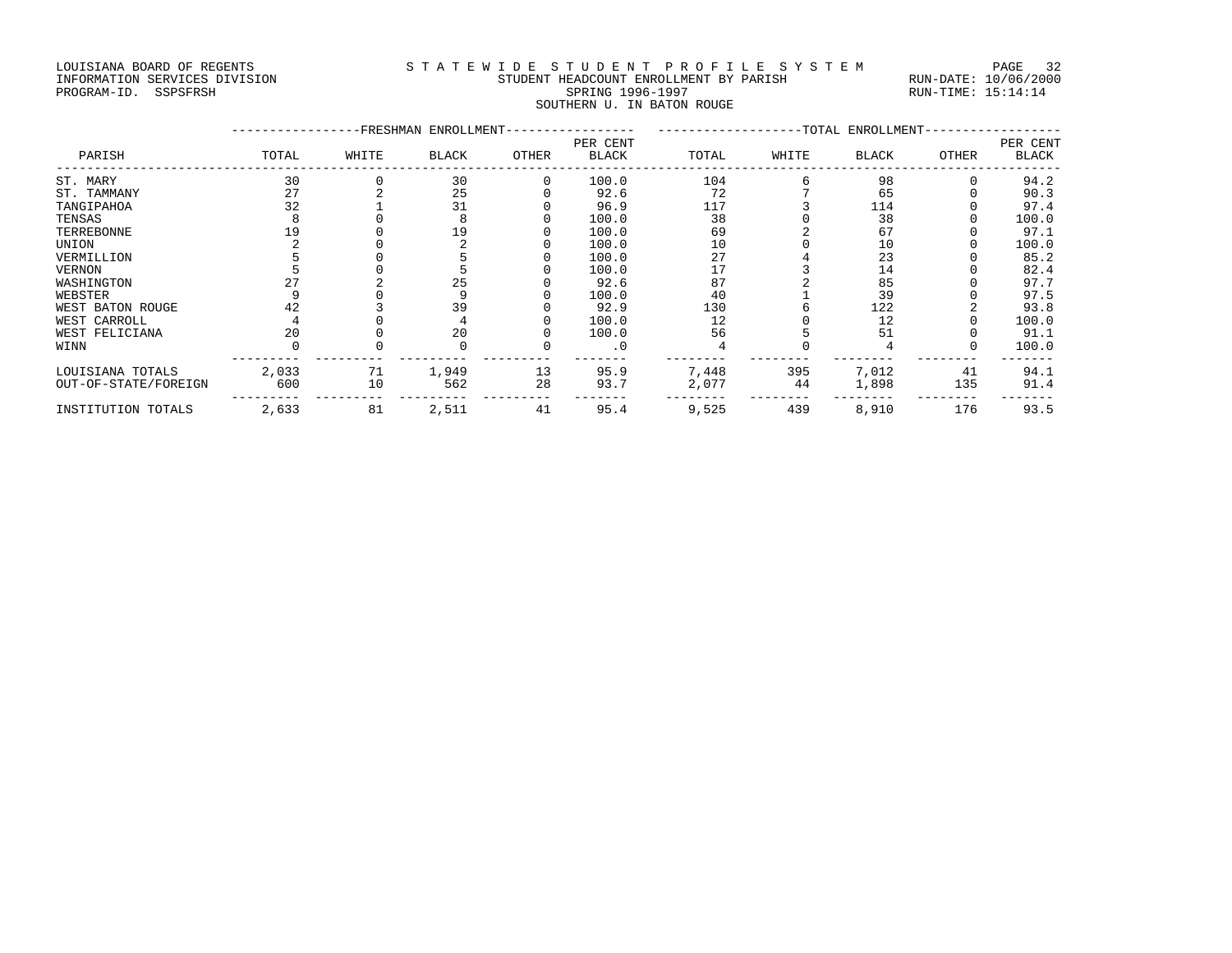## LOUISIANA BOARD OF REGENTS STATEWIDE STUDENT PROFILE SYSTEM PAGE 32 INFORMATION SERVICES DIVISION STUDENT HEADCOUNT ENROLLMENT BY PARISH RUN-DATE: 10/06/2000

## PROGRAM-ID. SSPSFRSH SPRING 1996-1997 RUN-TIME: 15:14:14 SOUTHERN U. IN BATON ROUGE

|                      |       | -FRESHMAN ENROLLMENT- | --TOTAL ENROLLMENT- |          |              |       |       |              |       |              |
|----------------------|-------|-----------------------|---------------------|----------|--------------|-------|-------|--------------|-------|--------------|
|                      |       |                       |                     |          | PER CENT     |       |       |              |       | PER CENT     |
| PARISH               | TOTAL | WHITE                 | <b>BLACK</b>        | OTHER    | <b>BLACK</b> | TOTAL | WHITE | <b>BLACK</b> | OTHER | <b>BLACK</b> |
| ST. MARY             | 30    |                       | 30                  | $\Omega$ | 100.0        | 104   |       | 98           |       | 94.2         |
| ST. TAMMANY          | 27    |                       | 25                  |          | 92.6         | 72    |       | 65           |       | 90.3         |
| TANGIPAHOA           | 32    |                       | 31                  |          | 96.9         | 117   |       | 114          |       | 97.4         |
| TENSAS               |       |                       |                     |          | 100.0        | 38    |       | 38           |       | 100.0        |
| TERREBONNE           | 19    |                       | 19                  |          | 100.0        | 69    |       | 67           |       | 97.1         |
| UNION                |       |                       |                     |          | 100.0        | 10    |       | 10           |       | 100.0        |
| VERMILLION           |       |                       |                     |          | 100.0        | 27    |       | 23           |       | 85.2         |
| <b>VERNON</b>        |       |                       |                     |          | 100.0        | 17    |       | 14           |       | 82.4         |
| WASHINGTON           |       |                       | 25                  |          | 92.6         | 87    |       | 85           |       | 97.7         |
| WEBSTER              |       |                       |                     |          | 100.0        | 40    |       | 39           |       | 97.5         |
| WEST BATON ROUGE     | 42    |                       | 39                  |          | 92.9         | 130   |       | 122          |       | 93.8         |
| WEST CARROLL         |       |                       |                     |          | 100.0        | 12    |       | 12           |       | 100.0        |
| WEST FELICIANA       | 20    |                       | 20                  |          | 100.0        | 56    |       | 51           |       | 91.1         |
| WINN                 |       |                       |                     |          | . 0          |       |       |              |       | 100.0        |
| LOUISIANA TOTALS     | 2,033 | 71                    | 1,949               | 13       | 95.9         | 7,448 | 395   | 7,012        | 41    | 94.1         |
| OUT-OF-STATE/FOREIGN | 600   | 10                    | 562                 | 28       | 93.7         | 2,077 | 44    | 1,898        | 135   | 91.4         |
| INSTITUTION TOTALS   | 2,633 | 81                    | 2,511               | 41       | 95.4         | 9,525 | 439   | 8,910        | 176   | 93.5         |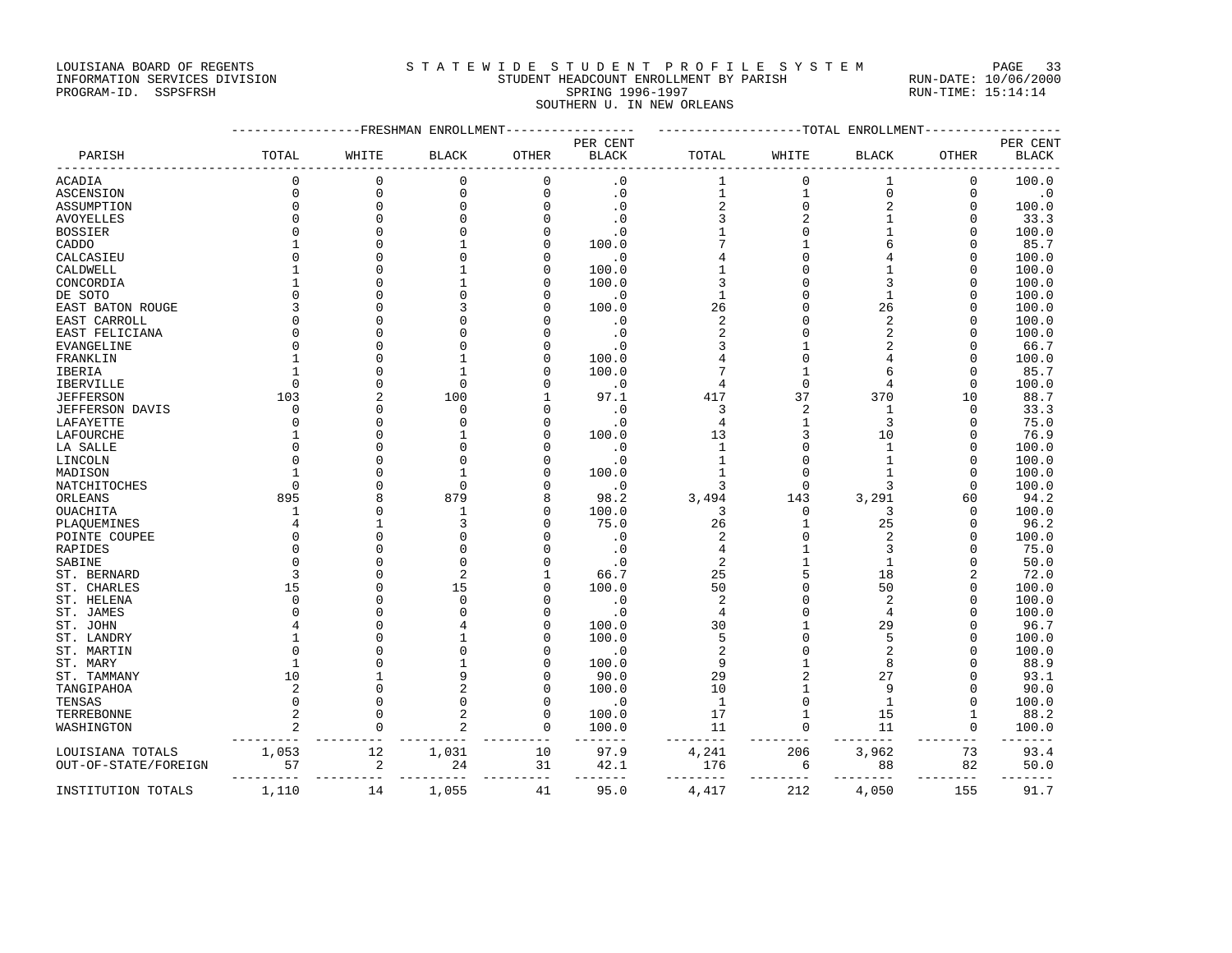#### LOUISIANA BOARD OF REGENTS STATEWIDE STUDENT PROFILE SYSTEM PAGE 33 INFORMATION SERVICES DIVISION STUDENT HEADCOUNT ENROLLMENT BY PARISH RUN-DATE: 10/06/2000

## PROGRAM-ID. SSPSFRSH SPRING 1996-1997 RUN-TIME: 15:14:14 SOUTHERN U. IN NEW ORLEANS

|                      |              |                | -------FRESHMAN ENROLLMENT |              |              | ------------TOTAL ENROLLMENT |                     |                         |              |              |  |
|----------------------|--------------|----------------|----------------------------|--------------|--------------|------------------------------|---------------------|-------------------------|--------------|--------------|--|
|                      |              |                |                            |              | PER CENT     |                              |                     |                         |              | PER CENT     |  |
| PARISH               | TOTAL        | WHITE          | BLACK                      | <b>OTHER</b> | <b>BLACK</b> | TOTAL                        | WHITE               | <b>BLACK</b>            | <b>OTHER</b> | <b>BLACK</b> |  |
| ACADIA               | $\Omega$     | $\mathbf 0$    | $\Omega$                   | $\mathbf{0}$ | $\cdot$ 0    | 1                            | $\mathbf 0$         | 1                       | $\mathbf 0$  | 100.0        |  |
| <b>ASCENSION</b>     | $\mathbf 0$  | $\mathbf{0}$   | $\mathbf 0$                | $\mathbf 0$  | $\cdot$ 0    | $\mathbf{1}$                 | $\mathbf 1$         | $\mathbf 0$             | $\mathbf 0$  | $\cdot$ 0    |  |
| ASSUMPTION           | 0            | $\mathbf 0$    | 0                          | 0            | $\cdot$ 0    | 2                            | $\mathsf{O}\xspace$ | $\overline{\mathbf{c}}$ | $\Omega$     | 100.0        |  |
| <b>AVOYELLES</b>     | $\Omega$     | $\Omega$       | $\Omega$                   | $\Omega$     | $\cdot$ 0    | 3                            | $\overline{2}$      | $\mathbf{1}$            | $\Omega$     | 33.3         |  |
| <b>BOSSIER</b>       |              | $\Omega$       |                            | $\Omega$     | $\cdot$ 0    |                              | $\mathbf{0}$        | $\mathbf{1}$            | $\Omega$     | 100.0        |  |
| CADDO                |              | $\Omega$       |                            | 0            | 100.0        |                              | $\mathbf{1}$        | 6                       | U            | 85.7         |  |
| CALCASIEU            |              | $\Omega$       |                            | $\Omega$     | $\cdot$ 0    |                              | $\Omega$            |                         | $\Omega$     | 100.0        |  |
| CALDWELL             |              | $\Omega$       |                            | $\Omega$     | 100.0        |                              | $\Omega$            |                         | $\cap$       | 100.0        |  |
| CONCORDIA            |              | $\cap$         |                            | $\cap$       | 100.0        | 3                            | $\Omega$            |                         | U            | 100.0        |  |
| DE SOTO              |              | $\Omega$       |                            | $\Omega$     | $\cdot$ 0    | $\mathbf{1}$                 | $\Omega$            | 1                       | $\Omega$     | 100.0        |  |
| EAST BATON ROUGE     |              | $\Omega$       |                            | $\Omega$     | 100.0        | 26                           | $\Omega$            | 26                      | Ω            | 100.0        |  |
| EAST CARROLL         | $\Omega$     | $\Omega$       |                            | O            | $\cdot$ 0    | $\overline{2}$               | $\Omega$            | $\overline{a}$          | $\Omega$     | 100.0        |  |
| EAST FELICIANA       | $\Omega$     | $\Omega$       |                            |              | $\cdot$ 0    | $\overline{2}$               | $\Omega$            | $\overline{2}$          | Ω            | 100.0        |  |
| EVANGELINE           | $\Omega$     | $\Omega$       |                            |              | $\cdot$ 0    | 3                            |                     |                         | $\cap$       | 66.7         |  |
| FRANKLIN             |              | $\Omega$       |                            | U            | 100.0        |                              | $\Omega$            |                         | $\cap$       | 100.0        |  |
| IBERIA               |              | $\Omega$       |                            |              | 100.0        |                              | $\mathbf{1}$        | б                       | $\cap$       | 85.7         |  |
| <b>IBERVILLE</b>     | $\Omega$     | $\Omega$       | $\Omega$                   |              | $\cdot$ 0    | 4                            | $\Omega$            | 4                       | $\Omega$     | 100.0        |  |
| <b>JEFFERSON</b>     | 103          | $\overline{a}$ | 100                        |              | 97.1         | 417                          | 37                  | 370                     | 10           | 88.7         |  |
| JEFFERSON DAVIS      | $\Omega$     | $\Omega$       | $\Omega$                   | $\Omega$     | $\cdot$ 0    | 3                            | $\overline{2}$      | $\mathbf{1}$            | 0            | 33.3         |  |
| LAFAYETTE            | $\Omega$     | $\Omega$       | $\Omega$                   | $\Omega$     | $\cdot$ 0    | $\overline{4}$               | $\mathbf{1}$        | 3                       | $\Omega$     | 75.0         |  |
| LAFOURCHE            |              | $\Omega$       |                            | U            | 100.0        | 13                           | 3                   | 10                      | $\Omega$     | 76.9         |  |
| LA SALLE             |              | $\Omega$       |                            | U            | $\cdot$ 0    | 1                            | $\Omega$            | $\mathbf{1}$            | $\Omega$     | 100.0        |  |
| LINCOLN              |              | $\Omega$       | n                          | U            | $\cdot$ 0    | $\mathbf{1}$                 | $\Omega$            | $\mathbf{1}$            | n            | 100.0        |  |
| MADISON              |              | $\Omega$       |                            | O            | 100.0        | $\mathbf{1}$                 | $\Omega$            |                         | $\Omega$     | 100.0        |  |
| NATCHITOCHES         | $\Omega$     | $\Omega$       | $\Omega$                   |              | $\cdot$ 0    | 3                            | $\Omega$            |                         | $\Omega$     | 100.0        |  |
| ORLEANS              | 895          | 8              | 879                        | 8            | 98.2         | 3,494                        | 143                 | 3,291                   | 60           | 94.2         |  |
| OUACHITA             | $\mathbf{1}$ | $\Omega$       | $\mathbf{1}$               | $\Omega$     | 100.0        | 3                            | $\mathbf{0}$        | 3                       | $\Omega$     | 100.0        |  |
| PLAQUEMINES          | 4            | $\mathbf{1}$   | 3                          | $\cap$       | 75.0         | 26                           | $\mathbf{1}$        | 25                      | $\cap$       | 96.2         |  |
| POINTE COUPEE        | $\cap$       | $\Omega$       | n                          | ∩            | $\cdot$ 0    | $\overline{2}$               | $\mathbf{0}$        | $\overline{c}$          | $\Omega$     | 100.0        |  |
| RAPIDES              |              | $\Omega$       |                            |              | $\cdot$ 0    | $\overline{4}$               | $\mathbf 1$         | 3                       |              | 75.0         |  |
| SABINE               |              | $\Omega$       | $\cap$                     | $\Omega$     | $\cdot$ 0    | $\overline{2}$               |                     | $\mathbf{1}$            | $\Omega$     | 50.0         |  |
| ST. BERNARD          | 3            | $\Omega$       | $\overline{a}$             |              | 66.7         | 25                           | 5                   | 18                      |              | 72.0         |  |
| ST. CHARLES          | 15           | $\Omega$       | 15                         | $\Omega$     | 100.0        | 50                           | $\Omega$            | 50                      |              | 100.0        |  |
| ST. HELENA           | $\Omega$     | $\Omega$       | $\Omega$                   |              | $\cdot$ 0    | $\overline{a}$               | $\Omega$            | $\overline{2}$          | $\Omega$     | 100.0        |  |
| ST. JAMES            |              | $\Omega$       |                            | $\Omega$     | $\cdot$ 0    | $\overline{4}$               | $\Omega$            | $\overline{4}$          | $\Omega$     | 100.0        |  |
| ST. JOHN             |              | $\Omega$       |                            | $\Omega$     | 100.0        | 30                           | $\mathbf{1}$        | 29                      | $\Omega$     | 96.7         |  |
| ST. LANDRY           |              | $\Omega$       |                            | $\Omega$     | 100.0        | 5                            | $\Omega$            | 5                       |              | 100.0        |  |
| ST. MARTIN           |              | $\Omega$       |                            | $\cap$       | $\cdot$ 0    | $\overline{2}$               | $\Omega$            |                         | $\cap$       | 100.0        |  |
| ST. MARY             |              | $\Omega$       |                            | $\Omega$     | 100.0        | 9                            | $\mathbf{1}$        | 8                       |              | 88.9         |  |
| ST. TAMMANY          | 10           |                | 9                          | $\Omega$     | 90.0         | 29                           | $\overline{2}$      | 27                      |              | 93.1         |  |
| TANGIPAHOA           | 2            | $\Omega$       |                            | $\Omega$     | 100.0        | 10                           | $\mathbf{1}$        | 9                       | $\Omega$     | 90.0         |  |
| TENSAS               |              | $\Omega$       | $\cap$                     | $\Omega$     | $\cdot$ 0    | 1                            | $\mathbf{0}$        | $\mathbf{1}$            | $\cap$       | 100.0        |  |
| TERREBONNE           | 2            | $\Omega$       |                            | $\Omega$     | 100.0        | 17                           | 1                   | 15                      | 1            | 88.2         |  |
| WASHINGTON           | 2            | $\Omega$       |                            | 0            | 100.0        | 11                           | $\mathbf{0}$        | 11                      | 0            | 100.0        |  |
|                      |              |                |                            |              |              |                              |                     |                         |              |              |  |
| LOUISIANA TOTALS     | 1,053        | 12             | 1,031                      | 10           | 97.9         | 4,241                        | 206                 | 3,962                   | 73           | 93.4         |  |
| OUT-OF-STATE/FOREIGN | 57           | 2              | 24                         | 31           | 42.1         | 176                          | 6                   | 88                      | 82           | 50.0         |  |
| INSTITUTION TOTALS   | 1,110        | 14             | 1,055                      | 41           | 95.0         | 4,417                        | 212                 | 4,050                   | 155          | 91.7         |  |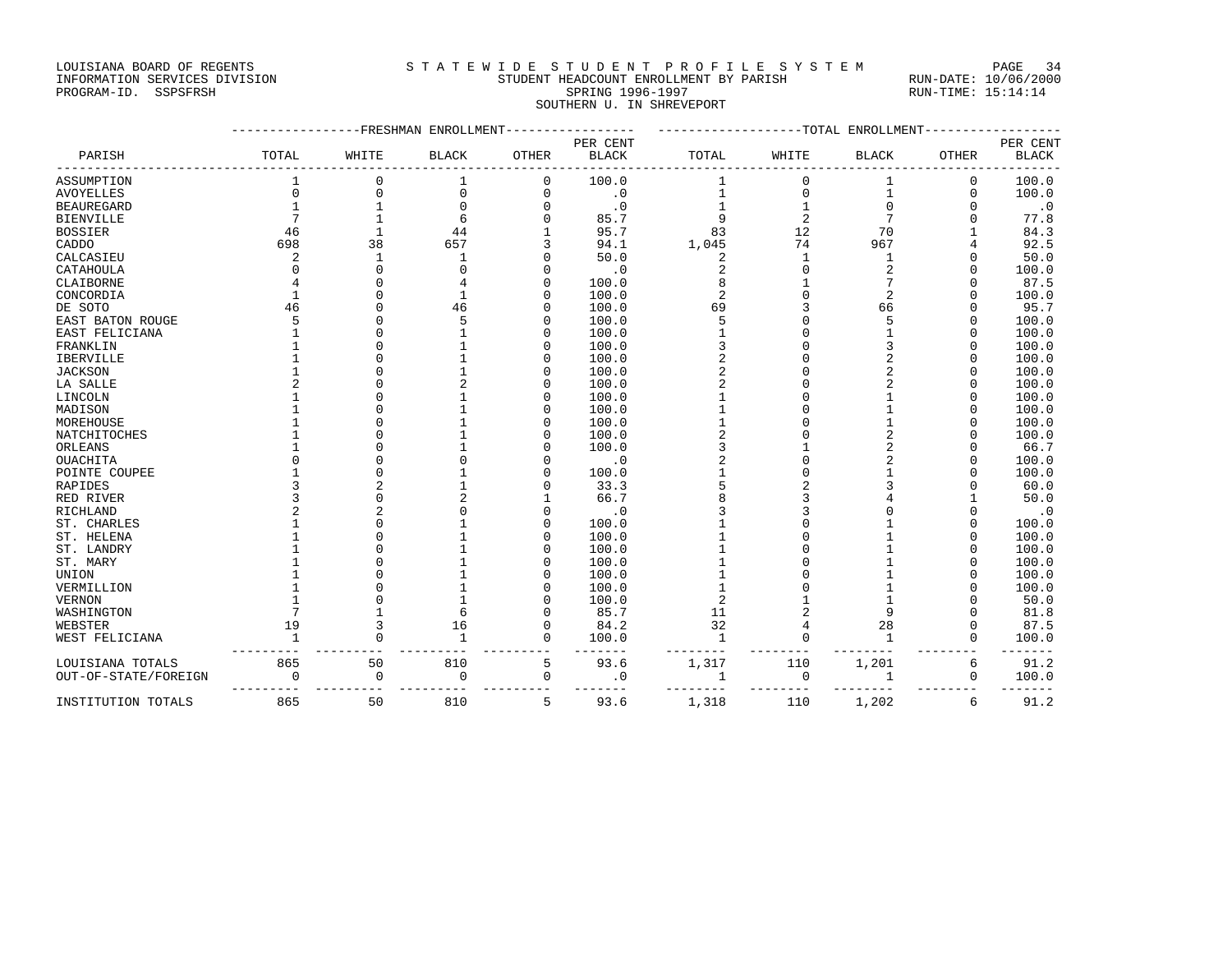#### LOUISIANA BOARD OF REGENTS STATEWIDE STUDENT PROFILE SYSTEM PAGE 34 INFORMATION SERVICES DIVISION STUDENT HEADCOUNT ENROLLMENT BY PARISH RUN-DATE: 10/06/2000 PROGRAM-ID. SSPSFRSH SPRING 1996-1997 RUN-TIME: 15:14:14 SOUTHERN U. IN SHREVEPORT

|                      |              |              | -FRESHMAN ENROLLMENT |              | -------TOTAL ENROLLMENT  |                |                |              |              |                          |
|----------------------|--------------|--------------|----------------------|--------------|--------------------------|----------------|----------------|--------------|--------------|--------------------------|
| PARISH               | TOTAL        | WHITE        | <b>BLACK</b>         | <b>OTHER</b> | PER CENT<br><b>BLACK</b> | TOTAL          | WHITE          | <b>BLACK</b> | <b>OTHER</b> | PER CENT<br><b>BLACK</b> |
| ASSUMPTION           |              | $\mathbf 0$  |                      | $\mathbf 0$  | 100.0                    | 1              | $\mathbf 0$    |              | 0            | 100.0                    |
| <b>AVOYELLES</b>     | $\Omega$     | $\mathbf 0$  | $\Omega$             | $\mathbf 0$  | $\cdot$ 0                | 1              | $\mathbf 0$    | 1            | $\Omega$     | 100.0                    |
| <b>BEAUREGARD</b>    |              |              |                      | $\Omega$     | $\cdot$ 0                |                |                |              | $\cap$       | $\cdot$ 0                |
| <b>BIENVILLE</b>     |              |              | 6                    |              | 85.7                     | 9              | $\overline{c}$ |              | $\Omega$     | 77.8                     |
| <b>BOSSIER</b>       | 46           | -1           | 44                   |              | 95.7                     | 83             | 12             | 70           |              | 84.3                     |
| CADDO                | 698          | 38           | 657                  |              | 94.1                     | 1,045          | 74             | 967          |              | 92.5                     |
| CALCASIEU            | 2            | $\mathbf{1}$ |                      |              | 50.0                     | 2              | $\mathbf{1}$   |              | $\Omega$     | 50.0                     |
| CATAHOULA            | $\Omega$     | $\Omega$     |                      | O            | $\cdot$ 0                | 2              | $\Omega$       |              | $\cap$       | 100.0                    |
| CLAIBORNE            | 4            | $\cap$       |                      | $\Omega$     | 100.0                    | 8              |                |              | $\Omega$     | 87.5                     |
| CONCORDIA            | $\mathbf{1}$ |              |                      | O            | 100.0                    | $\overline{a}$ | $\Omega$       |              | $\cap$       | 100.0                    |
| DE SOTO              | 46           |              | 46                   | U            | 100.0                    | 69             |                | 66           | $\cap$       | 95.7                     |
| EAST BATON ROUGE     | 5            |              |                      | O            | 100.0                    | 5              |                |              | $\Omega$     | 100.0                    |
| EAST FELICIANA       |              |              |                      | O            | 100.0                    |                | $\Omega$       |              | $\Omega$     | 100.0                    |
| FRANKLIN             |              | n            |                      | O            | 100.0                    | 3              | $\cap$         |              | $\Omega$     | 100.0                    |
| IBERVILLE            |              |              |                      | 0            | 100.0                    | 2              |                |              | $\Omega$     | 100.0                    |
| <b>JACKSON</b>       |              |              |                      | O            | 100.0                    |                |                |              | $\Omega$     | 100.0                    |
| LA SALLE             | 2            |              |                      | O            | 100.0                    | 2              |                |              | $\Omega$     | 100.0                    |
| LINCOLN              |              |              |                      | U            | 100.0                    |                |                |              | $\cap$       | 100.0                    |
| MADISON              |              |              |                      | $\Omega$     | 100.0                    |                | $\cap$         |              | $\Omega$     | 100.0                    |
| MOREHOUSE            |              |              |                      | 0            | 100.0                    |                |                |              | $\Omega$     | 100.0                    |
| NATCHITOCHES         |              |              |                      | O            | 100.0                    |                |                |              | $\cap$       | 100.0                    |
| ORLEANS              |              |              |                      | U            | 100.0                    | ζ              |                |              | $\cap$       | 66.7                     |
| <b>OUACHITA</b>      |              |              |                      |              | $\cdot$ 0                |                |                |              | $\Omega$     | 100.0                    |
| POINTE COUPEE        |              |              |                      | O            | 100.0                    |                | $\Omega$       |              | $\Omega$     | 100.0                    |
| RAPIDES              | ς            |              |                      |              | 33.3                     | 5              |                |              | $\cap$       | 60.0                     |
| RED RIVER            |              |              |                      |              | 66.7                     |                |                |              |              | 50.0                     |
| RICHLAND             |              |              |                      | O            | $\cdot$ 0                | 3              |                |              | $\Omega$     | $\cdot$ 0                |
| ST. CHARLES          |              |              |                      | O            | 100.0                    |                |                |              | $\Omega$     | 100.0                    |
| ST. HELENA           |              |              |                      | O            | 100.0                    |                |                |              | $\Omega$     | 100.0                    |
| ST. LANDRY           |              |              |                      | U            | 100.0                    |                |                |              | $\cap$       | 100.0                    |
| ST. MARY             |              |              |                      | O            | 100.0                    |                |                |              | $\Omega$     | 100.0                    |
| UNION                |              |              |                      | O            | 100.0                    |                |                |              | $\cap$       | 100.0                    |
| VERMILLION           |              |              |                      | O            | 100.0                    |                |                |              | $\cap$       | 100.0                    |
| VERNON               |              |              |                      | O            | 100.0                    | 2              |                |              | $\Omega$     | 50.0                     |
| WASHINGTON           |              |              |                      | O            | 85.7                     | 11             |                |              | $\Omega$     | 81.8                     |
| WEBSTER              | 19           | 3            | 16                   | $\mathbf 0$  | 84.2                     | 32             | 4              | 28           | $\Omega$     | 87.5                     |
| WEST FELICIANA       |              | $\Omega$     |                      | $\mathbf{0}$ | 100.0                    | $\mathbf{1}$   | $\Omega$       |              | $\Omega$     | 100.0                    |
| LOUISIANA TOTALS     | 865          | 50           | 810                  | 5            | 93.6                     | 1,317          | 110            | 1,201        | 6            | 91.2                     |
| OUT-OF-STATE/FOREIGN | $\mathbf 0$  | 0            | $\mathbf 0$          | 0            | $\cdot$ 0                | 1              | 0              | 1            | 0            | 100.0                    |
| INSTITUTION TOTALS   | 865          | 50           | 810                  | 5            | 93.6                     | 1,318          | 110            | 1,202        | 6            | 91.2                     |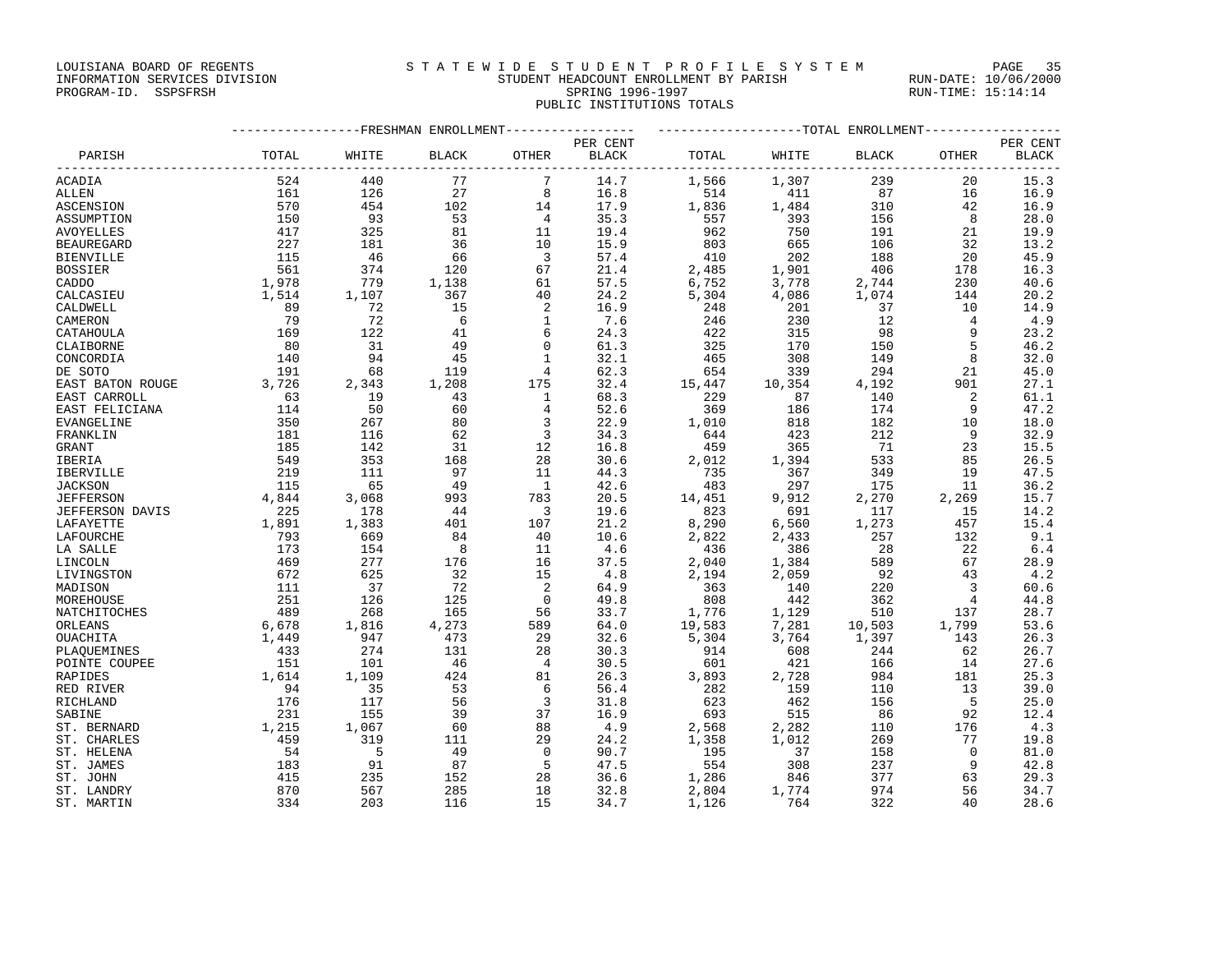LOUISIANA BOARD OF REGENTS SAND STATEWIDE STUDENT PROFILE SYSTEM PAGE 35

### INFORMATION SERVICES DIVISION STUDENT HEADCOUNT ENROLLMENT BY PARISH RUN-DATE: 10/06/2000 PROGRAM-ID. SSPSFRSH SPRING 1996-1997 RUN-TIME: 15:14:14 PUBLIC INSTITUTIONS TOTALS

|                        | ----------------FRESHMAN ENROLLMENT---------------- | -------------------TOTAL ENROLLMENT----------------- |              |                      |              |            |            |              |                |              |
|------------------------|-----------------------------------------------------|------------------------------------------------------|--------------|----------------------|--------------|------------|------------|--------------|----------------|--------------|
|                        |                                                     |                                                      |              |                      | PER CENT     |            |            |              |                | PER CENT     |
| PARISH                 | TOTAL                                               | WHITE                                                | <b>BLACK</b> | OTHER                | <b>BLACK</b> | TOTAL      | WHITE      | <b>BLACK</b> | OTHER          | <b>BLACK</b> |
| ACADIA                 | 524                                                 | 440                                                  | 77           | 7                    | 14.7         | 1,566      | 1,307      | 239          | 20             | 15.3         |
| ALLEN                  | 161                                                 | 126                                                  | 27           | 8                    | 16.8         | 514        | 411        | 87           | 16             | 16.9         |
| ASCENSION              | 570                                                 | 454                                                  | 102          | 14                   | 17.9         | 1,836      | 1,484      | 310          | 42             | 16.9         |
| ASSUMPTION             | 150                                                 | 93                                                   | 53           | $\overline{4}$       | 35.3         | 557        | 393        | 156          | 8              | 28.0         |
| AVOYELLES              | 417                                                 | 325                                                  | 81           | 11                   | 19.4         | 962        | 750        | 191          | 21             | 19.9         |
| <b>BEAUREGARD</b>      | 227                                                 | 181                                                  | 36           | 10                   | 15.9         | 803        | 665        | 106          | 32             | 13.2         |
| <b>BIENVILLE</b>       | 115                                                 | 46                                                   | 66           | $\overline{3}$       | 57.4         | 410        | 202        | 188          | 20             | 45.9         |
| <b>BOSSIER</b>         | 561                                                 | 374                                                  | 120          | 67                   | 21.4         | 2,485      | 1,901      | 406          | 178            | 16.3         |
| CADDO                  | 1,978                                               | 779                                                  | 1,138        | 61                   | 57.5         | 6,752      | 3,778      | 2,744        | 230            | 40.6         |
| CALCASIEU              | 1,514                                               | 1,107                                                | 367          | 40                   | 24.2         | 5,304      | 4,086      | 1,074        | 144            | 20.2         |
| CALDWELL               | 89                                                  | 72                                                   | 15           | 2                    | 16.9         | 248        | 201        | 37           | 10             | 14.9         |
| CAMERON                | 79                                                  | 72                                                   | - 6          |                      | 7.6          | 246        | 230        | 12           | $\overline{4}$ | 4.9          |
| CATAHOULA              | 169                                                 | 122                                                  | 41           | 6                    | 24.3         | 422        | 315        | 98           | 9              | 23.2         |
| CLAIBORNE              | 80                                                  | 31                                                   | 49           | $\Omega$             | 61.3         | 325        | 170        | 150          | 5              | 46.2         |
| CONCORDIA              | 140                                                 | 94                                                   | 45           |                      | 32.1         | 465        | 308        | 149          | 8              | 32.0         |
| DE SOTO                | 191                                                 | 68                                                   | 119          | 4                    | 62.3         | 654        | 339        | 294          | 21             | 45.0         |
| EAST BATON ROUGE       | 3,726                                               | 2,343                                                | 1,208        | 175                  | 32.4         | 15,447     | 10,354     | 4,192        | 901            | 27.1         |
| EAST CARROLL           | 63                                                  | 19                                                   | 43           | 1                    | 68.3         | 229        | 87         | 140          | 2              | 61.1         |
| EAST FELICIANA         | 114                                                 | 50                                                   | 60           | $\overline{4}$       | 52.6         | 369        | 186        | 174          | 9              | 47.2         |
| EVANGELINE             | 350                                                 | 267                                                  | 80           | 3                    | 22.9         | 1,010      | 818        | 182          | 10             | 18.0         |
| FRANKLIN               | 181                                                 | 116                                                  | 62           | 3                    | 34.3         | 644        | 423        | 212          | 9              | 32.9         |
| GRANT                  | 185                                                 | 142                                                  | 31           | 12                   | 16.8         | 459        | 365        | 71           | 23             | 15.5         |
| IBERIA                 | 549                                                 | 353                                                  | 168          | 28                   | 30.6         | 2,012      | 1,394      | 533          | 85             | 26.5         |
| IBERVILLE              | 219                                                 | 111                                                  | 97           | 11                   | 44.3         | 735        | 367        | 349          | 19             | 47.5         |
| <b>JACKSON</b>         | 115                                                 | 65                                                   | 49           | $\overline{1}$       | 42.6         | 483        | 297        | 175          | 11             | 36.2         |
| <b>JEFFERSON</b>       | 4,844                                               | 3,068                                                | 993          | 783                  | 20.5         | 14,451     | 9,912      | 2,270        | 2,269          | 15.7         |
| <b>JEFFERSON DAVIS</b> | 225                                                 | 178                                                  | 44           | 3                    | 19.6         | 823        | 691        | 117          | 15             | 14.2         |
| LAFAYETTE              | 1,891                                               | 1,383                                                | 401          | 107                  | 21.2         | 8,290      | 6,560      | 1,273        | 457            | 15.4         |
| LAFOURCHE              | 793                                                 | 669                                                  | 84           | 40                   | 10.6         | 2,822      | 2,433      | 257          | 132            | 9.1          |
| LA SALLE               | 173                                                 | 154                                                  | $_{\rm 8}$   | 11                   | 4.6          | 436        | 386        | 28           | 22             | 6.4          |
| LINCOLN                | 469                                                 | 277                                                  | 176          | 16                   | 37.5         | 2,040      | 1,384      | 589          | 67             | 28.9         |
| LIVINGSTON             | 672                                                 | 625                                                  | 32           | 15                   | 4.8          | 2,194      | 2,059      | 92           | 43             | 4.2          |
| MADISON                | 111                                                 | 37                                                   | 72           | 2                    | 64.9         | 363        | 140        | 220          | $\overline{3}$ | 60.6         |
| MOREHOUSE              | 251                                                 | 126                                                  | 125          | $\mathbf 0$          | 49.8         | 808        | 442        | 362          | $\overline{4}$ | 44.8         |
| NATCHITOCHES           | 489                                                 | 268                                                  | 165          | 56                   | 33.7         | 1,776      | 1,129      | 510          | 137            | 28.7         |
| ORLEANS                | 6,678                                               | 1,816                                                | 4,273        | 589                  | 64.0         | 19,583     | 7,281      | 10,503       | 1,799          | 53.6         |
| OUACHITA               | 1,449                                               | 947                                                  | 473          | 29                   | 32.6         | 5,304      | 3,764      | 1,397        | 143            | 26.3         |
| PLAOUEMINES            | 433<br>151                                          | 274<br>101                                           | 131<br>46    | 28<br>$\overline{4}$ | 30.3<br>30.5 | 914<br>601 | 608<br>421 | 244          | 62             | 26.7<br>27.6 |
| POINTE COUPEE          | 1,614                                               | 1,109                                                | 424          | 81                   | 26.3         | 3,893      | 2,728      | 166<br>984   | 14<br>181      | 25.3         |
| RAPIDES                | 94                                                  | 35                                                   | 53           | 6                    | 56.4         | 282        | 159        | 110          | 13             | 39.0         |
| RED RIVER<br>RICHLAND  | 176                                                 | 117                                                  | 56           | 3                    | 31.8         | 623        | 462        | 156          | 5              | 25.0         |
| SABINE                 | 231                                                 | 155                                                  | 39           | 37                   | 16.9         | 693        | 515        | 86           | 92             | 12.4         |
| ST. BERNARD            | 1,215                                               | 1,067                                                | 60           | 88                   | 4.9          | 2,568      | 2,282      | 110          | 176            | 4.3          |
| ST. CHARLES            | 459                                                 | 319                                                  | 111          | 29                   | 24.2         | 1,358      | 1,012      | 269          | 77             | 19.8         |
| ST. HELENA             | 54                                                  | $-5$                                                 | 49           | $\Omega$             | 90.7         | 195        | 37         | 158          | $\Omega$       | 81.0         |
| ST. JAMES              | 183                                                 | 91                                                   | 87           | 5                    | 47.5         | 554        | 308        | 237          | 9              | 42.8         |
| ST. JOHN               | 415                                                 | 235                                                  | 152          | 28                   | 36.6         | 1,286      | 846        | 377          | 63             | 29.3         |
| ST. LANDRY             | 870                                                 | 567                                                  | 285          | 18                   | 32.8         | 2,804      | 1,774      | 974          | 56             | 34.7         |
| ST. MARTIN             | 334                                                 | 203                                                  | 116          | 15                   | 34.7         | 1,126      | 764        | 322          | 40             | 28.6         |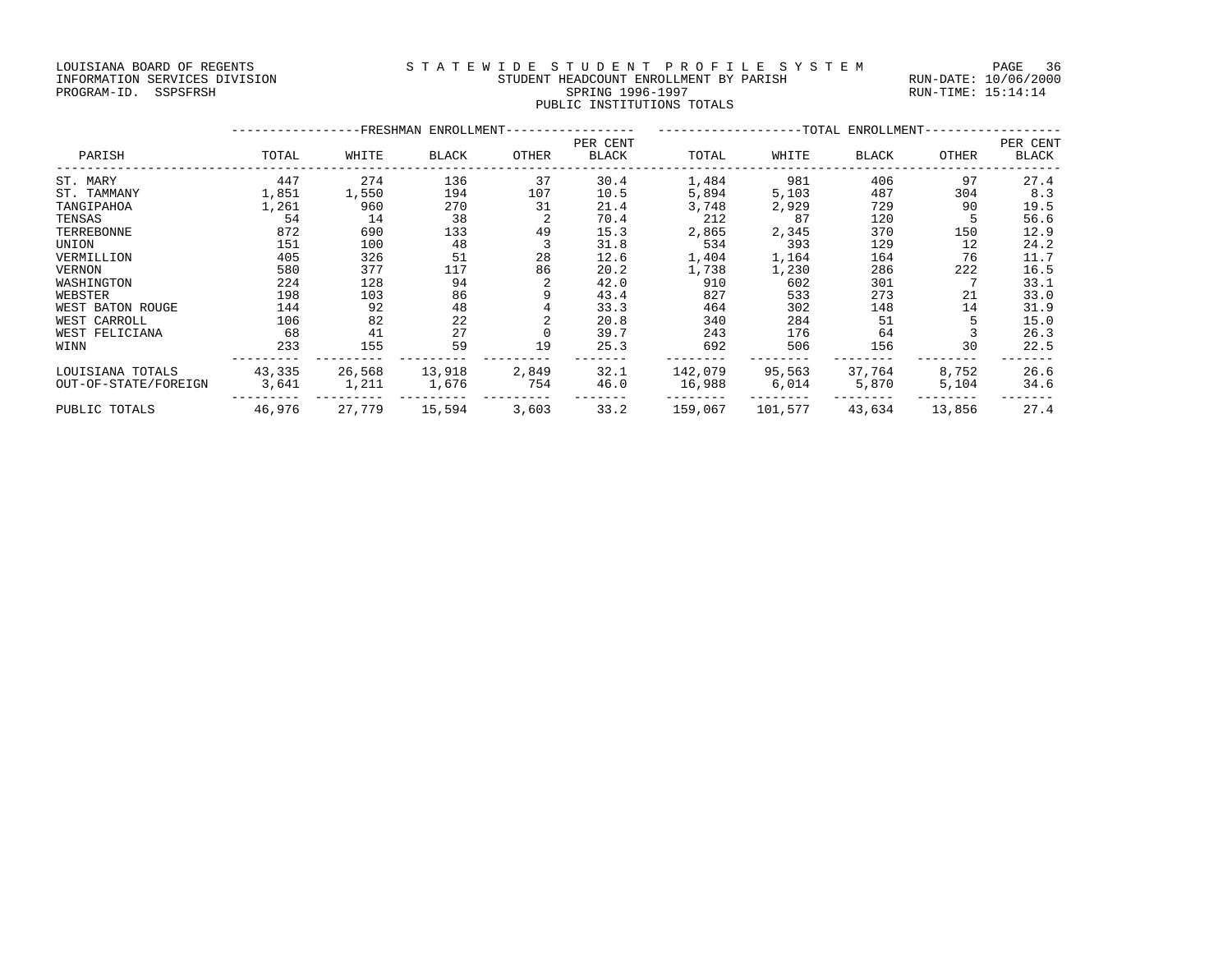#### LOUISIANA BOARD OF REGENTS SAND STATEWIDE STUDENT PROFILE SYSTEM PAGE 36 INFORMATION SERVICES DIVISION STUDENT HEADCOUNT ENROLLMENT BY PARISH RUN-DATE: 10/06/2000 PROGRAM-ID. SSPSFRSH SPRING 1996-1997 RUN-TIME: 15:14:14 PUBLIC INSTITUTIONS TOTALS

|                      | -FRESHMAN ENROLLMENT- |        |        |       |                   | --TOTAL ENROLLMENT- |         |        |        |                   |
|----------------------|-----------------------|--------|--------|-------|-------------------|---------------------|---------|--------|--------|-------------------|
| PARISH               | TOTAL                 | WHITE  | BLACK  | OTHER | PER CENT<br>BLACK | TOTAL               | WHITE   | BLACK  | OTHER  | PER CENT<br>BLACK |
| ST. MARY             | 447                   | 274    | 136    | 37    | 30.4              | 1,484               | 981     | 406    | 97     | 27.4              |
| ST. TAMMANY          | 1,851                 | 1,550  | 194    | 107   | 10.5              | 5,894               | 5,103   | 487    | 304    | 8.3               |
| TANGIPAHOA           | 1,261                 | 960    | 270    | 31    | 21.4              | 3,748               | 2,929   | 729    | 90     | 19.5              |
| TENSAS               | 54                    | 14     | 38     |       | 70.4              | 212                 | 87      | 120    |        | 56.6              |
| TERREBONNE           | 872                   | 690    | 133    | 49    | 15.3              | 2,865               | 2,345   | 370    | 150    | 12.9              |
| UNION                | 151                   | 100    | 48     |       | 31.8              | 534                 | 393     | 129    | 12     | 24.2              |
| VERMILLION           | 405                   | 326    | 51     | 28    | 12.6              | 1,404               | 1,164   | 164    | 76     | 11.7              |
| VERNON               | 580                   | 377    | 117    | 86    | 20.2              | 1,738               | 1,230   | 286    | 222    | 16.5              |
| WASHINGTON           | 224                   | 128    | 94     |       | 42.0              | 910                 | 602     | 301    |        | 33.1              |
| WEBSTER              | 198                   | 103    | 86     |       | 43.4              | 827                 | 533     | 273    | 21     | 33.0              |
| WEST BATON ROUGE     | 144                   | 92     | 48     |       | 33.3              | 464                 | 302     | 148    | 14     | 31.9              |
| WEST CARROLL         | 106                   | 82     | 22     |       | 20.8              | 340                 | 284     | 51     |        | 15.0              |
| WEST FELICIANA       | 68                    | 41     | 27     |       | 39.7              | 243                 | 176     | 64     |        | 26.3              |
| WINN                 | 233                   | 155    | 59     | 19    | 25.3              | 692                 | 506     | 156    | 30     | 22.5              |
| LOUISIANA TOTALS     | 43,335                | 26,568 | 13,918 | 2,849 | 32.1              | 142,079             | 95,563  | 37,764 | 8,752  | 26.6              |
| OUT-OF-STATE/FOREIGN | 3,641                 | 1,211  | 1,676  | 754   | 46.0              | 16,988              | 6,014   | 5,870  | 5,104  | 34.6              |
| PUBLIC TOTALS        | 46,976                | 27,779 | 15,594 | 3,603 | 33.2              | 159,067             | 101,577 | 43,634 | 13,856 | 27.4              |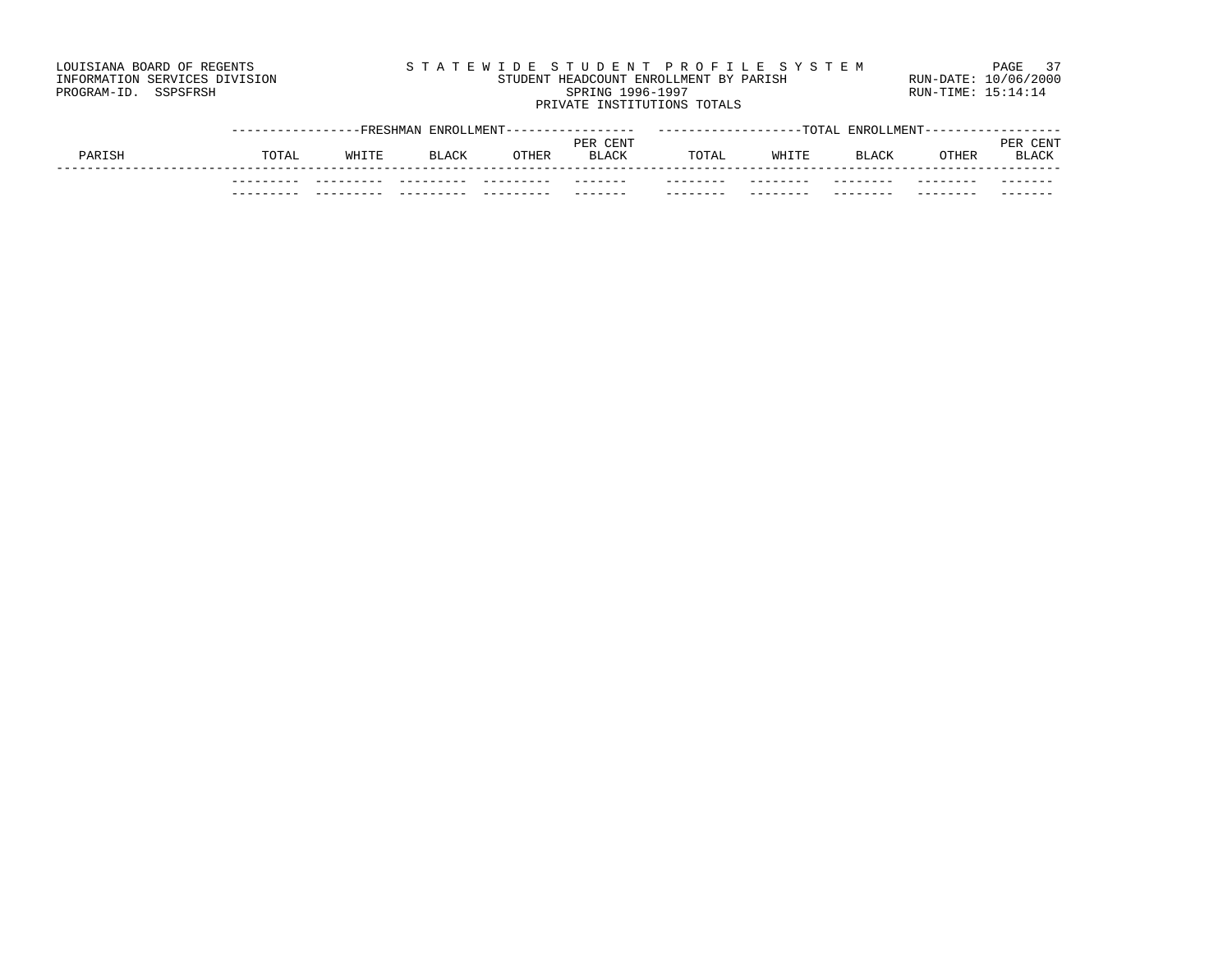#### LOUISIANA BOARD OF REGENTS STATEWIDE STUDENT PROFILE SYSTEM PAGE 37 INFORMATION SERVICES DIVISION STUDENT HEADCOUNT ENROLLMENT BY PARISH RUN-DATE: 10/06/2000 PROGRAM-ID. SSPSFRSH SPRING 1996-1997 RUN-TIME: 15:14:14 PRIVATE INSTITUTIONS TOTALS

|       | --FRESHMA |              | ROLLMENT |              |          | TOTA.    | 'JLMENT<br><b>FMPC</b> |       |              |
|-------|-----------|--------------|----------|--------------|----------|----------|------------------------|-------|--------------|
|       |           |              |          | PER CENT     |          |          |                        |       | CENT<br>모모님  |
| TOTAL | WHITE     | <b>BLACK</b> | OTHER    | <b>BLACK</b> | TOTAL    | WHITE    | <b>BLACK</b>           | OTHER | <b>BLACK</b> |
|       |           |              |          |              |          |          |                        |       |              |
|       |           |              | ----     | -------      | .        | -------- | .                      | ----- | -------      |
|       |           |              |          | -------      | -------- | -------- | -----                  | ----- | -------      |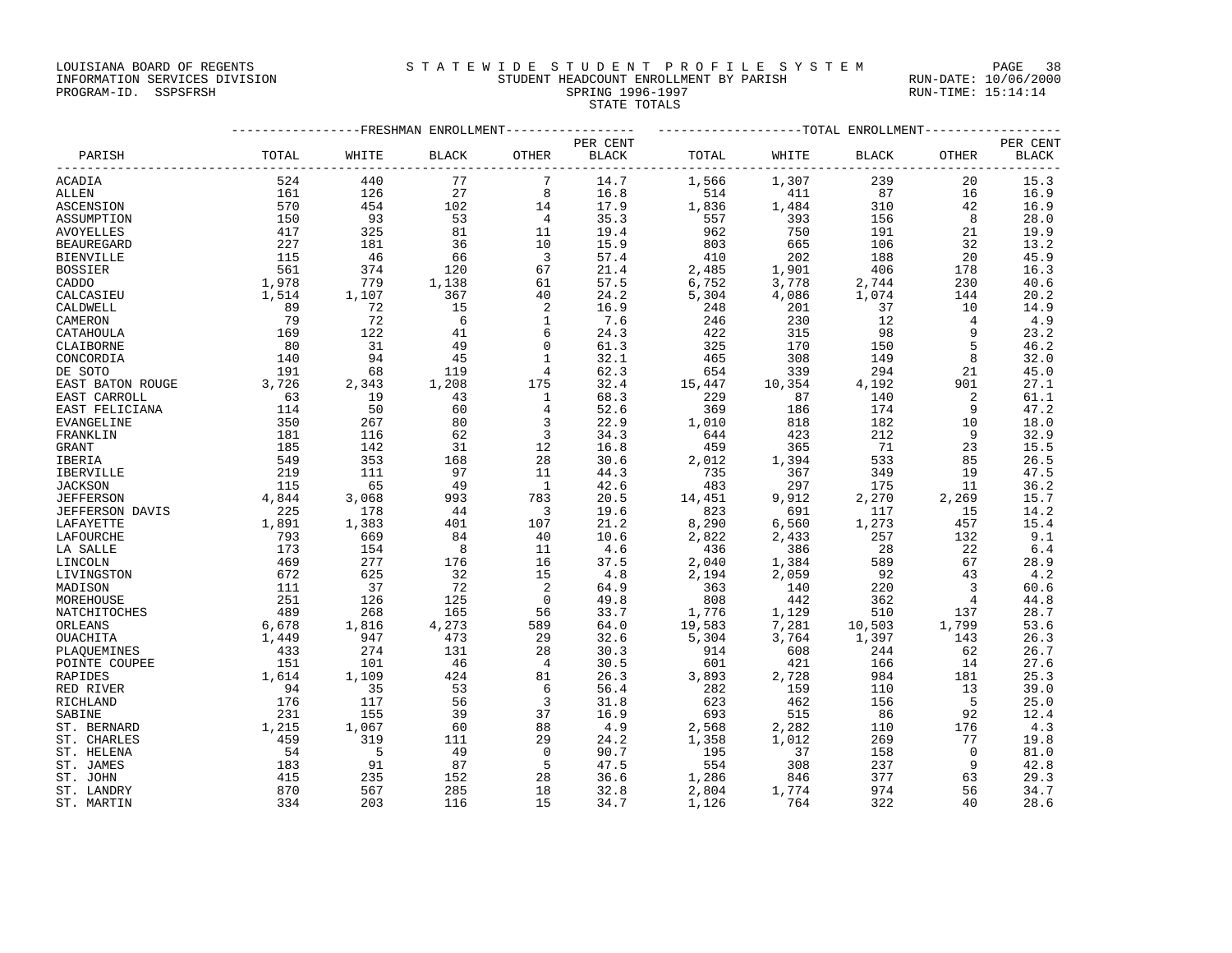LOUISIANA BOARD OF REGENTS STRTEWIDE STUDENT PROFILE SYSTEM PAGE 38

### INFORMATION SERVICES DIVISION STUDENT HEADCOUNT ENROLLMENT BY PARISH RUN-DATE: 10/06/2000 PROGRAM-ID. SSPSFRSH SPRING 1996-1997 RUN-TIME: 15:14:14 STATE TOTALS

| PARISH           |                                                |       |                 |                          | PER CENT |        |        |             |                         | PER CENT     |  |
|------------------|------------------------------------------------|-------|-----------------|--------------------------|----------|--------|--------|-------------|-------------------------|--------------|--|
|                  | TOTAL                                          | WHITE | BLACK           | OTHER                    | BLACK    | TOTAL  |        | WHITE BLACK | OTHER                   | <b>BLACK</b> |  |
| ACADIA           | 524                                            | 440   | 77              | $7\phantom{.0}$          | 14.7     | 1,566  | 1,307  | 239         | 20                      | 15.3         |  |
| ALLEN            | 161                                            | 126   | 27              | 8                        | 16.8     | 514    | 411    | 87          | 16                      | 16.9         |  |
| ASCENSION        | 570                                            | 454   | 102             | 14                       | 17.9     | 1,836  | 1,484  | 310         | 42                      | 16.9         |  |
| ASSUMPTION       | 150                                            | 93    | 53              | $\overline{4}$           | 35.3     | 557    | 393    | 156         | 8 <sup>8</sup>          | 28.0         |  |
| AVOYELLES        | 417                                            | 325   | 81              | 11                       | 19.4     | 962    | 750    | 191         | 21                      | 19.9         |  |
| BEAUREGARD       | 227                                            | 181   | 36              | 10                       | 15.9     | 803    | 665    | 106         | 32                      | 13.2         |  |
| BIENVILLE        | 115                                            | 46    | 66              | $\overline{\phantom{a}}$ | 57.4     | 410    | 202    | 188         | 20                      | 45.9         |  |
| BOSSIER          | 561                                            | 374   | 120             | 67                       | 21.4     | 2,485  | 1,901  | 406         | 178                     | 16.3         |  |
| CADDO            | 1,978<br>1,514                                 | 779   | 1,138<br>367    | 61                       | 57.5     | 6,752  | 3,778  | 2,744       | 230                     | 40.6         |  |
| CALCASIEU        |                                                | 1,107 |                 | 40                       | 24.2     | 5,304  | 4,086  | 1,074       | 144                     | 20.2         |  |
| CALDWELL         | 89                                             | 72    | 15              | 2                        | 16.9     | 248    | 201    | 37          | 10                      | 14.9         |  |
| CAMERON          | 79                                             | 72    | $6\overline{6}$ | 1                        | 7.6      | 246    | 230    | 12          | $\overline{4}$          | 4.9          |  |
| CATAHOULA        | 169                                            | 122   | 41              | 6                        | 24.3     | 422    | 315    | 98          | 9                       | 23.2         |  |
| CLAIBORNE        | 80                                             | 31    | 49              | $\overline{0}$           | 61.3     | 325    | 170    | 150         | 5                       | 46.2         |  |
| CONCORDIA        | 140                                            | 94    | 45              | $\overline{1}$           | 32.1     | 465    | 308    | 149         | 8                       | 32.0         |  |
| DE SOTO          | 191                                            | 68    | 119             | 4                        | 62.3     | 654    | 339    | 294         | 21                      | 45.0         |  |
| EAST BATON ROUGE | 3,726                                          | 2,343 | 1,208           | 175                      | 32.4     | 15,447 | 10,354 | 4,192       | 901                     | 27.1         |  |
| EAST CARROLL     | 63<br>$\begin{array}{c} 63 \\ 114 \end{array}$ | 19    | 43              | $\overline{\phantom{a}}$ | 68.3     | 229    | 87     | 140         | 2                       | 61.1         |  |
| EAST FELICIANA   |                                                | 50    | 60              | $\overline{4}$           | 52.6     | 369    | 186    | 174         | - 9                     | 47.2         |  |
| EVANGELINE       | 350                                            | 267   | 80              | 3                        | 22.9     | 1,010  | 818    | 182         | 10                      | 18.0         |  |
| FRANKLIN         | 181                                            | 116   | 62              | $\overline{\mathbf{3}}$  | 34.3     | 644    | 423    | 212         | - 9                     | 32.9         |  |
| GRANT            | 185                                            | 142   | 31              | 12                       | 16.8     | 459    | 365    | 71          | 23                      | 15.5         |  |
| IBERIA           | 549                                            | 353   | 168             | 28                       | 30.6     | 2,012  | 1,394  | 533         | 85                      | 26.5         |  |
| IBERVILLE        | 219                                            | 111   | 97              | 11                       | 44.3     | 735    | 367    | 349         | 19                      | 47.5         |  |
| JACKSON          | 115                                            | 65    | 49              | $\overline{1}$           | 42.6     | 483    | 297    | 175         | 11                      | 36.2         |  |
| <b>JEFFERSON</b> | 4,844                                          | 3,068 | 993             | 783                      | 20.5     | 14,451 | 9,912  | 2,270       | 2,269                   | 15.7         |  |
| JEFFERSON DAVIS  | 225                                            | 178   | 44              | $\overline{\phantom{a}}$ | 19.6     | 823    | 691    | 117         | 15                      | 14.2         |  |
| LAFAYETTE        | 1,891                                          | 1,383 | 401             | 107                      | 21.2     | 8,290  | 6,560  | 1,273       | 457                     | 15.4         |  |
| LAFOURCHE        | 793                                            | 669   | 84              | 40                       | 10.6     | 2,822  | 2,433  | 257         | 132                     | 9.1          |  |
| LA SALLE         | 173                                            | 154   | 8               | 11                       | 4.6      | 436    | 386    | 28          | 22                      | 6.4          |  |
| LINCOLN          | 469                                            | 277   | 176             | 16                       | 37.5     | 2,040  | 1,384  | 589         | 67                      | 28.9         |  |
| LIVINGSTON       | 672                                            | 625   | 32              | 15                       | 4.8      | 2,194  | 2,059  | 92          | 43                      | 4.2          |  |
| MADISON          | 111                                            | 37    | 72              | 2                        | 64.9     | 363    | 140    | 220         | $\overline{\mathbf{3}}$ | 60.6         |  |
| MOREHOUSE        | 251                                            | 126   | 125             | $\overline{0}$           | 49.8     | 808    | 442    | 362         | $\overline{4}$          | 44.8         |  |
| NATCHITOCHES     | 489                                            | 268   | 165             | 56                       | 33.7     | 1,776  | 1,129  | 510         | 137                     | 28.7         |  |
| ORLEANS          | 6,678                                          | 1,816 | 4,273           | 589                      | 64.0     | 19,583 | 7,281  | 10,503      | 1,799                   | 53.6         |  |
| OUACHITA         | 1,449                                          | 947   | 473             | 29                       | 32.6     | 5,304  | 3,764  | 1,397       | 143                     | 26.3         |  |
| PLAOUEMINES      | 433                                            | 274   | 131             | 28                       | 30.3     | 914    | 608    | 244         | 62                      | 26.7         |  |
| POINTE COUPEE    | 151<br>1,614                                   | 101   | 46              | $\overline{4}$           | 30.5     | 601    | 421    | 166         | 14                      | 27.6         |  |
| RAPIDES          |                                                | 1,109 | 424             | 81                       | 26.3     | 3,893  | 2,728  | 984         | 181                     | 25.3         |  |
| RED RIVER        | 94                                             | 35    | 53              | 6                        | 56.4     | 282    | 159    | 110         | 13                      | 39.0         |  |
| RICHLAND         | 176                                            | 117   | 56              | $\overline{3}$           | 31.8     | 623    | 462    | 156         | 5                       | 25.0         |  |
| SABINE           | 231                                            | 155   | 39              | 37                       | 16.9     | 693    | 515    | 86          | 92                      | 12.4         |  |
| ST. BERNARD      | 1,215                                          | 1,067 | 60              | 88                       | 4.9      | 2,568  | 2,282  | 110         | 176                     | 4.3          |  |
| ST. CHARLES      | 459                                            | 319   | 111             | 29                       | 24.2     | 1,358  | 1,012  | 269         | 77                      | 19.8         |  |
| ST. HELENA       | 54                                             | $-5$  | 49              | $\overline{0}$           | 90.7     | 195    | 37     | 158         | $\bigcirc$              | 81.0         |  |
| ST. JAMES        | 183                                            | 91    | 87              | -5                       | 47.5     | 554    | 308    | 237         | - 9                     | 42.8         |  |
| ST. JOHN         | 415                                            | 235   | 152             | 28                       | 36.6     | 1,286  | 846    | 377         | 63                      | 29.3         |  |
| ST. LANDRY       | 870                                            | 567   | 285             | 18                       | 32.8     | 2,804  | 1,774  | 974         | 56                      | 34.7         |  |
| ST. MARTIN       | 334                                            | 203   | 116             | 15                       | 34.7     | 1,126  | 764    | 322         | 40                      | 28.6         |  |